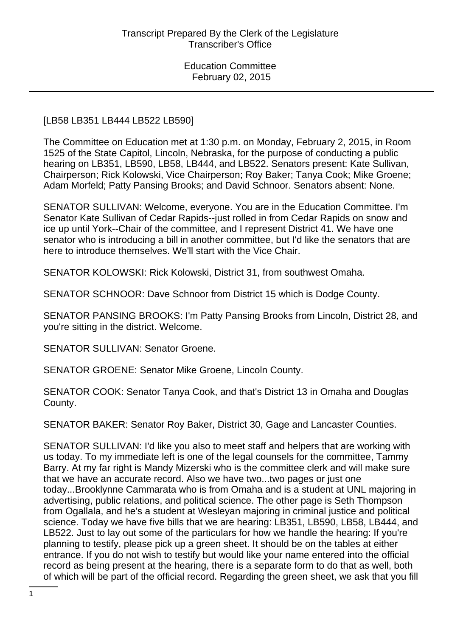#### [LB58 LB351 LB444 LB522 LB590]

The Committee on Education met at 1:30 p.m. on Monday, February 2, 2015, in Room 1525 of the State Capitol, Lincoln, Nebraska, for the purpose of conducting a public hearing on LB351, LB590, LB58, LB444, and LB522. Senators present: Kate Sullivan, Chairperson; Rick Kolowski, Vice Chairperson; Roy Baker; Tanya Cook; Mike Groene; Adam Morfeld; Patty Pansing Brooks; and David Schnoor. Senators absent: None.

SENATOR SULLIVAN: Welcome, everyone. You are in the Education Committee. I'm Senator Kate Sullivan of Cedar Rapids--just rolled in from Cedar Rapids on snow and ice up until York--Chair of the committee, and I represent District 41. We have one senator who is introducing a bill in another committee, but I'd like the senators that are here to introduce themselves. We'll start with the Vice Chair.

SENATOR KOLOWSKI: Rick Kolowski, District 31, from southwest Omaha.

SENATOR SCHNOOR: Dave Schnoor from District 15 which is Dodge County.

SENATOR PANSING BROOKS: I'm Patty Pansing Brooks from Lincoln, District 28, and you're sitting in the district. Welcome.

SENATOR SULLIVAN: Senator Groene.

SENATOR GROENE: Senator Mike Groene, Lincoln County.

SENATOR COOK: Senator Tanya Cook, and that's District 13 in Omaha and Douglas County.

SENATOR BAKER: Senator Roy Baker, District 30, Gage and Lancaster Counties.

SENATOR SULLIVAN: I'd like you also to meet staff and helpers that are working with us today. To my immediate left is one of the legal counsels for the committee, Tammy Barry. At my far right is Mandy Mizerski who is the committee clerk and will make sure that we have an accurate record. Also we have two...two pages or just one today...Brooklynne Cammarata who is from Omaha and is a student at UNL majoring in advertising, public relations, and political science. The other page is Seth Thompson from Ogallala, and he's a student at Wesleyan majoring in criminal justice and political science. Today we have five bills that we are hearing: LB351, LB590, LB58, LB444, and LB522. Just to lay out some of the particulars for how we handle the hearing: If you're planning to testify, please pick up a green sheet. It should be on the tables at either entrance. If you do not wish to testify but would like your name entered into the official record as being present at the hearing, there is a separate form to do that as well, both of which will be part of the official record. Regarding the green sheet, we ask that you fill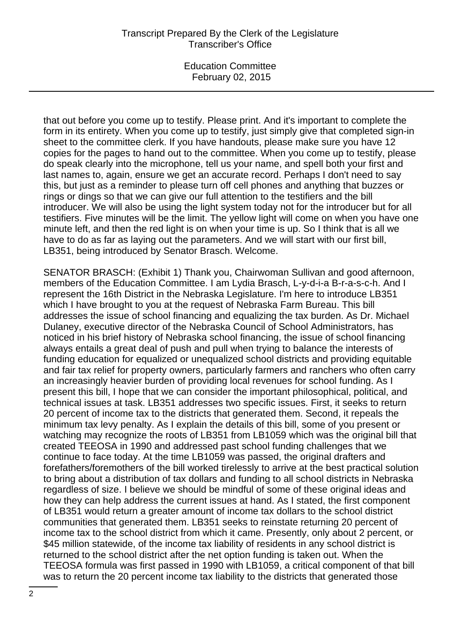Education Committee February 02, 2015

that out before you come up to testify. Please print. And it's important to complete the form in its entirety. When you come up to testify, just simply give that completed sign-in sheet to the committee clerk. If you have handouts, please make sure you have 12 copies for the pages to hand out to the committee. When you come up to testify, please do speak clearly into the microphone, tell us your name, and spell both your first and last names to, again, ensure we get an accurate record. Perhaps I don't need to say this, but just as a reminder to please turn off cell phones and anything that buzzes or rings or dings so that we can give our full attention to the testifiers and the bill introducer. We will also be using the light system today not for the introducer but for all testifiers. Five minutes will be the limit. The yellow light will come on when you have one minute left, and then the red light is on when your time is up. So I think that is all we have to do as far as laying out the parameters. And we will start with our first bill, LB351, being introduced by Senator Brasch. Welcome.

SENATOR BRASCH: (Exhibit 1) Thank you, Chairwoman Sullivan and good afternoon, members of the Education Committee. I am Lydia Brasch, L-y-d-i-a B-r-a-s-c-h. And I represent the 16th District in the Nebraska Legislature. I'm here to introduce LB351 which I have brought to you at the request of Nebraska Farm Bureau. This bill addresses the issue of school financing and equalizing the tax burden. As Dr. Michael Dulaney, executive director of the Nebraska Council of School Administrators, has noticed in his brief history of Nebraska school financing, the issue of school financing always entails a great deal of push and pull when trying to balance the interests of funding education for equalized or unequalized school districts and providing equitable and fair tax relief for property owners, particularly farmers and ranchers who often carry an increasingly heavier burden of providing local revenues for school funding. As I present this bill, I hope that we can consider the important philosophical, political, and technical issues at task. LB351 addresses two specific issues. First, it seeks to return 20 percent of income tax to the districts that generated them. Second, it repeals the minimum tax levy penalty. As I explain the details of this bill, some of you present or watching may recognize the roots of LB351 from LB1059 which was the original bill that created TEEOSA in 1990 and addressed past school funding challenges that we continue to face today. At the time LB1059 was passed, the original drafters and forefathers/foremothers of the bill worked tirelessly to arrive at the best practical solution to bring about a distribution of tax dollars and funding to all school districts in Nebraska regardless of size. I believe we should be mindful of some of these original ideas and how they can help address the current issues at hand. As I stated, the first component of LB351 would return a greater amount of income tax dollars to the school district communities that generated them. LB351 seeks to reinstate returning 20 percent of income tax to the school district from which it came. Presently, only about 2 percent, or \$45 million statewide, of the income tax liability of residents in any school district is returned to the school district after the net option funding is taken out. When the TEEOSA formula was first passed in 1990 with LB1059, a critical component of that bill was to return the 20 percent income tax liability to the districts that generated those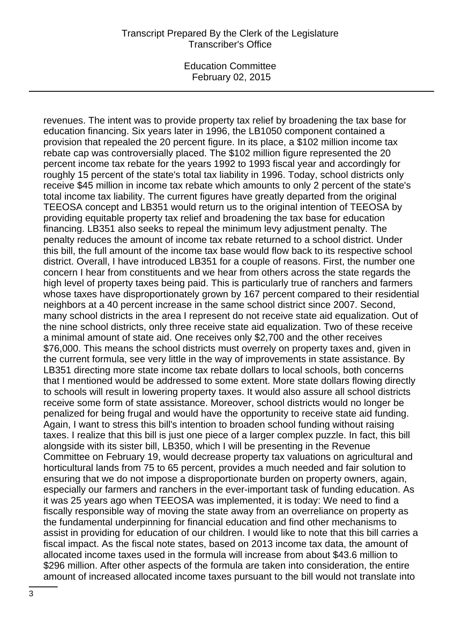revenues. The intent was to provide property tax relief by broadening the tax base for education financing. Six years later in 1996, the LB1050 component contained a provision that repealed the 20 percent figure. In its place, a \$102 million income tax rebate cap was controversially placed. The \$102 million figure represented the 20 percent income tax rebate for the years 1992 to 1993 fiscal year and accordingly for roughly 15 percent of the state's total tax liability in 1996. Today, school districts only receive \$45 million in income tax rebate which amounts to only 2 percent of the state's total income tax liability. The current figures have greatly departed from the original TEEOSA concept and LB351 would return us to the original intention of TEEOSA by providing equitable property tax relief and broadening the tax base for education financing. LB351 also seeks to repeal the minimum levy adjustment penalty. The penalty reduces the amount of income tax rebate returned to a school district. Under this bill, the full amount of the income tax base would flow back to its respective school district. Overall, I have introduced LB351 for a couple of reasons. First, the number one concern I hear from constituents and we hear from others across the state regards the high level of property taxes being paid. This is particularly true of ranchers and farmers whose taxes have disproportionately grown by 167 percent compared to their residential neighbors at a 40 percent increase in the same school district since 2007. Second, many school districts in the area I represent do not receive state aid equalization. Out of the nine school districts, only three receive state aid equalization. Two of these receive a minimal amount of state aid. One receives only \$2,700 and the other receives \$76,000. This means the school districts must overrely on property taxes and, given in the current formula, see very little in the way of improvements in state assistance. By LB351 directing more state income tax rebate dollars to local schools, both concerns that I mentioned would be addressed to some extent. More state dollars flowing directly to schools will result in lowering property taxes. It would also assure all school districts receive some form of state assistance. Moreover, school districts would no longer be penalized for being frugal and would have the opportunity to receive state aid funding. Again, I want to stress this bill's intention to broaden school funding without raising taxes. I realize that this bill is just one piece of a larger complex puzzle. In fact, this bill alongside with its sister bill, LB350, which I will be presenting in the Revenue Committee on February 19, would decrease property tax valuations on agricultural and horticultural lands from 75 to 65 percent, provides a much needed and fair solution to ensuring that we do not impose a disproportionate burden on property owners, again, especially our farmers and ranchers in the ever-important task of funding education. As it was 25 years ago when TEEOSA was implemented, it is today: We need to find a fiscally responsible way of moving the state away from an overreliance on property as the fundamental underpinning for financial education and find other mechanisms to assist in providing for education of our children. I would like to note that this bill carries a fiscal impact. As the fiscal note states, based on 2013 income tax data, the amount of allocated income taxes used in the formula will increase from about \$43.6 million to \$296 million. After other aspects of the formula are taken into consideration, the entire amount of increased allocated income taxes pursuant to the bill would not translate into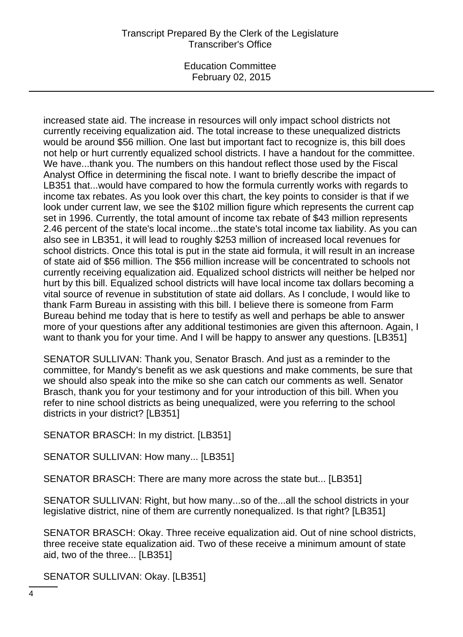Education Committee February 02, 2015

increased state aid. The increase in resources will only impact school districts not currently receiving equalization aid. The total increase to these unequalized districts would be around \$56 million. One last but important fact to recognize is, this bill does not help or hurt currently equalized school districts. I have a handout for the committee. We have...thank you. The numbers on this handout reflect those used by the Fiscal Analyst Office in determining the fiscal note. I want to briefly describe the impact of LB351 that...would have compared to how the formula currently works with regards to income tax rebates. As you look over this chart, the key points to consider is that if we look under current law, we see the \$102 million figure which represents the current cap set in 1996. Currently, the total amount of income tax rebate of \$43 million represents 2.46 percent of the state's local income...the state's total income tax liability. As you can also see in LB351, it will lead to roughly \$253 million of increased local revenues for school districts. Once this total is put in the state aid formula, it will result in an increase of state aid of \$56 million. The \$56 million increase will be concentrated to schools not currently receiving equalization aid. Equalized school districts will neither be helped nor hurt by this bill. Equalized school districts will have local income tax dollars becoming a vital source of revenue in substitution of state aid dollars. As I conclude, I would like to thank Farm Bureau in assisting with this bill. I believe there is someone from Farm Bureau behind me today that is here to testify as well and perhaps be able to answer more of your questions after any additional testimonies are given this afternoon. Again, I want to thank you for your time. And I will be happy to answer any questions. [LB351]

SENATOR SULLIVAN: Thank you, Senator Brasch. And just as a reminder to the committee, for Mandy's benefit as we ask questions and make comments, be sure that we should also speak into the mike so she can catch our comments as well. Senator Brasch, thank you for your testimony and for your introduction of this bill. When you refer to nine school districts as being unequalized, were you referring to the school districts in your district? [LB351]

SENATOR BRASCH: In my district. [LB351]

SENATOR SULLIVAN: How many... [LB351]

SENATOR BRASCH: There are many more across the state but... [LB351]

SENATOR SULLIVAN: Right, but how many...so of the...all the school districts in your legislative district, nine of them are currently nonequalized. Is that right? [LB351]

SENATOR BRASCH: Okay. Three receive equalization aid. Out of nine school districts, three receive state equalization aid. Two of these receive a minimum amount of state aid, two of the three... [LB351]

SENATOR SULLIVAN: Okay. [LB351]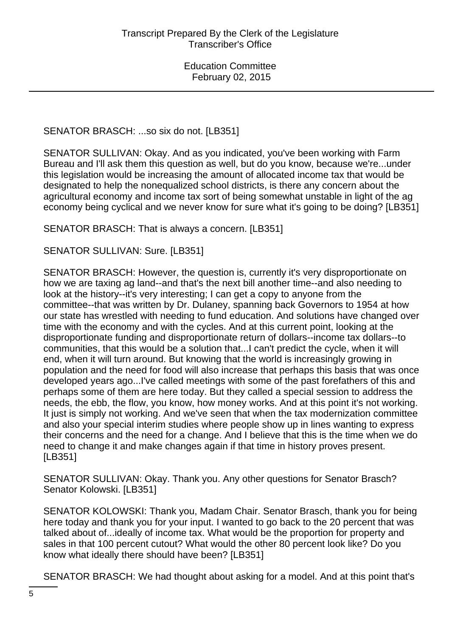SENATOR BRASCH: ...so six do not. [LB351]

SENATOR SULLIVAN: Okay. And as you indicated, you've been working with Farm Bureau and I'll ask them this question as well, but do you know, because we're...under this legislation would be increasing the amount of allocated income tax that would be designated to help the nonequalized school districts, is there any concern about the agricultural economy and income tax sort of being somewhat unstable in light of the ag economy being cyclical and we never know for sure what it's going to be doing? [LB351]

SENATOR BRASCH: That is always a concern. [LB351]

SENATOR SULLIVAN: Sure. [LB351]

SENATOR BRASCH: However, the question is, currently it's very disproportionate on how we are taxing ag land--and that's the next bill another time--and also needing to look at the history--it's very interesting; I can get a copy to anyone from the committee--that was written by Dr. Dulaney, spanning back Governors to 1954 at how our state has wrestled with needing to fund education. And solutions have changed over time with the economy and with the cycles. And at this current point, looking at the disproportionate funding and disproportionate return of dollars--income tax dollars--to communities, that this would be a solution that...I can't predict the cycle, when it will end, when it will turn around. But knowing that the world is increasingly growing in population and the need for food will also increase that perhaps this basis that was once developed years ago...I've called meetings with some of the past forefathers of this and perhaps some of them are here today. But they called a special session to address the needs, the ebb, the flow, you know, how money works. And at this point it's not working. It just is simply not working. And we've seen that when the tax modernization committee and also your special interim studies where people show up in lines wanting to express their concerns and the need for a change. And I believe that this is the time when we do need to change it and make changes again if that time in history proves present. [LB351]

SENATOR SULLIVAN: Okay. Thank you. Any other questions for Senator Brasch? Senator Kolowski. [LB351]

SENATOR KOLOWSKI: Thank you, Madam Chair. Senator Brasch, thank you for being here today and thank you for your input. I wanted to go back to the 20 percent that was talked about of...ideally of income tax. What would be the proportion for property and sales in that 100 percent cutout? What would the other 80 percent look like? Do you know what ideally there should have been? [LB351]

SENATOR BRASCH: We had thought about asking for a model. And at this point that's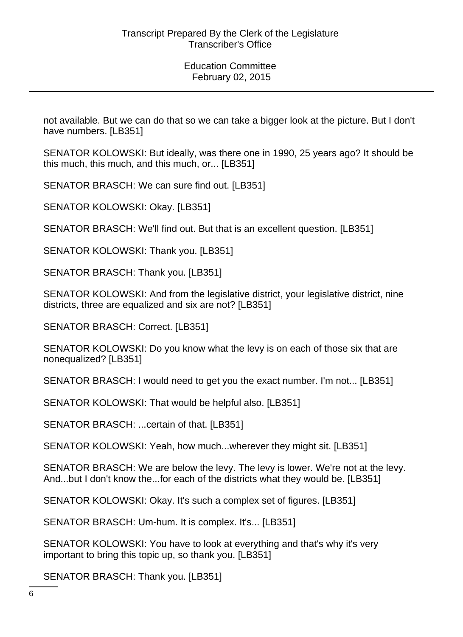not available. But we can do that so we can take a bigger look at the picture. But I don't have numbers. [LB351]

SENATOR KOLOWSKI: But ideally, was there one in 1990, 25 years ago? It should be this much, this much, and this much, or... [LB351]

SENATOR BRASCH: We can sure find out. [LB351]

SENATOR KOLOWSKI: Okay. [LB351]

SENATOR BRASCH: We'll find out. But that is an excellent question. [LB351]

SENATOR KOLOWSKI: Thank you. [LB351]

SENATOR BRASCH: Thank you. [LB351]

SENATOR KOLOWSKI: And from the legislative district, your legislative district, nine districts, three are equalized and six are not? [LB351]

SENATOR BRASCH: Correct. [LB351]

SENATOR KOLOWSKI: Do you know what the levy is on each of those six that are nonequalized? [LB351]

SENATOR BRASCH: I would need to get you the exact number. I'm not... [LB351]

SENATOR KOLOWSKI: That would be helpful also. [LB351]

SENATOR BRASCH: ...certain of that. [LB351]

SENATOR KOLOWSKI: Yeah, how much...wherever they might sit. [LB351]

SENATOR BRASCH: We are below the levy. The levy is lower. We're not at the levy. And...but I don't know the...for each of the districts what they would be. [LB351]

SENATOR KOLOWSKI: Okay. It's such a complex set of figures. [LB351]

SENATOR BRASCH: Um-hum. It is complex. It's... [LB351]

SENATOR KOLOWSKI: You have to look at everything and that's why it's very important to bring this topic up, so thank you. [LB351]

SENATOR BRASCH: Thank you. [LB351]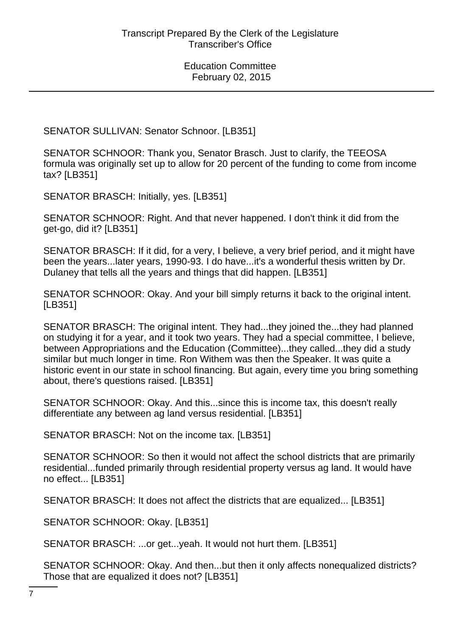SENATOR SULLIVAN: Senator Schnoor. [LB351]

SENATOR SCHNOOR: Thank you, Senator Brasch. Just to clarify, the TEEOSA formula was originally set up to allow for 20 percent of the funding to come from income tax? [LB351]

SENATOR BRASCH: Initially, yes. [LB351]

SENATOR SCHNOOR: Right. And that never happened. I don't think it did from the get-go, did it? [LB351]

SENATOR BRASCH: If it did, for a very, I believe, a very brief period, and it might have been the years...later years, 1990-93. I do have...it's a wonderful thesis written by Dr. Dulaney that tells all the years and things that did happen. [LB351]

SENATOR SCHNOOR: Okay. And your bill simply returns it back to the original intent. [LB351]

SENATOR BRASCH: The original intent. They had...they joined the...they had planned on studying it for a year, and it took two years. They had a special committee, I believe, between Appropriations and the Education (Committee)...they called...they did a study similar but much longer in time. Ron Withem was then the Speaker. It was quite a historic event in our state in school financing. But again, every time you bring something about, there's questions raised. [LB351]

SENATOR SCHNOOR: Okay. And this...since this is income tax, this doesn't really differentiate any between ag land versus residential. [LB351]

SENATOR BRASCH: Not on the income tax. [LB351]

SENATOR SCHNOOR: So then it would not affect the school districts that are primarily residential...funded primarily through residential property versus ag land. It would have no effect... [LB351]

SENATOR BRASCH: It does not affect the districts that are equalized... [LB351]

SENATOR SCHNOOR: Okay. [LB351]

SENATOR BRASCH: ...or get...yeah. It would not hurt them. [LB351]

SENATOR SCHNOOR: Okay. And then...but then it only affects nonequalized districts? Those that are equalized it does not? [LB351]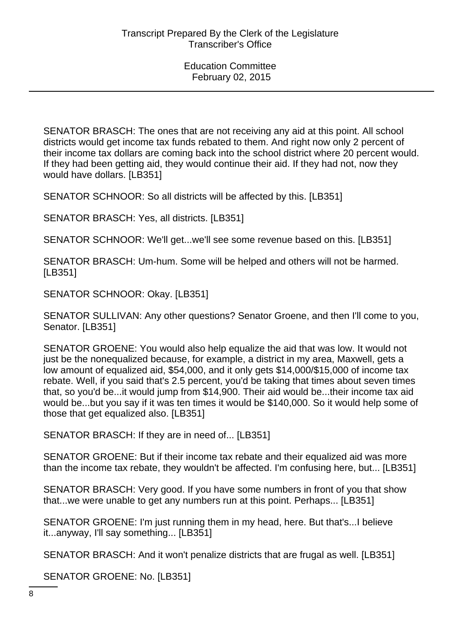SENATOR BRASCH: The ones that are not receiving any aid at this point. All school districts would get income tax funds rebated to them. And right now only 2 percent of their income tax dollars are coming back into the school district where 20 percent would. If they had been getting aid, they would continue their aid. If they had not, now they would have dollars. [LB351]

SENATOR SCHNOOR: So all districts will be affected by this. [LB351]

SENATOR BRASCH: Yes, all districts. [LB351]

SENATOR SCHNOOR: We'll get...we'll see some revenue based on this. [LB351]

SENATOR BRASCH: Um-hum. Some will be helped and others will not be harmed. [LB351]

SENATOR SCHNOOR: Okay. [LB351]

SENATOR SULLIVAN: Any other questions? Senator Groene, and then I'll come to you, Senator. [LB351]

SENATOR GROENE: You would also help equalize the aid that was low. It would not just be the nonequalized because, for example, a district in my area, Maxwell, gets a low amount of equalized aid, \$54,000, and it only gets \$14,000/\$15,000 of income tax rebate. Well, if you said that's 2.5 percent, you'd be taking that times about seven times that, so you'd be...it would jump from \$14,900. Their aid would be...their income tax aid would be...but you say if it was ten times it would be \$140,000. So it would help some of those that get equalized also. [LB351]

SENATOR BRASCH: If they are in need of... [LB351]

SENATOR GROENE: But if their income tax rebate and their equalized aid was more than the income tax rebate, they wouldn't be affected. I'm confusing here, but... [LB351]

SENATOR BRASCH: Very good. If you have some numbers in front of you that show that...we were unable to get any numbers run at this point. Perhaps... [LB351]

SENATOR GROENE: I'm just running them in my head, here. But that's...I believe it...anyway, I'll say something... [LB351]

SENATOR BRASCH: And it won't penalize districts that are frugal as well. [LB351]

SENATOR GROENE: No. [LB351]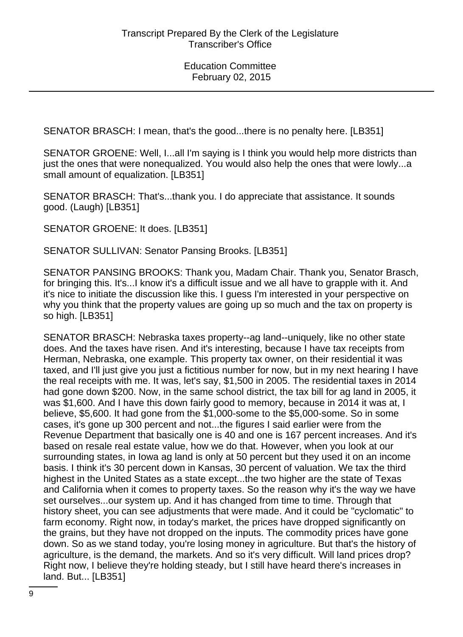SENATOR BRASCH: I mean, that's the good...there is no penalty here. [LB351]

SENATOR GROENE: Well, I...all I'm saying is I think you would help more districts than just the ones that were nonequalized. You would also help the ones that were lowly...a small amount of equalization. [LB351]

SENATOR BRASCH: That's...thank you. I do appreciate that assistance. It sounds good. (Laugh) [LB351]

SENATOR GROENE: It does. [LB351]

SENATOR SULLIVAN: Senator Pansing Brooks. [LB351]

SENATOR PANSING BROOKS: Thank you, Madam Chair. Thank you, Senator Brasch, for bringing this. It's...I know it's a difficult issue and we all have to grapple with it. And it's nice to initiate the discussion like this. I guess I'm interested in your perspective on why you think that the property values are going up so much and the tax on property is so high. [LB351]

SENATOR BRASCH: Nebraska taxes property--ag land--uniquely, like no other state does. And the taxes have risen. And it's interesting, because I have tax receipts from Herman, Nebraska, one example. This property tax owner, on their residential it was taxed, and I'll just give you just a fictitious number for now, but in my next hearing I have the real receipts with me. It was, let's say, \$1,500 in 2005. The residential taxes in 2014 had gone down \$200. Now, in the same school district, the tax bill for ag land in 2005, it was \$1,600. And I have this down fairly good to memory, because in 2014 it was at, I believe, \$5,600. It had gone from the \$1,000-some to the \$5,000-some. So in some cases, it's gone up 300 percent and not...the figures I said earlier were from the Revenue Department that basically one is 40 and one is 167 percent increases. And it's based on resale real estate value, how we do that. However, when you look at our surrounding states, in Iowa ag land is only at 50 percent but they used it on an income basis. I think it's 30 percent down in Kansas, 30 percent of valuation. We tax the third highest in the United States as a state except...the two higher are the state of Texas and California when it comes to property taxes. So the reason why it's the way we have set ourselves...our system up. And it has changed from time to time. Through that history sheet, you can see adjustments that were made. And it could be "cyclomatic" to farm economy. Right now, in today's market, the prices have dropped significantly on the grains, but they have not dropped on the inputs. The commodity prices have gone down. So as we stand today, you're losing money in agriculture. But that's the history of agriculture, is the demand, the markets. And so it's very difficult. Will land prices drop? Right now, I believe they're holding steady, but I still have heard there's increases in land. But... [LB351]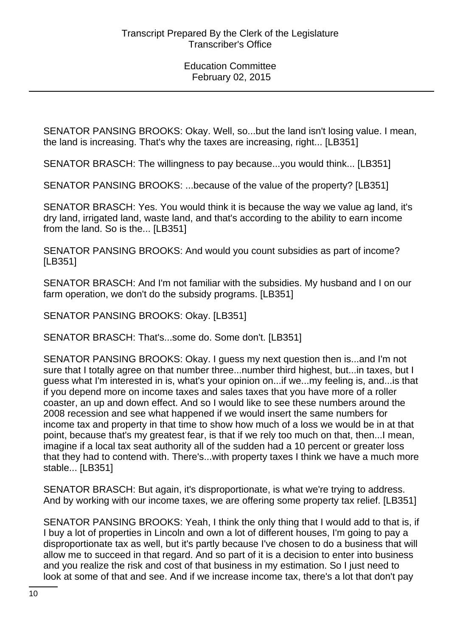SENATOR PANSING BROOKS: Okay. Well, so...but the land isn't losing value. I mean, the land is increasing. That's why the taxes are increasing, right... [LB351]

SENATOR BRASCH: The willingness to pay because...you would think... [LB351]

SENATOR PANSING BROOKS: ...because of the value of the property? [LB351]

SENATOR BRASCH: Yes. You would think it is because the way we value ag land, it's dry land, irrigated land, waste land, and that's according to the ability to earn income from the land. So is the... [LB351]

SENATOR PANSING BROOKS: And would you count subsidies as part of income? [LB351]

SENATOR BRASCH: And I'm not familiar with the subsidies. My husband and I on our farm operation, we don't do the subsidy programs. [LB351]

SENATOR PANSING BROOKS: Okay. [LB351]

SENATOR BRASCH: That's...some do. Some don't. [LB351]

SENATOR PANSING BROOKS: Okay. I guess my next question then is...and I'm not sure that I totally agree on that number three...number third highest, but...in taxes, but I guess what I'm interested in is, what's your opinion on...if we...my feeling is, and...is that if you depend more on income taxes and sales taxes that you have more of a roller coaster, an up and down effect. And so I would like to see these numbers around the 2008 recession and see what happened if we would insert the same numbers for income tax and property in that time to show how much of a loss we would be in at that point, because that's my greatest fear, is that if we rely too much on that, then...I mean, imagine if a local tax seat authority all of the sudden had a 10 percent or greater loss that they had to contend with. There's...with property taxes I think we have a much more stable... [LB351]

SENATOR BRASCH: But again, it's disproportionate, is what we're trying to address. And by working with our income taxes, we are offering some property tax relief. [LB351]

SENATOR PANSING BROOKS: Yeah, I think the only thing that I would add to that is, if I buy a lot of properties in Lincoln and own a lot of different houses, I'm going to pay a disproportionate tax as well, but it's partly because I've chosen to do a business that will allow me to succeed in that regard. And so part of it is a decision to enter into business and you realize the risk and cost of that business in my estimation. So I just need to look at some of that and see. And if we increase income tax, there's a lot that don't pay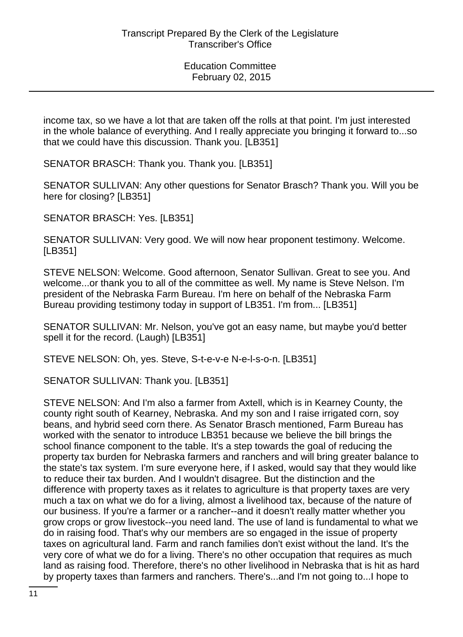income tax, so we have a lot that are taken off the rolls at that point. I'm just interested in the whole balance of everything. And I really appreciate you bringing it forward to...so that we could have this discussion. Thank you. [LB351]

SENATOR BRASCH: Thank you. Thank you. [LB351]

SENATOR SULLIVAN: Any other questions for Senator Brasch? Thank you. Will you be here for closing? [LB351]

SENATOR BRASCH: Yes. [LB351]

SENATOR SULLIVAN: Very good. We will now hear proponent testimony. Welcome. [LB351]

STEVE NELSON: Welcome. Good afternoon, Senator Sullivan. Great to see you. And welcome...or thank you to all of the committee as well. My name is Steve Nelson. I'm president of the Nebraska Farm Bureau. I'm here on behalf of the Nebraska Farm Bureau providing testimony today in support of LB351. I'm from... [LB351]

SENATOR SULLIVAN: Mr. Nelson, you've got an easy name, but maybe you'd better spell it for the record. (Laugh) [LB351]

STEVE NELSON: Oh, yes. Steve, S-t-e-v-e N-e-l-s-o-n. [LB351]

SENATOR SULLIVAN: Thank you. [LB351]

STEVE NELSON: And I'm also a farmer from Axtell, which is in Kearney County, the county right south of Kearney, Nebraska. And my son and I raise irrigated corn, soy beans, and hybrid seed corn there. As Senator Brasch mentioned, Farm Bureau has worked with the senator to introduce LB351 because we believe the bill brings the school finance component to the table. It's a step towards the goal of reducing the property tax burden for Nebraska farmers and ranchers and will bring greater balance to the state's tax system. I'm sure everyone here, if I asked, would say that they would like to reduce their tax burden. And I wouldn't disagree. But the distinction and the difference with property taxes as it relates to agriculture is that property taxes are very much a tax on what we do for a living, almost a livelihood tax, because of the nature of our business. If you're a farmer or a rancher--and it doesn't really matter whether you grow crops or grow livestock--you need land. The use of land is fundamental to what we do in raising food. That's why our members are so engaged in the issue of property taxes on agricultural land. Farm and ranch families don't exist without the land. It's the very core of what we do for a living. There's no other occupation that requires as much land as raising food. Therefore, there's no other livelihood in Nebraska that is hit as hard by property taxes than farmers and ranchers. There's...and I'm not going to...I hope to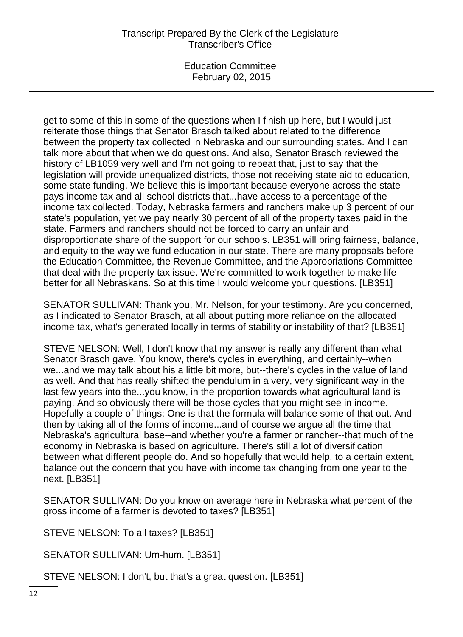Education Committee February 02, 2015

get to some of this in some of the questions when I finish up here, but I would just reiterate those things that Senator Brasch talked about related to the difference between the property tax collected in Nebraska and our surrounding states. And I can talk more about that when we do questions. And also, Senator Brasch reviewed the history of LB1059 very well and I'm not going to repeat that, just to say that the legislation will provide unequalized districts, those not receiving state aid to education, some state funding. We believe this is important because everyone across the state pays income tax and all school districts that...have access to a percentage of the income tax collected. Today, Nebraska farmers and ranchers make up 3 percent of our state's population, yet we pay nearly 30 percent of all of the property taxes paid in the state. Farmers and ranchers should not be forced to carry an unfair and disproportionate share of the support for our schools. LB351 will bring fairness, balance, and equity to the way we fund education in our state. There are many proposals before the Education Committee, the Revenue Committee, and the Appropriations Committee that deal with the property tax issue. We're committed to work together to make life better for all Nebraskans. So at this time I would welcome your questions. [LB351]

SENATOR SULLIVAN: Thank you, Mr. Nelson, for your testimony. Are you concerned, as I indicated to Senator Brasch, at all about putting more reliance on the allocated income tax, what's generated locally in terms of stability or instability of that? [LB351]

STEVE NELSON: Well, I don't know that my answer is really any different than what Senator Brasch gave. You know, there's cycles in everything, and certainly--when we...and we may talk about his a little bit more, but--there's cycles in the value of land as well. And that has really shifted the pendulum in a very, very significant way in the last few years into the...you know, in the proportion towards what agricultural land is paying. And so obviously there will be those cycles that you might see in income. Hopefully a couple of things: One is that the formula will balance some of that out. And then by taking all of the forms of income...and of course we argue all the time that Nebraska's agricultural base--and whether you're a farmer or rancher--that much of the economy in Nebraska is based on agriculture. There's still a lot of diversification between what different people do. And so hopefully that would help, to a certain extent, balance out the concern that you have with income tax changing from one year to the next. [LB351]

SENATOR SULLIVAN: Do you know on average here in Nebraska what percent of the gross income of a farmer is devoted to taxes? [LB351]

STEVE NELSON: To all taxes? [LB351]

SENATOR SULLIVAN: Um-hum. [LB351]

STEVE NELSON: I don't, but that's a great question. [LB351]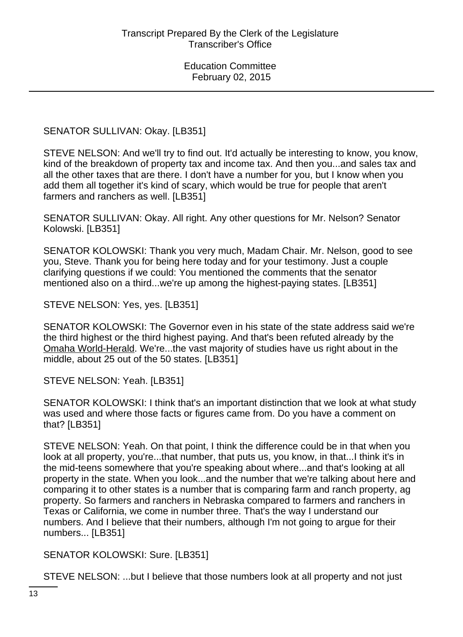SENATOR SULLIVAN: Okay. [LB351]

STEVE NELSON: And we'll try to find out. It'd actually be interesting to know, you know, kind of the breakdown of property tax and income tax. And then you...and sales tax and all the other taxes that are there. I don't have a number for you, but I know when you add them all together it's kind of scary, which would be true for people that aren't farmers and ranchers as well. [LB351]

SENATOR SULLIVAN: Okay. All right. Any other questions for Mr. Nelson? Senator Kolowski. [LB351]

SENATOR KOLOWSKI: Thank you very much, Madam Chair. Mr. Nelson, good to see you, Steve. Thank you for being here today and for your testimony. Just a couple clarifying questions if we could: You mentioned the comments that the senator mentioned also on a third...we're up among the highest-paying states. [LB351]

STEVE NELSON: Yes, yes. [LB351]

SENATOR KOLOWSKI: The Governor even in his state of the state address said we're the third highest or the third highest paying. And that's been refuted already by the Omaha World-Herald. We're...the vast majority of studies have us right about in the middle, about 25 out of the 50 states. [LB351]

STEVE NELSON: Yeah. [LB351]

SENATOR KOLOWSKI: I think that's an important distinction that we look at what study was used and where those facts or figures came from. Do you have a comment on that? [LB351]

STEVE NELSON: Yeah. On that point, I think the difference could be in that when you look at all property, you're...that number, that puts us, you know, in that...I think it's in the mid-teens somewhere that you're speaking about where...and that's looking at all property in the state. When you look...and the number that we're talking about here and comparing it to other states is a number that is comparing farm and ranch property, ag property. So farmers and ranchers in Nebraska compared to farmers and ranchers in Texas or California, we come in number three. That's the way I understand our numbers. And I believe that their numbers, although I'm not going to argue for their numbers... [LB351]

SENATOR KOLOWSKI: Sure. [LB351]

STEVE NELSON: ...but I believe that those numbers look at all property and not just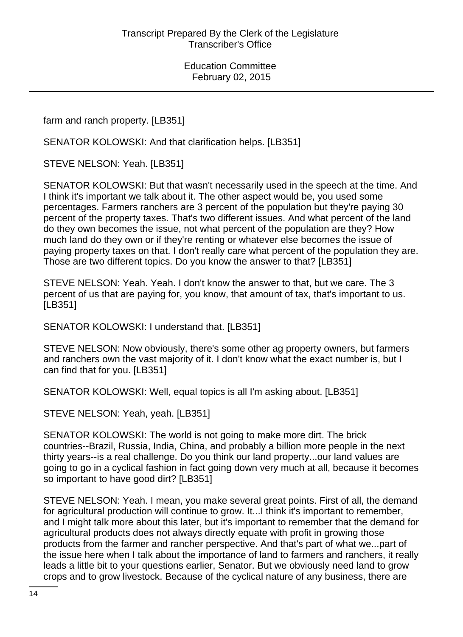farm and ranch property. [LB351]

SENATOR KOLOWSKI: And that clarification helps. [LB351]

STEVE NELSON: Yeah. [LB351]

SENATOR KOLOWSKI: But that wasn't necessarily used in the speech at the time. And I think it's important we talk about it. The other aspect would be, you used some percentages. Farmers ranchers are 3 percent of the population but they're paying 30 percent of the property taxes. That's two different issues. And what percent of the land do they own becomes the issue, not what percent of the population are they? How much land do they own or if they're renting or whatever else becomes the issue of paying property taxes on that. I don't really care what percent of the population they are. Those are two different topics. Do you know the answer to that? [LB351]

STEVE NELSON: Yeah. Yeah. I don't know the answer to that, but we care. The 3 percent of us that are paying for, you know, that amount of tax, that's important to us. [LB351]

SENATOR KOLOWSKI: I understand that. [LB351]

STEVE NELSON: Now obviously, there's some other ag property owners, but farmers and ranchers own the vast majority of it. I don't know what the exact number is, but I can find that for you. [LB351]

SENATOR KOLOWSKI: Well, equal topics is all I'm asking about. [LB351]

STEVE NELSON: Yeah, yeah. [LB351]

SENATOR KOLOWSKI: The world is not going to make more dirt. The brick countries--Brazil, Russia, India, China, and probably a billion more people in the next thirty years--is a real challenge. Do you think our land property...our land values are going to go in a cyclical fashion in fact going down very much at all, because it becomes so important to have good dirt? [LB351]

STEVE NELSON: Yeah. I mean, you make several great points. First of all, the demand for agricultural production will continue to grow. It...I think it's important to remember, and I might talk more about this later, but it's important to remember that the demand for agricultural products does not always directly equate with profit in growing those products from the farmer and rancher perspective. And that's part of what we...part of the issue here when I talk about the importance of land to farmers and ranchers, it really leads a little bit to your questions earlier, Senator. But we obviously need land to grow crops and to grow livestock. Because of the cyclical nature of any business, there are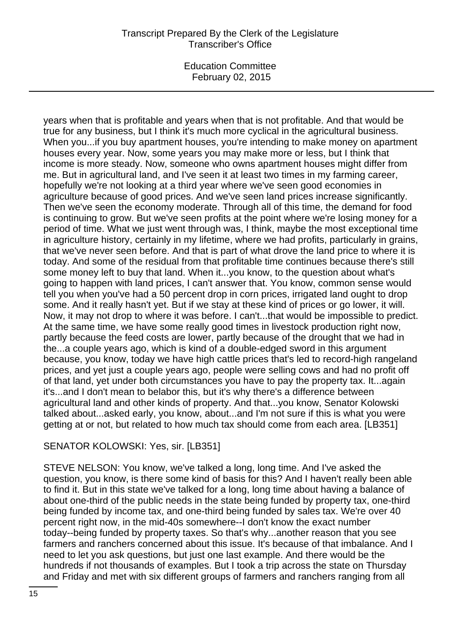Education Committee February 02, 2015

years when that is profitable and years when that is not profitable. And that would be true for any business, but I think it's much more cyclical in the agricultural business. When you...if you buy apartment houses, you're intending to make money on apartment houses every year. Now, some years you may make more or less, but I think that income is more steady. Now, someone who owns apartment houses might differ from me. But in agricultural land, and I've seen it at least two times in my farming career, hopefully we're not looking at a third year where we've seen good economies in agriculture because of good prices. And we've seen land prices increase significantly. Then we've seen the economy moderate. Through all of this time, the demand for food is continuing to grow. But we've seen profits at the point where we're losing money for a period of time. What we just went through was, I think, maybe the most exceptional time in agriculture history, certainly in my lifetime, where we had profits, particularly in grains, that we've never seen before. And that is part of what drove the land price to where it is today. And some of the residual from that profitable time continues because there's still some money left to buy that land. When it...you know, to the question about what's going to happen with land prices, I can't answer that. You know, common sense would tell you when you've had a 50 percent drop in corn prices, irrigated land ought to drop some. And it really hasn't yet. But if we stay at these kind of prices or go lower, it will. Now, it may not drop to where it was before. I can't...that would be impossible to predict. At the same time, we have some really good times in livestock production right now, partly because the feed costs are lower, partly because of the drought that we had in the...a couple years ago, which is kind of a double-edged sword in this argument because, you know, today we have high cattle prices that's led to record-high rangeland prices, and yet just a couple years ago, people were selling cows and had no profit off of that land, yet under both circumstances you have to pay the property tax. It...again it's...and I don't mean to belabor this, but it's why there's a difference between agricultural land and other kinds of property. And that...you know, Senator Kolowski talked about...asked early, you know, about...and I'm not sure if this is what you were getting at or not, but related to how much tax should come from each area. [LB351]

#### SENATOR KOLOWSKI: Yes, sir. [LB351]

STEVE NELSON: You know, we've talked a long, long time. And I've asked the question, you know, is there some kind of basis for this? And I haven't really been able to find it. But in this state we've talked for a long, long time about having a balance of about one-third of the public needs in the state being funded by property tax, one-third being funded by income tax, and one-third being funded by sales tax. We're over 40 percent right now, in the mid-40s somewhere--I don't know the exact number today--being funded by property taxes. So that's why...another reason that you see farmers and ranchers concerned about this issue. It's because of that imbalance. And I need to let you ask questions, but just one last example. And there would be the hundreds if not thousands of examples. But I took a trip across the state on Thursday and Friday and met with six different groups of farmers and ranchers ranging from all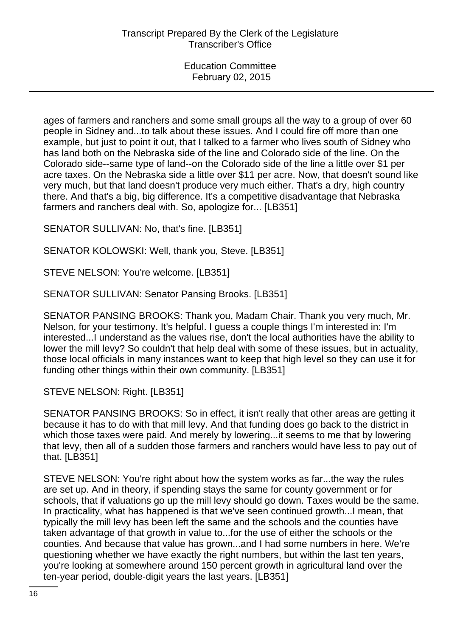ages of farmers and ranchers and some small groups all the way to a group of over 60 people in Sidney and...to talk about these issues. And I could fire off more than one example, but just to point it out, that I talked to a farmer who lives south of Sidney who has land both on the Nebraska side of the line and Colorado side of the line. On the Colorado side--same type of land--on the Colorado side of the line a little over \$1 per acre taxes. On the Nebraska side a little over \$11 per acre. Now, that doesn't sound like very much, but that land doesn't produce very much either. That's a dry, high country there. And that's a big, big difference. It's a competitive disadvantage that Nebraska farmers and ranchers deal with. So, apologize for... [LB351]

SENATOR SULLIVAN: No, that's fine. [LB351]

SENATOR KOLOWSKI: Well, thank you, Steve. [LB351]

STEVE NELSON: You're welcome. [LB351]

SENATOR SULLIVAN: Senator Pansing Brooks. [LB351]

SENATOR PANSING BROOKS: Thank you, Madam Chair. Thank you very much, Mr. Nelson, for your testimony. It's helpful. I guess a couple things I'm interested in: I'm interested...I understand as the values rise, don't the local authorities have the ability to lower the mill levy? So couldn't that help deal with some of these issues, but in actuality, those local officials in many instances want to keep that high level so they can use it for funding other things within their own community. [LB351]

STEVE NELSON: Right. [LB351]

SENATOR PANSING BROOKS: So in effect, it isn't really that other areas are getting it because it has to do with that mill levy. And that funding does go back to the district in which those taxes were paid. And merely by lowering...it seems to me that by lowering that levy, then all of a sudden those farmers and ranchers would have less to pay out of that. [LB351]

STEVE NELSON: You're right about how the system works as far...the way the rules are set up. And in theory, if spending stays the same for county government or for schools, that if valuations go up the mill levy should go down. Taxes would be the same. In practicality, what has happened is that we've seen continued growth...I mean, that typically the mill levy has been left the same and the schools and the counties have taken advantage of that growth in value to...for the use of either the schools or the counties. And because that value has grown...and I had some numbers in here. We're questioning whether we have exactly the right numbers, but within the last ten years, you're looking at somewhere around 150 percent growth in agricultural land over the ten-year period, double-digit years the last years. [LB351]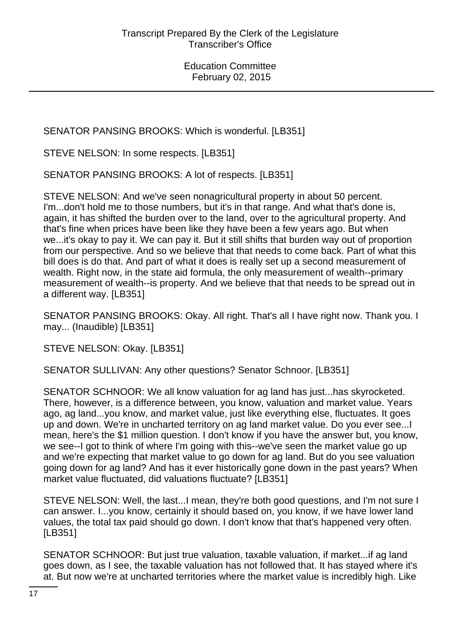SENATOR PANSING BROOKS: Which is wonderful. [LB351]

STEVE NELSON: In some respects. [LB351]

SENATOR PANSING BROOKS: A lot of respects. [LB351]

STEVE NELSON: And we've seen nonagricultural property in about 50 percent. I'm...don't hold me to those numbers, but it's in that range. And what that's done is, again, it has shifted the burden over to the land, over to the agricultural property. And that's fine when prices have been like they have been a few years ago. But when we...it's okay to pay it. We can pay it. But it still shifts that burden way out of proportion from our perspective. And so we believe that that needs to come back. Part of what this bill does is do that. And part of what it does is really set up a second measurement of wealth. Right now, in the state aid formula, the only measurement of wealth--primary measurement of wealth--is property. And we believe that that needs to be spread out in a different way. [LB351]

SENATOR PANSING BROOKS: Okay. All right. That's all I have right now. Thank you. I may... (Inaudible) [LB351]

STEVE NELSON: Okay. [LB351]

SENATOR SULLIVAN: Any other questions? Senator Schnoor. [LB351]

SENATOR SCHNOOR: We all know valuation for ag land has just...has skyrocketed. There, however, is a difference between, you know, valuation and market value. Years ago, ag land...you know, and market value, just like everything else, fluctuates. It goes up and down. We're in uncharted territory on ag land market value. Do you ever see...I mean, here's the \$1 million question. I don't know if you have the answer but, you know, we see--I got to think of where I'm going with this--we've seen the market value go up and we're expecting that market value to go down for ag land. But do you see valuation going down for ag land? And has it ever historically gone down in the past years? When market value fluctuated, did valuations fluctuate? [LB351]

STEVE NELSON: Well, the last...I mean, they're both good questions, and I'm not sure I can answer. I...you know, certainly it should based on, you know, if we have lower land values, the total tax paid should go down. I don't know that that's happened very often. [LB351]

SENATOR SCHNOOR: But just true valuation, taxable valuation, if market...if ag land goes down, as I see, the taxable valuation has not followed that. It has stayed where it's at. But now we're at uncharted territories where the market value is incredibly high. Like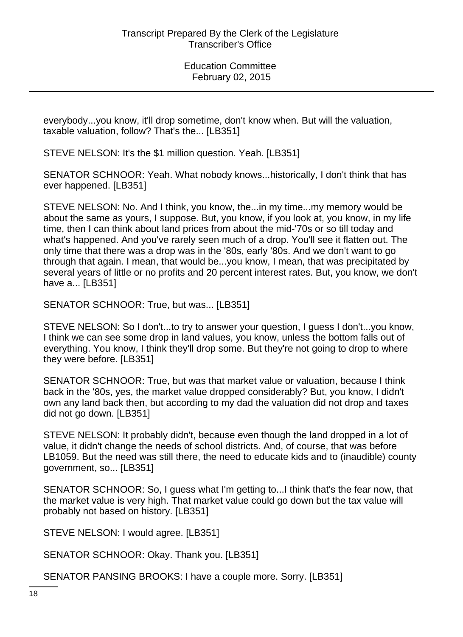everybody...you know, it'll drop sometime, don't know when. But will the valuation, taxable valuation, follow? That's the... [LB351]

STEVE NELSON: It's the \$1 million question. Yeah. [LB351]

SENATOR SCHNOOR: Yeah. What nobody knows...historically, I don't think that has ever happened. [LB351]

STEVE NELSON: No. And I think, you know, the...in my time...my memory would be about the same as yours, I suppose. But, you know, if you look at, you know, in my life time, then I can think about land prices from about the mid-'70s or so till today and what's happened. And you've rarely seen much of a drop. You'll see it flatten out. The only time that there was a drop was in the '80s, early '80s. And we don't want to go through that again. I mean, that would be...you know, I mean, that was precipitated by several years of little or no profits and 20 percent interest rates. But, you know, we don't have a... [LB351]

SENATOR SCHNOOR: True, but was... [LB351]

STEVE NELSON: So I don't...to try to answer your question, I guess I don't...you know, I think we can see some drop in land values, you know, unless the bottom falls out of everything. You know, I think they'll drop some. But they're not going to drop to where they were before. [LB351]

SENATOR SCHNOOR: True, but was that market value or valuation, because I think back in the '80s, yes, the market value dropped considerably? But, you know, I didn't own any land back then, but according to my dad the valuation did not drop and taxes did not go down. [LB351]

STEVE NELSON: It probably didn't, because even though the land dropped in a lot of value, it didn't change the needs of school districts. And, of course, that was before LB1059. But the need was still there, the need to educate kids and to (inaudible) county government, so... [LB351]

SENATOR SCHNOOR: So, I guess what I'm getting to...I think that's the fear now, that the market value is very high. That market value could go down but the tax value will probably not based on history. [LB351]

STEVE NELSON: I would agree. [LB351]

SENATOR SCHNOOR: Okay. Thank you. [LB351]

SENATOR PANSING BROOKS: I have a couple more. Sorry. [LB351]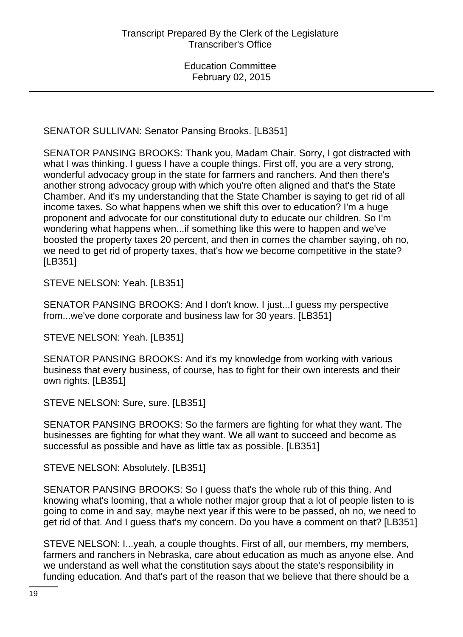SENATOR SULLIVAN: Senator Pansing Brooks. [LB351]

SENATOR PANSING BROOKS: Thank you, Madam Chair. Sorry, I got distracted with what I was thinking. I guess I have a couple things. First off, you are a very strong, wonderful advocacy group in the state for farmers and ranchers. And then there's another strong advocacy group with which you're often aligned and that's the State Chamber. And it's my understanding that the State Chamber is saying to get rid of all income taxes. So what happens when we shift this over to education? I'm a huge proponent and advocate for our constitutional duty to educate our children. So I'm wondering what happens when...if something like this were to happen and we've boosted the property taxes 20 percent, and then in comes the chamber saying, oh no, we need to get rid of property taxes, that's how we become competitive in the state? [LB351]

STEVE NELSON: Yeah. [LB351]

SENATOR PANSING BROOKS: And I don't know. I just...I guess my perspective from...we've done corporate and business law for 30 years. [LB351]

STEVE NELSON: Yeah. [LB351]

SENATOR PANSING BROOKS: And it's my knowledge from working with various business that every business, of course, has to fight for their own interests and their own rights. [LB351]

STEVE NELSON: Sure, sure. [LB351]

SENATOR PANSING BROOKS: So the farmers are fighting for what they want. The businesses are fighting for what they want. We all want to succeed and become as successful as possible and have as little tax as possible. [LB351]

STEVE NELSON: Absolutely. [LB351]

SENATOR PANSING BROOKS: So I guess that's the whole rub of this thing. And knowing what's looming, that a whole nother major group that a lot of people listen to is going to come in and say, maybe next year if this were to be passed, oh no, we need to get rid of that. And I guess that's my concern. Do you have a comment on that? [LB351]

STEVE NELSON: I...yeah, a couple thoughts. First of all, our members, my members, farmers and ranchers in Nebraska, care about education as much as anyone else. And we understand as well what the constitution says about the state's responsibility in funding education. And that's part of the reason that we believe that there should be a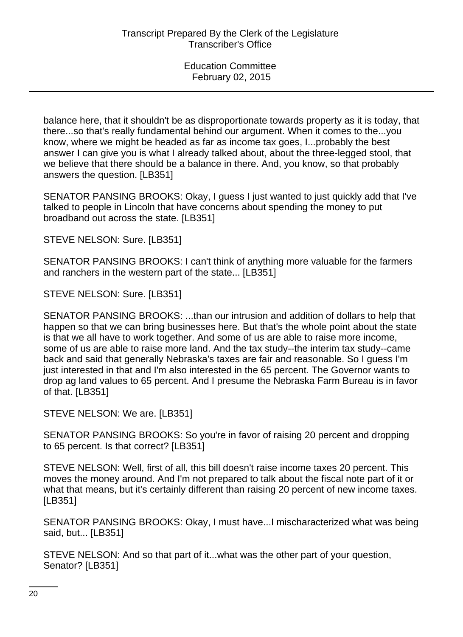balance here, that it shouldn't be as disproportionate towards property as it is today, that there...so that's really fundamental behind our argument. When it comes to the...you know, where we might be headed as far as income tax goes, I...probably the best answer I can give you is what I already talked about, about the three-legged stool, that we believe that there should be a balance in there. And, you know, so that probably answers the question. [LB351]

SENATOR PANSING BROOKS: Okay, I guess I just wanted to just quickly add that I've talked to people in Lincoln that have concerns about spending the money to put broadband out across the state. [LB351]

STEVE NELSON: Sure. [LB351]

SENATOR PANSING BROOKS: I can't think of anything more valuable for the farmers and ranchers in the western part of the state... [LB351]

STEVE NELSON: Sure. [LB351]

SENATOR PANSING BROOKS: ...than our intrusion and addition of dollars to help that happen so that we can bring businesses here. But that's the whole point about the state is that we all have to work together. And some of us are able to raise more income, some of us are able to raise more land. And the tax study--the interim tax study--came back and said that generally Nebraska's taxes are fair and reasonable. So I guess I'm just interested in that and I'm also interested in the 65 percent. The Governor wants to drop ag land values to 65 percent. And I presume the Nebraska Farm Bureau is in favor of that. [LB351]

STEVE NELSON: We are. [LB351]

SENATOR PANSING BROOKS: So you're in favor of raising 20 percent and dropping to 65 percent. Is that correct? [LB351]

STEVE NELSON: Well, first of all, this bill doesn't raise income taxes 20 percent. This moves the money around. And I'm not prepared to talk about the fiscal note part of it or what that means, but it's certainly different than raising 20 percent of new income taxes. [LB351]

SENATOR PANSING BROOKS: Okay, I must have...I mischaracterized what was being said, but... [LB351]

STEVE NELSON: And so that part of it...what was the other part of your question, Senator? [LB351]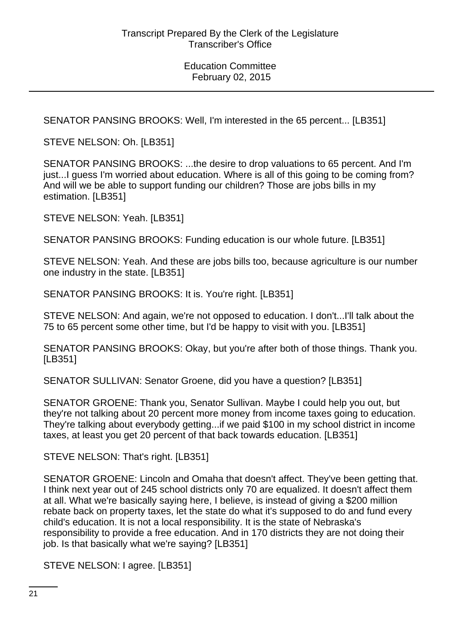SENATOR PANSING BROOKS: Well, I'm interested in the 65 percent... [LB351]

STEVE NELSON: Oh. [LB351]

SENATOR PANSING BROOKS: ...the desire to drop valuations to 65 percent. And I'm just...I guess I'm worried about education. Where is all of this going to be coming from? And will we be able to support funding our children? Those are jobs bills in my estimation. [LB351]

STEVE NELSON: Yeah. [LB351]

SENATOR PANSING BROOKS: Funding education is our whole future. [LB351]

STEVE NELSON: Yeah. And these are jobs bills too, because agriculture is our number one industry in the state. [LB351]

SENATOR PANSING BROOKS: It is. You're right. [LB351]

STEVE NELSON: And again, we're not opposed to education. I don't...I'll talk about the 75 to 65 percent some other time, but I'd be happy to visit with you. [LB351]

SENATOR PANSING BROOKS: Okay, but you're after both of those things. Thank you. [LB351]

SENATOR SULLIVAN: Senator Groene, did you have a question? [LB351]

SENATOR GROENE: Thank you, Senator Sullivan. Maybe I could help you out, but they're not talking about 20 percent more money from income taxes going to education. They're talking about everybody getting...if we paid \$100 in my school district in income taxes, at least you get 20 percent of that back towards education. [LB351]

STEVE NELSON: That's right. [LB351]

SENATOR GROENE: Lincoln and Omaha that doesn't affect. They've been getting that. I think next year out of 245 school districts only 70 are equalized. It doesn't affect them at all. What we're basically saying here, I believe, is instead of giving a \$200 million rebate back on property taxes, let the state do what it's supposed to do and fund every child's education. It is not a local responsibility. It is the state of Nebraska's responsibility to provide a free education. And in 170 districts they are not doing their job. Is that basically what we're saying? [LB351]

STEVE NELSON: I agree. [LB351]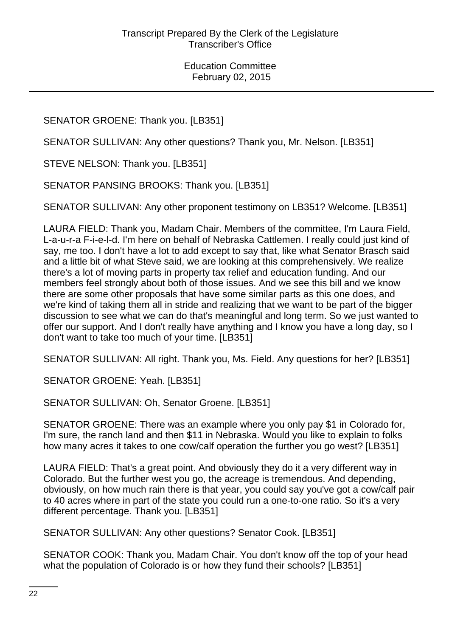SENATOR GROENE: Thank you. [LB351]

SENATOR SULLIVAN: Any other questions? Thank you, Mr. Nelson. [LB351]

STEVE NELSON: Thank you. [LB351]

SENATOR PANSING BROOKS: Thank you. [LB351]

SENATOR SULLIVAN: Any other proponent testimony on LB351? Welcome. [LB351]

LAURA FIELD: Thank you, Madam Chair. Members of the committee, I'm Laura Field, L-a-u-r-a F-i-e-l-d. I'm here on behalf of Nebraska Cattlemen. I really could just kind of say, me too. I don't have a lot to add except to say that, like what Senator Brasch said and a little bit of what Steve said, we are looking at this comprehensively. We realize there's a lot of moving parts in property tax relief and education funding. And our members feel strongly about both of those issues. And we see this bill and we know there are some other proposals that have some similar parts as this one does, and we're kind of taking them all in stride and realizing that we want to be part of the bigger discussion to see what we can do that's meaningful and long term. So we just wanted to offer our support. And I don't really have anything and I know you have a long day, so I don't want to take too much of your time. [LB351]

SENATOR SULLIVAN: All right. Thank you, Ms. Field. Any questions for her? [LB351]

SENATOR GROENE: Yeah. [LB351]

SENATOR SULLIVAN: Oh, Senator Groene. [LB351]

SENATOR GROENE: There was an example where you only pay \$1 in Colorado for, I'm sure, the ranch land and then \$11 in Nebraska. Would you like to explain to folks how many acres it takes to one cow/calf operation the further you go west? [LB351]

LAURA FIELD: That's a great point. And obviously they do it a very different way in Colorado. But the further west you go, the acreage is tremendous. And depending, obviously, on how much rain there is that year, you could say you've got a cow/calf pair to 40 acres where in part of the state you could run a one-to-one ratio. So it's a very different percentage. Thank you. [LB351]

SENATOR SULLIVAN: Any other questions? Senator Cook. [LB351]

SENATOR COOK: Thank you, Madam Chair. You don't know off the top of your head what the population of Colorado is or how they fund their schools? [LB351]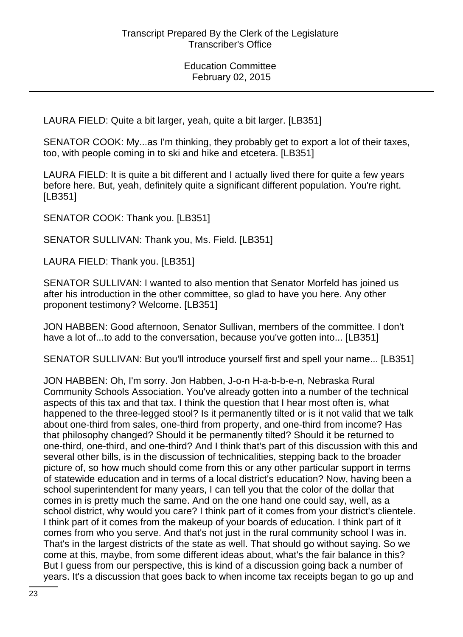LAURA FIELD: Quite a bit larger, yeah, quite a bit larger. [LB351]

SENATOR COOK: My...as I'm thinking, they probably get to export a lot of their taxes, too, with people coming in to ski and hike and etcetera. [LB351]

LAURA FIELD: It is quite a bit different and I actually lived there for quite a few years before here. But, yeah, definitely quite a significant different population. You're right. [LB351]

SENATOR COOK: Thank you. [LB351]

SENATOR SULLIVAN: Thank you, Ms. Field. [LB351]

LAURA FIELD: Thank you. [LB351]

SENATOR SULLIVAN: I wanted to also mention that Senator Morfeld has joined us after his introduction in the other committee, so glad to have you here. Any other proponent testimony? Welcome. [LB351]

JON HABBEN: Good afternoon, Senator Sullivan, members of the committee. I don't have a lot of...to add to the conversation, because you've gotten into... [LB351]

SENATOR SULLIVAN: But you'll introduce yourself first and spell your name... [LB351]

JON HABBEN: Oh, I'm sorry. Jon Habben, J-o-n H-a-b-b-e-n, Nebraska Rural Community Schools Association. You've already gotten into a number of the technical aspects of this tax and that tax. I think the question that I hear most often is, what happened to the three-legged stool? Is it permanently tilted or is it not valid that we talk about one-third from sales, one-third from property, and one-third from income? Has that philosophy changed? Should it be permanently tilted? Should it be returned to one-third, one-third, and one-third? And I think that's part of this discussion with this and several other bills, is in the discussion of technicalities, stepping back to the broader picture of, so how much should come from this or any other particular support in terms of statewide education and in terms of a local district's education? Now, having been a school superintendent for many years, I can tell you that the color of the dollar that comes in is pretty much the same. And on the one hand one could say, well, as a school district, why would you care? I think part of it comes from your district's clientele. I think part of it comes from the makeup of your boards of education. I think part of it comes from who you serve. And that's not just in the rural community school I was in. That's in the largest districts of the state as well. That should go without saying. So we come at this, maybe, from some different ideas about, what's the fair balance in this? But I guess from our perspective, this is kind of a discussion going back a number of years. It's a discussion that goes back to when income tax receipts began to go up and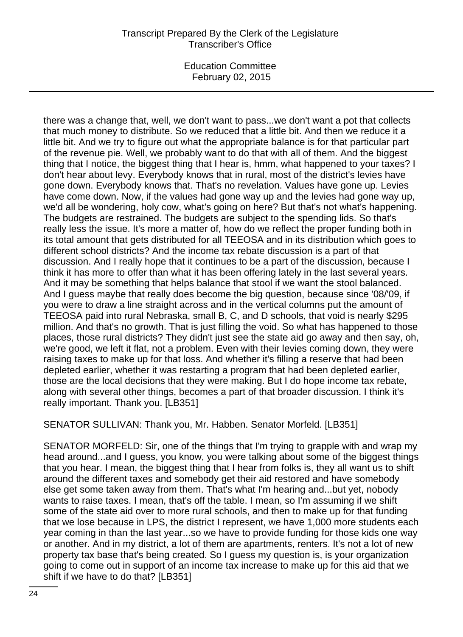Education Committee February 02, 2015

there was a change that, well, we don't want to pass...we don't want a pot that collects that much money to distribute. So we reduced that a little bit. And then we reduce it a little bit. And we try to figure out what the appropriate balance is for that particular part of the revenue pie. Well, we probably want to do that with all of them. And the biggest thing that I notice, the biggest thing that I hear is, hmm, what happened to your taxes? I don't hear about levy. Everybody knows that in rural, most of the district's levies have gone down. Everybody knows that. That's no revelation. Values have gone up. Levies have come down. Now, if the values had gone way up and the levies had gone way up, we'd all be wondering, holy cow, what's going on here? But that's not what's happening. The budgets are restrained. The budgets are subject to the spending lids. So that's really less the issue. It's more a matter of, how do we reflect the proper funding both in its total amount that gets distributed for all TEEOSA and in its distribution which goes to different school districts? And the income tax rebate discussion is a part of that discussion. And I really hope that it continues to be a part of the discussion, because I think it has more to offer than what it has been offering lately in the last several years. And it may be something that helps balance that stool if we want the stool balanced. And I guess maybe that really does become the big question, because since '08/'09, if you were to draw a line straight across and in the vertical columns put the amount of TEEOSA paid into rural Nebraska, small B, C, and D schools, that void is nearly \$295 million. And that's no growth. That is just filling the void. So what has happened to those places, those rural districts? They didn't just see the state aid go away and then say, oh, we're good, we left it flat, not a problem. Even with their levies coming down, they were raising taxes to make up for that loss. And whether it's filling a reserve that had been depleted earlier, whether it was restarting a program that had been depleted earlier, those are the local decisions that they were making. But I do hope income tax rebate, along with several other things, becomes a part of that broader discussion. I think it's really important. Thank you. [LB351]

SENATOR SULLIVAN: Thank you, Mr. Habben. Senator Morfeld. [LB351]

SENATOR MORFELD: Sir, one of the things that I'm trying to grapple with and wrap my head around...and I guess, you know, you were talking about some of the biggest things that you hear. I mean, the biggest thing that I hear from folks is, they all want us to shift around the different taxes and somebody get their aid restored and have somebody else get some taken away from them. That's what I'm hearing and...but yet, nobody wants to raise taxes. I mean, that's off the table. I mean, so I'm assuming if we shift some of the state aid over to more rural schools, and then to make up for that funding that we lose because in LPS, the district I represent, we have 1,000 more students each year coming in than the last year...so we have to provide funding for those kids one way or another. And in my district, a lot of them are apartments, renters. It's not a lot of new property tax base that's being created. So I guess my question is, is your organization going to come out in support of an income tax increase to make up for this aid that we shift if we have to do that? [LB351]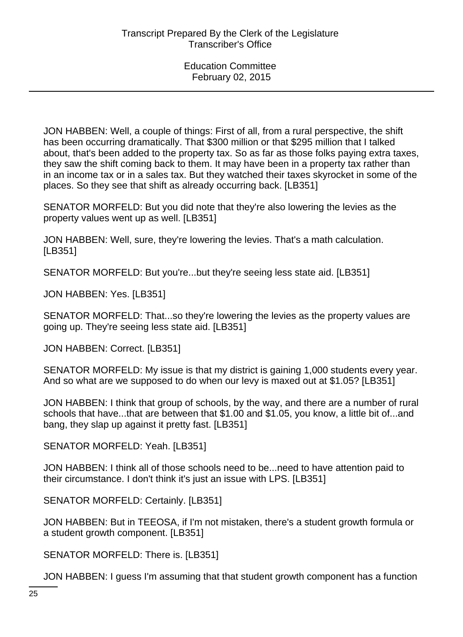JON HABBEN: Well, a couple of things: First of all, from a rural perspective, the shift has been occurring dramatically. That \$300 million or that \$295 million that I talked about, that's been added to the property tax. So as far as those folks paying extra taxes, they saw the shift coming back to them. It may have been in a property tax rather than in an income tax or in a sales tax. But they watched their taxes skyrocket in some of the places. So they see that shift as already occurring back. [LB351]

SENATOR MORFELD: But you did note that they're also lowering the levies as the property values went up as well. [LB351]

JON HABBEN: Well, sure, they're lowering the levies. That's a math calculation. [LB351]

SENATOR MORFELD: But you're...but they're seeing less state aid. [LB351]

JON HABBEN: Yes. [LB351]

SENATOR MORFELD: That...so they're lowering the levies as the property values are going up. They're seeing less state aid. [LB351]

JON HABBEN: Correct. [LB351]

SENATOR MORFELD: My issue is that my district is gaining 1,000 students every year. And so what are we supposed to do when our levy is maxed out at \$1.05? [LB351]

JON HABBEN: I think that group of schools, by the way, and there are a number of rural schools that have...that are between that \$1.00 and \$1.05, you know, a little bit of...and bang, they slap up against it pretty fast. [LB351]

SENATOR MORFELD: Yeah. [LB351]

JON HABBEN: I think all of those schools need to be...need to have attention paid to their circumstance. I don't think it's just an issue with LPS. [LB351]

SENATOR MORFELD: Certainly. [LB351]

JON HABBEN: But in TEEOSA, if I'm not mistaken, there's a student growth formula or a student growth component. [LB351]

SENATOR MORFELD: There is. [LB351]

JON HABBEN: I guess I'm assuming that that student growth component has a function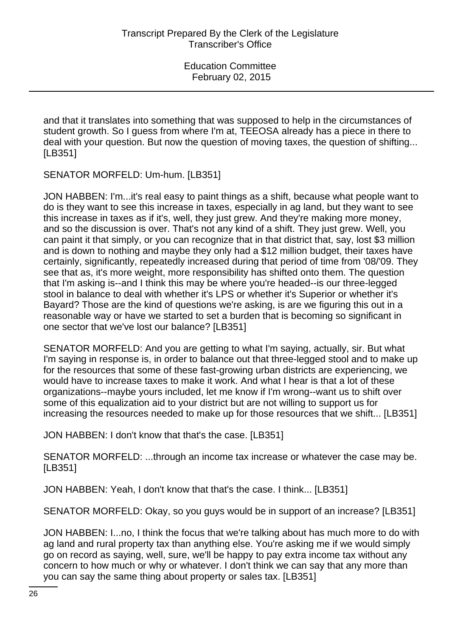and that it translates into something that was supposed to help in the circumstances of student growth. So I guess from where I'm at, TEEOSA already has a piece in there to deal with your question. But now the question of moving taxes, the question of shifting... [LB351]

SENATOR MORFELD: Um-hum. [LB351]

JON HABBEN: I'm...it's real easy to paint things as a shift, because what people want to do is they want to see this increase in taxes, especially in ag land, but they want to see this increase in taxes as if it's, well, they just grew. And they're making more money, and so the discussion is over. That's not any kind of a shift. They just grew. Well, you can paint it that simply, or you can recognize that in that district that, say, lost \$3 million and is down to nothing and maybe they only had a \$12 million budget, their taxes have certainly, significantly, repeatedly increased during that period of time from '08/'09. They see that as, it's more weight, more responsibility has shifted onto them. The question that I'm asking is--and I think this may be where you're headed--is our three-legged stool in balance to deal with whether it's LPS or whether it's Superior or whether it's Bayard? Those are the kind of questions we're asking, is are we figuring this out in a reasonable way or have we started to set a burden that is becoming so significant in one sector that we've lost our balance? [LB351]

SENATOR MORFELD: And you are getting to what I'm saying, actually, sir. But what I'm saying in response is, in order to balance out that three-legged stool and to make up for the resources that some of these fast-growing urban districts are experiencing, we would have to increase taxes to make it work. And what I hear is that a lot of these organizations--maybe yours included, let me know if I'm wrong--want us to shift over some of this equalization aid to your district but are not willing to support us for increasing the resources needed to make up for those resources that we shift... [LB351]

JON HABBEN: I don't know that that's the case. [LB351]

SENATOR MORFELD: ...through an income tax increase or whatever the case may be. [LB351]

JON HABBEN: Yeah, I don't know that that's the case. I think... [LB351]

SENATOR MORFELD: Okay, so you guys would be in support of an increase? [LB351]

JON HABBEN: I...no, I think the focus that we're talking about has much more to do with ag land and rural property tax than anything else. You're asking me if we would simply go on record as saying, well, sure, we'll be happy to pay extra income tax without any concern to how much or why or whatever. I don't think we can say that any more than you can say the same thing about property or sales tax. [LB351]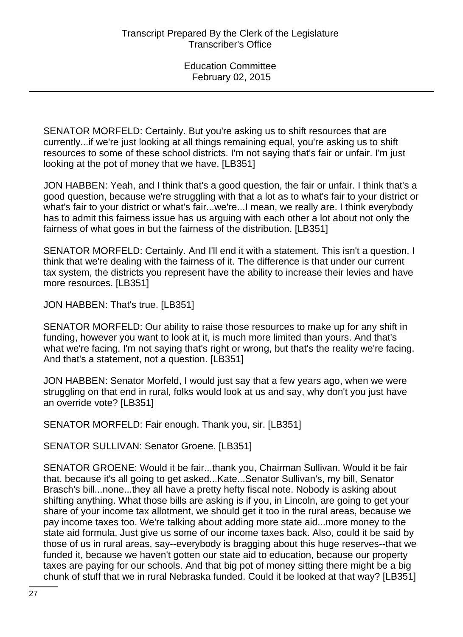SENATOR MORFELD: Certainly. But you're asking us to shift resources that are currently...if we're just looking at all things remaining equal, you're asking us to shift resources to some of these school districts. I'm not saying that's fair or unfair. I'm just looking at the pot of money that we have. [LB351]

JON HABBEN: Yeah, and I think that's a good question, the fair or unfair. I think that's a good question, because we're struggling with that a lot as to what's fair to your district or what's fair to your district or what's fair...we're...I mean, we really are. I think everybody has to admit this fairness issue has us arguing with each other a lot about not only the fairness of what goes in but the fairness of the distribution. [LB351]

SENATOR MORFELD: Certainly. And I'll end it with a statement. This isn't a question. I think that we're dealing with the fairness of it. The difference is that under our current tax system, the districts you represent have the ability to increase their levies and have more resources. [LB351]

JON HABBEN: That's true. [LB351]

SENATOR MORFELD: Our ability to raise those resources to make up for any shift in funding, however you want to look at it, is much more limited than yours. And that's what we're facing. I'm not saying that's right or wrong, but that's the reality we're facing. And that's a statement, not a question. [LB351]

JON HABBEN: Senator Morfeld, I would just say that a few years ago, when we were struggling on that end in rural, folks would look at us and say, why don't you just have an override vote? [LB351]

SENATOR MORFELD: Fair enough. Thank you, sir. [LB351]

SENATOR SULLIVAN: Senator Groene. [LB351]

SENATOR GROENE: Would it be fair...thank you, Chairman Sullivan. Would it be fair that, because it's all going to get asked...Kate...Senator Sullivan's, my bill, Senator Brasch's bill...none...they all have a pretty hefty fiscal note. Nobody is asking about shifting anything. What those bills are asking is if you, in Lincoln, are going to get your share of your income tax allotment, we should get it too in the rural areas, because we pay income taxes too. We're talking about adding more state aid...more money to the state aid formula. Just give us some of our income taxes back. Also, could it be said by those of us in rural areas, say--everybody is bragging about this huge reserves--that we funded it, because we haven't gotten our state aid to education, because our property taxes are paying for our schools. And that big pot of money sitting there might be a big chunk of stuff that we in rural Nebraska funded. Could it be looked at that way? [LB351]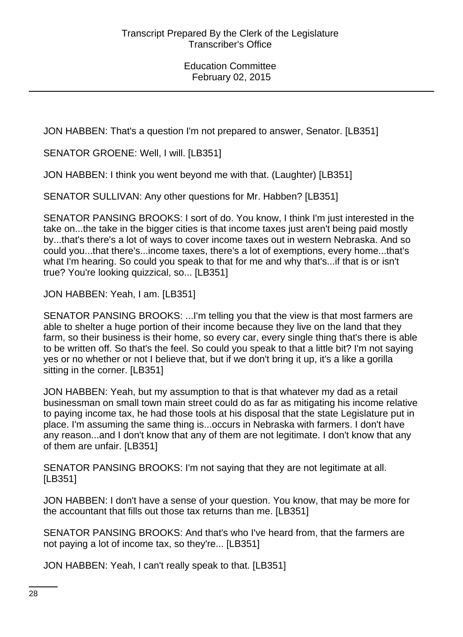JON HABBEN: That's a question I'm not prepared to answer, Senator. [LB351]

SENATOR GROENE: Well, I will. [LB351]

JON HABBEN: I think you went beyond me with that. (Laughter) [LB351]

SENATOR SULLIVAN: Any other questions for Mr. Habben? [LB351]

SENATOR PANSING BROOKS: I sort of do. You know, I think I'm just interested in the take on...the take in the bigger cities is that income taxes just aren't being paid mostly by...that's there's a lot of ways to cover income taxes out in western Nebraska. And so could you...that there's...income taxes, there's a lot of exemptions, every home...that's what I'm hearing. So could you speak to that for me and why that's...if that is or isn't true? You're looking quizzical, so... [LB351]

JON HABBEN: Yeah, I am. [LB351]

SENATOR PANSING BROOKS: ...I'm telling you that the view is that most farmers are able to shelter a huge portion of their income because they live on the land that they farm, so their business is their home, so every car, every single thing that's there is able to be written off. So that's the feel. So could you speak to that a little bit? I'm not saying yes or no whether or not I believe that, but if we don't bring it up, it's a like a gorilla sitting in the corner. [LB351]

JON HABBEN: Yeah, but my assumption to that is that whatever my dad as a retail businessman on small town main street could do as far as mitigating his income relative to paying income tax, he had those tools at his disposal that the state Legislature put in place. I'm assuming the same thing is...occurs in Nebraska with farmers. I don't have any reason...and I don't know that any of them are not legitimate. I don't know that any of them are unfair. [LB351]

SENATOR PANSING BROOKS: I'm not saying that they are not legitimate at all. [LB351]

JON HABBEN: I don't have a sense of your question. You know, that may be more for the accountant that fills out those tax returns than me. [LB351]

SENATOR PANSING BROOKS: And that's who I've heard from, that the farmers are not paying a lot of income tax, so they're... [LB351]

JON HABBEN: Yeah, I can't really speak to that. [LB351]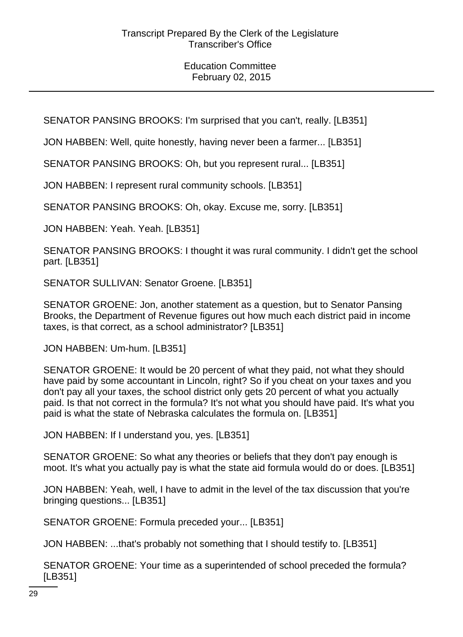SENATOR PANSING BROOKS: I'm surprised that you can't, really. [LB351]

JON HABBEN: Well, quite honestly, having never been a farmer... [LB351]

SENATOR PANSING BROOKS: Oh, but you represent rural... [LB351]

JON HABBEN: I represent rural community schools. [LB351]

SENATOR PANSING BROOKS: Oh, okay. Excuse me, sorry. [LB351]

JON HABBEN: Yeah. Yeah. [LB351]

SENATOR PANSING BROOKS: I thought it was rural community. I didn't get the school part. [LB351]

SENATOR SULLIVAN: Senator Groene. [LB351]

SENATOR GROENE: Jon, another statement as a question, but to Senator Pansing Brooks, the Department of Revenue figures out how much each district paid in income taxes, is that correct, as a school administrator? [LB351]

JON HABBEN: Um-hum. [LB351]

SENATOR GROENE: It would be 20 percent of what they paid, not what they should have paid by some accountant in Lincoln, right? So if you cheat on your taxes and you don't pay all your taxes, the school district only gets 20 percent of what you actually paid. Is that not correct in the formula? It's not what you should have paid. It's what you paid is what the state of Nebraska calculates the formula on. [LB351]

JON HABBEN: If I understand you, yes. [LB351]

SENATOR GROENE: So what any theories or beliefs that they don't pay enough is moot. It's what you actually pay is what the state aid formula would do or does. [LB351]

JON HABBEN: Yeah, well, I have to admit in the level of the tax discussion that you're bringing questions... [LB351]

SENATOR GROENE: Formula preceded your... [LB351]

JON HABBEN: ...that's probably not something that I should testify to. [LB351]

SENATOR GROENE: Your time as a superintended of school preceded the formula? [LB351]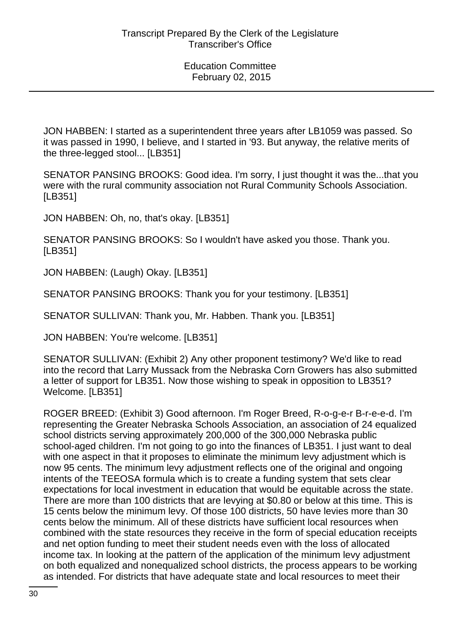JON HABBEN: I started as a superintendent three years after LB1059 was passed. So it was passed in 1990, I believe, and I started in '93. But anyway, the relative merits of the three-legged stool... [LB351]

SENATOR PANSING BROOKS: Good idea. I'm sorry, I just thought it was the...that you were with the rural community association not Rural Community Schools Association. [LB351]

JON HABBEN: Oh, no, that's okay. [LB351]

SENATOR PANSING BROOKS: So I wouldn't have asked you those. Thank you. [LB351]

JON HABBEN: (Laugh) Okay. [LB351]

SENATOR PANSING BROOKS: Thank you for your testimony. [LB351]

SENATOR SULLIVAN: Thank you, Mr. Habben. Thank you. [LB351]

JON HABBEN: You're welcome. [LB351]

SENATOR SULLIVAN: (Exhibit 2) Any other proponent testimony? We'd like to read into the record that Larry Mussack from the Nebraska Corn Growers has also submitted a letter of support for LB351. Now those wishing to speak in opposition to LB351? Welcome. [LB351]

ROGER BREED: (Exhibit 3) Good afternoon. I'm Roger Breed, R-o-g-e-r B-r-e-e-d. I'm representing the Greater Nebraska Schools Association, an association of 24 equalized school districts serving approximately 200,000 of the 300,000 Nebraska public school-aged children. I'm not going to go into the finances of LB351. I just want to deal with one aspect in that it proposes to eliminate the minimum levy adjustment which is now 95 cents. The minimum levy adjustment reflects one of the original and ongoing intents of the TEEOSA formula which is to create a funding system that sets clear expectations for local investment in education that would be equitable across the state. There are more than 100 districts that are levying at \$0.80 or below at this time. This is 15 cents below the minimum levy. Of those 100 districts, 50 have levies more than 30 cents below the minimum. All of these districts have sufficient local resources when combined with the state resources they receive in the form of special education receipts and net option funding to meet their student needs even with the loss of allocated income tax. In looking at the pattern of the application of the minimum levy adjustment on both equalized and nonequalized school districts, the process appears to be working as intended. For districts that have adequate state and local resources to meet their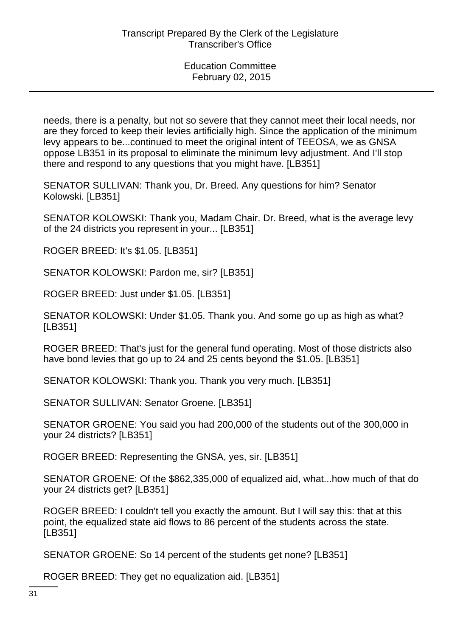needs, there is a penalty, but not so severe that they cannot meet their local needs, nor are they forced to keep their levies artificially high. Since the application of the minimum levy appears to be...continued to meet the original intent of TEEOSA, we as GNSA oppose LB351 in its proposal to eliminate the minimum levy adjustment. And I'll stop there and respond to any questions that you might have. [LB351]

SENATOR SULLIVAN: Thank you, Dr. Breed. Any questions for him? Senator Kolowski. [LB351]

SENATOR KOLOWSKI: Thank you, Madam Chair. Dr. Breed, what is the average levy of the 24 districts you represent in your... [LB351]

ROGER BREED: It's \$1.05. [LB351]

SENATOR KOLOWSKI: Pardon me, sir? [LB351]

ROGER BREED: Just under \$1.05. [LB351]

SENATOR KOLOWSKI: Under \$1.05. Thank you. And some go up as high as what? [LB351]

ROGER BREED: That's just for the general fund operating. Most of those districts also have bond levies that go up to 24 and 25 cents beyond the \$1.05. [LB351]

SENATOR KOLOWSKI: Thank you. Thank you very much. [LB351]

SENATOR SULLIVAN: Senator Groene. [LB351]

SENATOR GROENE: You said you had 200,000 of the students out of the 300,000 in your 24 districts? [LB351]

ROGER BREED: Representing the GNSA, yes, sir. [LB351]

SENATOR GROENE: Of the \$862,335,000 of equalized aid, what...how much of that do your 24 districts get? [LB351]

ROGER BREED: I couldn't tell you exactly the amount. But I will say this: that at this point, the equalized state aid flows to 86 percent of the students across the state. [LB351]

SENATOR GROENE: So 14 percent of the students get none? [LB351]

ROGER BREED: They get no equalization aid. [LB351]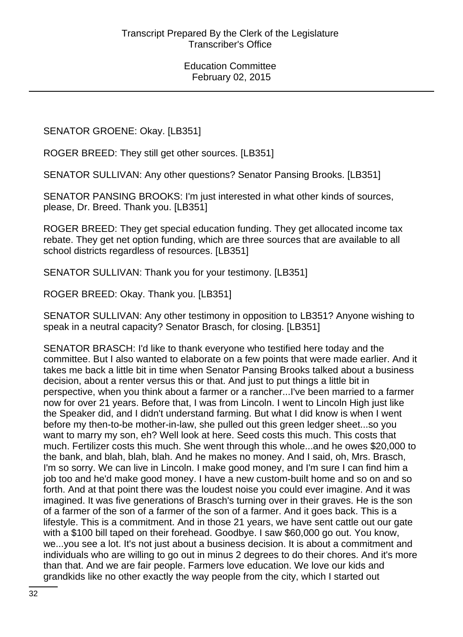SENATOR GROENE: Okay. [LB351]

ROGER BREED: They still get other sources. [LB351]

SENATOR SULLIVAN: Any other questions? Senator Pansing Brooks. [LB351]

SENATOR PANSING BROOKS: I'm just interested in what other kinds of sources, please, Dr. Breed. Thank you. [LB351]

ROGER BREED: They get special education funding. They get allocated income tax rebate. They get net option funding, which are three sources that are available to all school districts regardless of resources. [LB351]

SENATOR SULLIVAN: Thank you for your testimony. [LB351]

ROGER BREED: Okay. Thank you. [LB351]

SENATOR SULLIVAN: Any other testimony in opposition to LB351? Anyone wishing to speak in a neutral capacity? Senator Brasch, for closing. [LB351]

SENATOR BRASCH: I'd like to thank everyone who testified here today and the committee. But I also wanted to elaborate on a few points that were made earlier. And it takes me back a little bit in time when Senator Pansing Brooks talked about a business decision, about a renter versus this or that. And just to put things a little bit in perspective, when you think about a farmer or a rancher...I've been married to a farmer now for over 21 years. Before that, I was from Lincoln. I went to Lincoln High just like the Speaker did, and I didn't understand farming. But what I did know is when I went before my then-to-be mother-in-law, she pulled out this green ledger sheet...so you want to marry my son, eh? Well look at here. Seed costs this much. This costs that much. Fertilizer costs this much. She went through this whole...and he owes \$20,000 to the bank, and blah, blah, blah. And he makes no money. And I said, oh, Mrs. Brasch, I'm so sorry. We can live in Lincoln. I make good money, and I'm sure I can find him a job too and he'd make good money. I have a new custom-built home and so on and so forth. And at that point there was the loudest noise you could ever imagine. And it was imagined. It was five generations of Brasch's turning over in their graves. He is the son of a farmer of the son of a farmer of the son of a farmer. And it goes back. This is a lifestyle. This is a commitment. And in those 21 years, we have sent cattle out our gate with a \$100 bill taped on their forehead. Goodbye. I saw \$60,000 go out. You know, we...you see a lot. It's not just about a business decision. It is about a commitment and individuals who are willing to go out in minus 2 degrees to do their chores. And it's more than that. And we are fair people. Farmers love education. We love our kids and grandkids like no other exactly the way people from the city, which I started out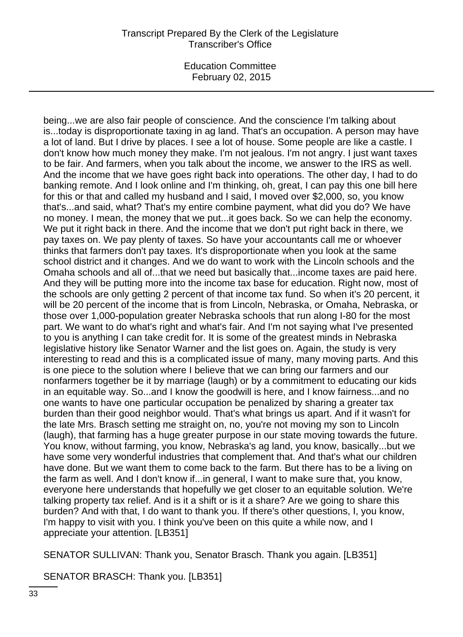Education Committee February 02, 2015

being...we are also fair people of conscience. And the conscience I'm talking about is...today is disproportionate taxing in ag land. That's an occupation. A person may have a lot of land. But I drive by places. I see a lot of house. Some people are like a castle. I don't know how much money they make. I'm not jealous. I'm not angry. I just want taxes to be fair. And farmers, when you talk about the income, we answer to the IRS as well. And the income that we have goes right back into operations. The other day, I had to do banking remote. And I look online and I'm thinking, oh, great, I can pay this one bill here for this or that and called my husband and I said, I moved over \$2,000, so, you know that's...and said, what? That's my entire combine payment, what did you do? We have no money. I mean, the money that we put...it goes back. So we can help the economy. We put it right back in there. And the income that we don't put right back in there, we pay taxes on. We pay plenty of taxes. So have your accountants call me or whoever thinks that farmers don't pay taxes. It's disproportionate when you look at the same school district and it changes. And we do want to work with the Lincoln schools and the Omaha schools and all of...that we need but basically that...income taxes are paid here. And they will be putting more into the income tax base for education. Right now, most of the schools are only getting 2 percent of that income tax fund. So when it's 20 percent, it will be 20 percent of the income that is from Lincoln, Nebraska, or Omaha, Nebraska, or those over 1,000-population greater Nebraska schools that run along I-80 for the most part. We want to do what's right and what's fair. And I'm not saying what I've presented to you is anything I can take credit for. It is some of the greatest minds in Nebraska legislative history like Senator Warner and the list goes on. Again, the study is very interesting to read and this is a complicated issue of many, many moving parts. And this is one piece to the solution where I believe that we can bring our farmers and our nonfarmers together be it by marriage (laugh) or by a commitment to educating our kids in an equitable way. So...and I know the goodwill is here, and I know fairness...and no one wants to have one particular occupation be penalized by sharing a greater tax burden than their good neighbor would. That's what brings us apart. And if it wasn't for the late Mrs. Brasch setting me straight on, no, you're not moving my son to Lincoln (laugh), that farming has a huge greater purpose in our state moving towards the future. You know, without farming, you know, Nebraska's ag land, you know, basically...but we have some very wonderful industries that complement that. And that's what our children have done. But we want them to come back to the farm. But there has to be a living on the farm as well. And I don't know if...in general, I want to make sure that, you know, everyone here understands that hopefully we get closer to an equitable solution. We're talking property tax relief. And is it a shift or is it a share? Are we going to share this burden? And with that, I do want to thank you. If there's other questions, I, you know, I'm happy to visit with you. I think you've been on this quite a while now, and I appreciate your attention. [LB351]

SENATOR SULLIVAN: Thank you, Senator Brasch. Thank you again. [LB351]

SENATOR BRASCH: Thank you. [LB351]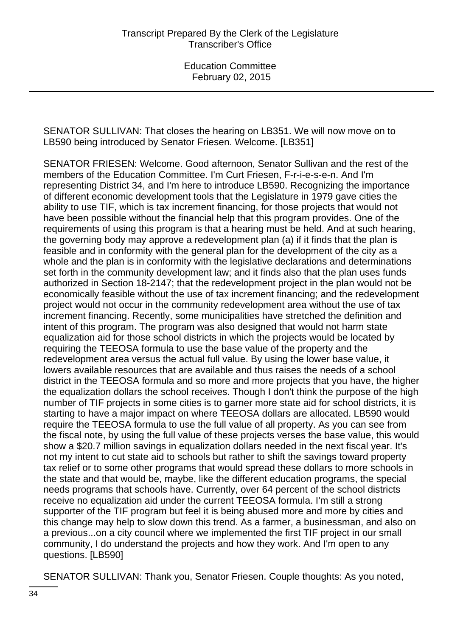SENATOR SULLIVAN: That closes the hearing on LB351. We will now move on to LB590 being introduced by Senator Friesen. Welcome. [LB351]

SENATOR FRIESEN: Welcome. Good afternoon, Senator Sullivan and the rest of the members of the Education Committee. I'm Curt Friesen, F-r-i-e-s-e-n. And I'm representing District 34, and I'm here to introduce LB590. Recognizing the importance of different economic development tools that the Legislature in 1979 gave cities the ability to use TIF, which is tax increment financing, for those projects that would not have been possible without the financial help that this program provides. One of the requirements of using this program is that a hearing must be held. And at such hearing, the governing body may approve a redevelopment plan (a) if it finds that the plan is feasible and in conformity with the general plan for the development of the city as a whole and the plan is in conformity with the legislative declarations and determinations set forth in the community development law; and it finds also that the plan uses funds authorized in Section 18-2147; that the redevelopment project in the plan would not be economically feasible without the use of tax increment financing; and the redevelopment project would not occur in the community redevelopment area without the use of tax increment financing. Recently, some municipalities have stretched the definition and intent of this program. The program was also designed that would not harm state equalization aid for those school districts in which the projects would be located by requiring the TEEOSA formula to use the base value of the property and the redevelopment area versus the actual full value. By using the lower base value, it lowers available resources that are available and thus raises the needs of a school district in the TEEOSA formula and so more and more projects that you have, the higher the equalization dollars the school receives. Though I don't think the purpose of the high number of TIF projects in some cities is to garner more state aid for school districts, it is starting to have a major impact on where TEEOSA dollars are allocated. LB590 would require the TEEOSA formula to use the full value of all property. As you can see from the fiscal note, by using the full value of these projects verses the base value, this would show a \$20.7 million savings in equalization dollars needed in the next fiscal year. It's not my intent to cut state aid to schools but rather to shift the savings toward property tax relief or to some other programs that would spread these dollars to more schools in the state and that would be, maybe, like the different education programs, the special needs programs that schools have. Currently, over 64 percent of the school districts receive no equalization aid under the current TEEOSA formula. I'm still a strong supporter of the TIF program but feel it is being abused more and more by cities and this change may help to slow down this trend. As a farmer, a businessman, and also on a previous...on a city council where we implemented the first TIF project in our small community, I do understand the projects and how they work. And I'm open to any questions. [LB590]

SENATOR SULLIVAN: Thank you, Senator Friesen. Couple thoughts: As you noted,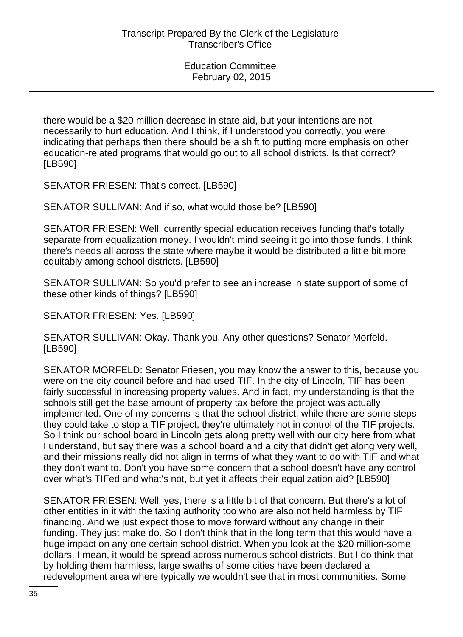there would be a \$20 million decrease in state aid, but your intentions are not necessarily to hurt education. And I think, if I understood you correctly, you were indicating that perhaps then there should be a shift to putting more emphasis on other education-related programs that would go out to all school districts. Is that correct? [LB590]

SENATOR FRIESEN: That's correct. [LB590]

SENATOR SULLIVAN: And if so, what would those be? [LB590]

SENATOR FRIESEN: Well, currently special education receives funding that's totally separate from equalization money. I wouldn't mind seeing it go into those funds. I think there's needs all across the state where maybe it would be distributed a little bit more equitably among school districts. [LB590]

SENATOR SULLIVAN: So you'd prefer to see an increase in state support of some of these other kinds of things? [LB590]

SENATOR FRIESEN: Yes. [LB590]

SENATOR SULLIVAN: Okay. Thank you. Any other questions? Senator Morfeld. [LB590]

SENATOR MORFELD: Senator Friesen, you may know the answer to this, because you were on the city council before and had used TIF. In the city of Lincoln, TIF has been fairly successful in increasing property values. And in fact, my understanding is that the schools still get the base amount of property tax before the project was actually implemented. One of my concerns is that the school district, while there are some steps they could take to stop a TIF project, they're ultimately not in control of the TIF projects. So I think our school board in Lincoln gets along pretty well with our city here from what I understand, but say there was a school board and a city that didn't get along very well, and their missions really did not align in terms of what they want to do with TIF and what they don't want to. Don't you have some concern that a school doesn't have any control over what's TIFed and what's not, but yet it affects their equalization aid? [LB590]

SENATOR FRIESEN: Well, yes, there is a little bit of that concern. But there's a lot of other entities in it with the taxing authority too who are also not held harmless by TIF financing. And we just expect those to move forward without any change in their funding. They just make do. So I don't think that in the long term that this would have a huge impact on any one certain school district. When you look at the \$20 million-some dollars, I mean, it would be spread across numerous school districts. But I do think that by holding them harmless, large swaths of some cities have been declared a redevelopment area where typically we wouldn't see that in most communities. Some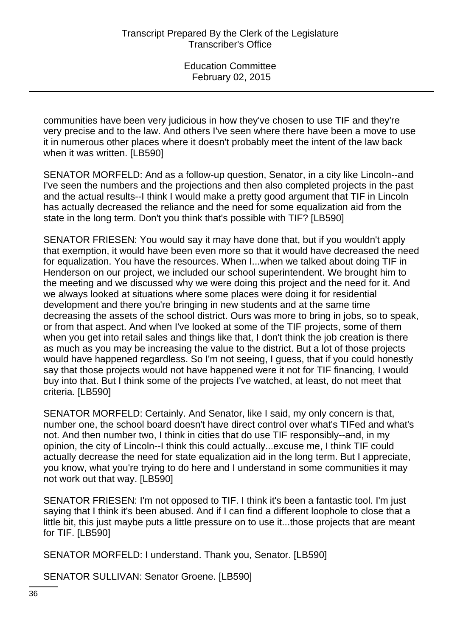communities have been very judicious in how they've chosen to use TIF and they're very precise and to the law. And others I've seen where there have been a move to use it in numerous other places where it doesn't probably meet the intent of the law back when it was written. [LB590]

SENATOR MORFELD: And as a follow-up question, Senator, in a city like Lincoln--and I've seen the numbers and the projections and then also completed projects in the past and the actual results--I think I would make a pretty good argument that TIF in Lincoln has actually decreased the reliance and the need for some equalization aid from the state in the long term. Don't you think that's possible with TIF? [LB590]

SENATOR FRIESEN: You would say it may have done that, but if you wouldn't apply that exemption, it would have been even more so that it would have decreased the need for equalization. You have the resources. When I...when we talked about doing TIF in Henderson on our project, we included our school superintendent. We brought him to the meeting and we discussed why we were doing this project and the need for it. And we always looked at situations where some places were doing it for residential development and there you're bringing in new students and at the same time decreasing the assets of the school district. Ours was more to bring in jobs, so to speak, or from that aspect. And when I've looked at some of the TIF projects, some of them when you get into retail sales and things like that, I don't think the job creation is there as much as you may be increasing the value to the district. But a lot of those projects would have happened regardless. So I'm not seeing, I guess, that if you could honestly say that those projects would not have happened were it not for TIF financing, I would buy into that. But I think some of the projects I've watched, at least, do not meet that criteria. [LB590]

SENATOR MORFELD: Certainly. And Senator, like I said, my only concern is that, number one, the school board doesn't have direct control over what's TIFed and what's not. And then number two, I think in cities that do use TIF responsibly--and, in my opinion, the city of Lincoln--I think this could actually...excuse me, I think TIF could actually decrease the need for state equalization aid in the long term. But I appreciate, you know, what you're trying to do here and I understand in some communities it may not work out that way. [LB590]

SENATOR FRIESEN: I'm not opposed to TIF. I think it's been a fantastic tool. I'm just saying that I think it's been abused. And if I can find a different loophole to close that a little bit, this just maybe puts a little pressure on to use it...those projects that are meant for TIF. [LB590]

SENATOR MORFELD: I understand. Thank you, Senator. [LB590]

SENATOR SULLIVAN: Senator Groene. [LB590]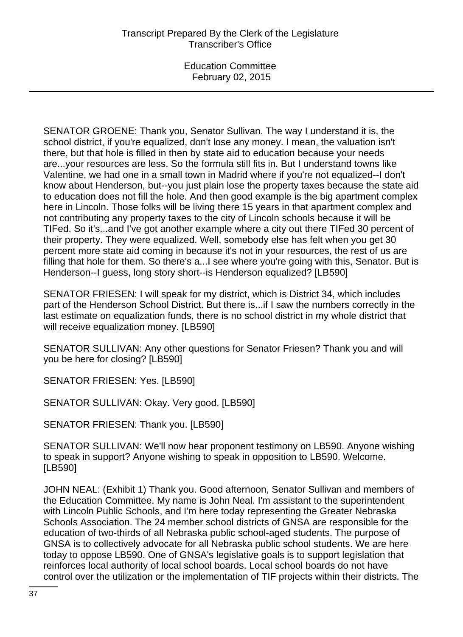SENATOR GROENE: Thank you, Senator Sullivan. The way I understand it is, the school district, if you're equalized, don't lose any money. I mean, the valuation isn't there, but that hole is filled in then by state aid to education because your needs are...your resources are less. So the formula still fits in. But I understand towns like Valentine, we had one in a small town in Madrid where if you're not equalized--I don't know about Henderson, but--you just plain lose the property taxes because the state aid to education does not fill the hole. And then good example is the big apartment complex here in Lincoln. Those folks will be living there 15 years in that apartment complex and not contributing any property taxes to the city of Lincoln schools because it will be TIFed. So it's...and I've got another example where a city out there TIFed 30 percent of their property. They were equalized. Well, somebody else has felt when you get 30 percent more state aid coming in because it's not in your resources, the rest of us are filling that hole for them. So there's a...I see where you're going with this, Senator. But is Henderson--I guess, long story short--is Henderson equalized? [LB590]

SENATOR FRIESEN: I will speak for my district, which is District 34, which includes part of the Henderson School District. But there is...if I saw the numbers correctly in the last estimate on equalization funds, there is no school district in my whole district that will receive equalization money. [LB590]

SENATOR SULLIVAN: Any other questions for Senator Friesen? Thank you and will you be here for closing? [LB590]

SENATOR FRIESEN: Yes. [LB590]

SENATOR SULLIVAN: Okay. Very good. [LB590]

SENATOR FRIESEN: Thank you. [LB590]

SENATOR SULLIVAN: We'll now hear proponent testimony on LB590. Anyone wishing to speak in support? Anyone wishing to speak in opposition to LB590. Welcome. [LB590]

JOHN NEAL: (Exhibit 1) Thank you. Good afternoon, Senator Sullivan and members of the Education Committee. My name is John Neal. I'm assistant to the superintendent with Lincoln Public Schools, and I'm here today representing the Greater Nebraska Schools Association. The 24 member school districts of GNSA are responsible for the education of two-thirds of all Nebraska public school-aged students. The purpose of GNSA is to collectively advocate for all Nebraska public school students. We are here today to oppose LB590. One of GNSA's legislative goals is to support legislation that reinforces local authority of local school boards. Local school boards do not have control over the utilization or the implementation of TIF projects within their districts. The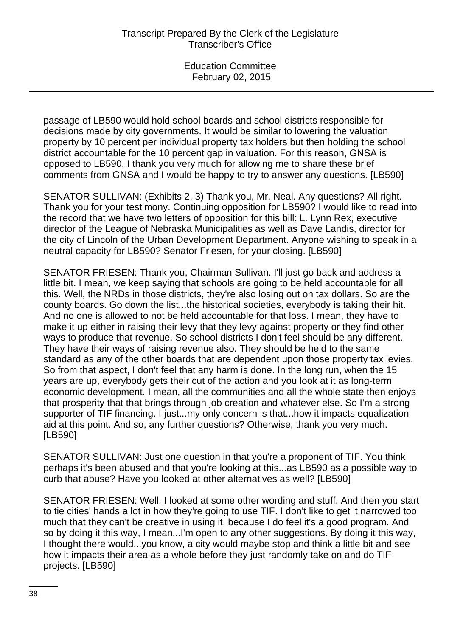passage of LB590 would hold school boards and school districts responsible for decisions made by city governments. It would be similar to lowering the valuation property by 10 percent per individual property tax holders but then holding the school district accountable for the 10 percent gap in valuation. For this reason, GNSA is opposed to LB590. I thank you very much for allowing me to share these brief comments from GNSA and I would be happy to try to answer any questions. [LB590]

SENATOR SULLIVAN: (Exhibits 2, 3) Thank you, Mr. Neal. Any questions? All right. Thank you for your testimony. Continuing opposition for LB590? I would like to read into the record that we have two letters of opposition for this bill: L. Lynn Rex, executive director of the League of Nebraska Municipalities as well as Dave Landis, director for the city of Lincoln of the Urban Development Department. Anyone wishing to speak in a neutral capacity for LB590? Senator Friesen, for your closing. [LB590]

SENATOR FRIESEN: Thank you, Chairman Sullivan. I'll just go back and address a little bit. I mean, we keep saying that schools are going to be held accountable for all this. Well, the NRDs in those districts, they're also losing out on tax dollars. So are the county boards. Go down the list...the historical societies, everybody is taking their hit. And no one is allowed to not be held accountable for that loss. I mean, they have to make it up either in raising their levy that they levy against property or they find other ways to produce that revenue. So school districts I don't feel should be any different. They have their ways of raising revenue also. They should be held to the same standard as any of the other boards that are dependent upon those property tax levies. So from that aspect, I don't feel that any harm is done. In the long run, when the 15 years are up, everybody gets their cut of the action and you look at it as long-term economic development. I mean, all the communities and all the whole state then enjoys that prosperity that that brings through job creation and whatever else. So I'm a strong supporter of TIF financing. I just...my only concern is that...how it impacts equalization aid at this point. And so, any further questions? Otherwise, thank you very much. [LB590]

SENATOR SULLIVAN: Just one question in that you're a proponent of TIF. You think perhaps it's been abused and that you're looking at this...as LB590 as a possible way to curb that abuse? Have you looked at other alternatives as well? [LB590]

SENATOR FRIESEN: Well, I looked at some other wording and stuff. And then you start to tie cities' hands a lot in how they're going to use TIF. I don't like to get it narrowed too much that they can't be creative in using it, because I do feel it's a good program. And so by doing it this way, I mean...I'm open to any other suggestions. By doing it this way, I thought there would...you know, a city would maybe stop and think a little bit and see how it impacts their area as a whole before they just randomly take on and do TIF projects. [LB590]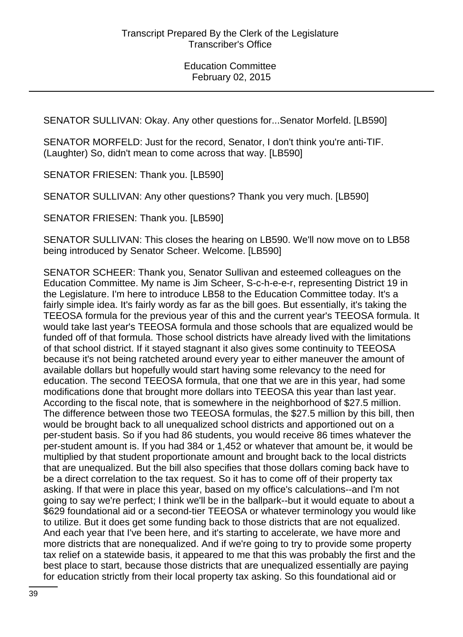SENATOR SULLIVAN: Okay. Any other questions for...Senator Morfeld. [LB590]

SENATOR MORFELD: Just for the record, Senator, I don't think you're anti-TIF. (Laughter) So, didn't mean to come across that way. [LB590]

SENATOR FRIESEN: Thank you. [LB590]

SENATOR SULLIVAN: Any other questions? Thank you very much. [LB590]

SENATOR FRIESEN: Thank you. [LB590]

SENATOR SULLIVAN: This closes the hearing on LB590. We'll now move on to LB58 being introduced by Senator Scheer. Welcome. [LB590]

SENATOR SCHEER: Thank you, Senator Sullivan and esteemed colleagues on the Education Committee. My name is Jim Scheer, S-c-h-e-e-r, representing District 19 in the Legislature. I'm here to introduce LB58 to the Education Committee today. It's a fairly simple idea. It's fairly wordy as far as the bill goes. But essentially, it's taking the TEEOSA formula for the previous year of this and the current year's TEEOSA formula. It would take last year's TEEOSA formula and those schools that are equalized would be funded off of that formula. Those school districts have already lived with the limitations of that school district. If it stayed stagnant it also gives some continuity to TEEOSA because it's not being ratcheted around every year to either maneuver the amount of available dollars but hopefully would start having some relevancy to the need for education. The second TEEOSA formula, that one that we are in this year, had some modifications done that brought more dollars into TEEOSA this year than last year. According to the fiscal note, that is somewhere in the neighborhood of \$27.5 million. The difference between those two TEEOSA formulas, the \$27.5 million by this bill, then would be brought back to all unequalized school districts and apportioned out on a per-student basis. So if you had 86 students, you would receive 86 times whatever the per-student amount is. If you had 384 or 1,452 or whatever that amount be, it would be multiplied by that student proportionate amount and brought back to the local districts that are unequalized. But the bill also specifies that those dollars coming back have to be a direct correlation to the tax request. So it has to come off of their property tax asking. If that were in place this year, based on my office's calculations--and I'm not going to say we're perfect; I think we'll be in the ballpark--but it would equate to about a \$629 foundational aid or a second-tier TEEOSA or whatever terminology you would like to utilize. But it does get some funding back to those districts that are not equalized. And each year that I've been here, and it's starting to accelerate, we have more and more districts that are nonequalized. And if we're going to try to provide some property tax relief on a statewide basis, it appeared to me that this was probably the first and the best place to start, because those districts that are unequalized essentially are paying for education strictly from their local property tax asking. So this foundational aid or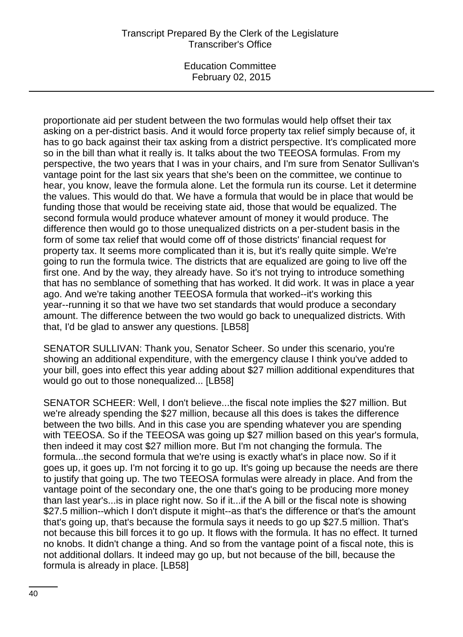Education Committee February 02, 2015

proportionate aid per student between the two formulas would help offset their tax asking on a per-district basis. And it would force property tax relief simply because of, it has to go back against their tax asking from a district perspective. It's complicated more so in the bill than what it really is. It talks about the two TEEOSA formulas. From my perspective, the two years that I was in your chairs, and I'm sure from Senator Sullivan's vantage point for the last six years that she's been on the committee, we continue to hear, you know, leave the formula alone. Let the formula run its course. Let it determine the values. This would do that. We have a formula that would be in place that would be funding those that would be receiving state aid, those that would be equalized. The second formula would produce whatever amount of money it would produce. The difference then would go to those unequalized districts on a per-student basis in the form of some tax relief that would come off of those districts' financial request for property tax. It seems more complicated than it is, but it's really quite simple. We're going to run the formula twice. The districts that are equalized are going to live off the first one. And by the way, they already have. So it's not trying to introduce something that has no semblance of something that has worked. It did work. It was in place a year ago. And we're taking another TEEOSA formula that worked--it's working this year--running it so that we have two set standards that would produce a secondary amount. The difference between the two would go back to unequalized districts. With that, I'd be glad to answer any questions. [LB58]

SENATOR SULLIVAN: Thank you, Senator Scheer. So under this scenario, you're showing an additional expenditure, with the emergency clause I think you've added to your bill, goes into effect this year adding about \$27 million additional expenditures that would go out to those nonequalized... [LB58]

SENATOR SCHEER: Well, I don't believe...the fiscal note implies the \$27 million. But we're already spending the \$27 million, because all this does is takes the difference between the two bills. And in this case you are spending whatever you are spending with TEEOSA. So if the TEEOSA was going up \$27 million based on this year's formula, then indeed it may cost \$27 million more. But I'm not changing the formula. The formula...the second formula that we're using is exactly what's in place now. So if it goes up, it goes up. I'm not forcing it to go up. It's going up because the needs are there to justify that going up. The two TEEOSA formulas were already in place. And from the vantage point of the secondary one, the one that's going to be producing more money than last year's...is in place right now. So if it...if the A bill or the fiscal note is showing \$27.5 million--which I don't dispute it might--as that's the difference or that's the amount that's going up, that's because the formula says it needs to go up \$27.5 million. That's not because this bill forces it to go up. It flows with the formula. It has no effect. It turned no knobs. It didn't change a thing. And so from the vantage point of a fiscal note, this is not additional dollars. It indeed may go up, but not because of the bill, because the formula is already in place. [LB58]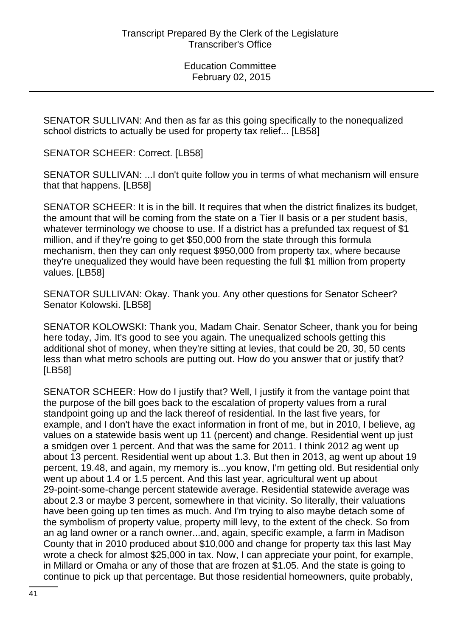SENATOR SULLIVAN: And then as far as this going specifically to the nonequalized school districts to actually be used for property tax relief... [LB58]

SENATOR SCHEER: Correct. [LB58]

SENATOR SULLIVAN: ...I don't quite follow you in terms of what mechanism will ensure that that happens. [LB58]

SENATOR SCHEER: It is in the bill. It requires that when the district finalizes its budget, the amount that will be coming from the state on a Tier II basis or a per student basis, whatever terminology we choose to use. If a district has a prefunded tax request of \$1 million, and if they're going to get \$50,000 from the state through this formula mechanism, then they can only request \$950,000 from property tax, where because they're unequalized they would have been requesting the full \$1 million from property values. [LB58]

SENATOR SULLIVAN: Okay. Thank you. Any other questions for Senator Scheer? Senator Kolowski. [LB58]

SENATOR KOLOWSKI: Thank you, Madam Chair. Senator Scheer, thank you for being here today, Jim. It's good to see you again. The unequalized schools getting this additional shot of money, when they're sitting at levies, that could be 20, 30, 50 cents less than what metro schools are putting out. How do you answer that or justify that? [LB58]

SENATOR SCHEER: How do I justify that? Well, I justify it from the vantage point that the purpose of the bill goes back to the escalation of property values from a rural standpoint going up and the lack thereof of residential. In the last five years, for example, and I don't have the exact information in front of me, but in 2010, I believe, ag values on a statewide basis went up 11 (percent) and change. Residential went up just a smidgen over 1 percent. And that was the same for 2011. I think 2012 ag went up about 13 percent. Residential went up about 1.3. But then in 2013, ag went up about 19 percent, 19.48, and again, my memory is...you know, I'm getting old. But residential only went up about 1.4 or 1.5 percent. And this last year, agricultural went up about 29-point-some-change percent statewide average. Residential statewide average was about 2.3 or maybe 3 percent, somewhere in that vicinity. So literally, their valuations have been going up ten times as much. And I'm trying to also maybe detach some of the symbolism of property value, property mill levy, to the extent of the check. So from an ag land owner or a ranch owner...and, again, specific example, a farm in Madison County that in 2010 produced about \$10,000 and change for property tax this last May wrote a check for almost \$25,000 in tax. Now, I can appreciate your point, for example, in Millard or Omaha or any of those that are frozen at \$1.05. And the state is going to continue to pick up that percentage. But those residential homeowners, quite probably,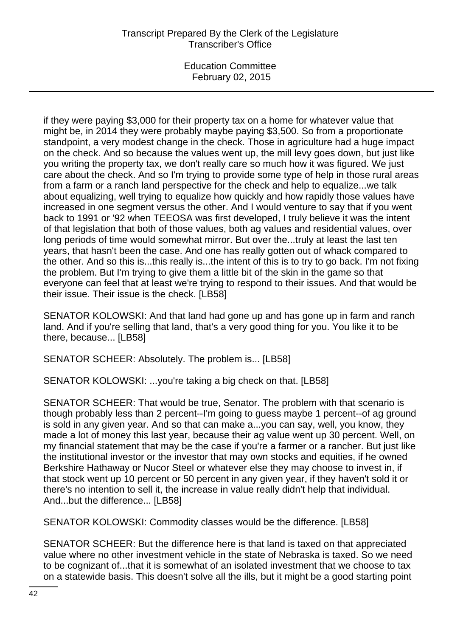if they were paying \$3,000 for their property tax on a home for whatever value that might be, in 2014 they were probably maybe paying \$3,500. So from a proportionate standpoint, a very modest change in the check. Those in agriculture had a huge impact on the check. And so because the values went up, the mill levy goes down, but just like you writing the property tax, we don't really care so much how it was figured. We just care about the check. And so I'm trying to provide some type of help in those rural areas from a farm or a ranch land perspective for the check and help to equalize...we talk about equalizing, well trying to equalize how quickly and how rapidly those values have increased in one segment versus the other. And I would venture to say that if you went back to 1991 or '92 when TEEOSA was first developed, I truly believe it was the intent of that legislation that both of those values, both ag values and residential values, over long periods of time would somewhat mirror. But over the...truly at least the last ten years, that hasn't been the case. And one has really gotten out of whack compared to the other. And so this is...this really is...the intent of this is to try to go back. I'm not fixing the problem. But I'm trying to give them a little bit of the skin in the game so that everyone can feel that at least we're trying to respond to their issues. And that would be their issue. Their issue is the check. [LB58]

SENATOR KOLOWSKI: And that land had gone up and has gone up in farm and ranch land. And if you're selling that land, that's a very good thing for you. You like it to be there, because... [LB58]

SENATOR SCHEER: Absolutely. The problem is... [LB58]

SENATOR KOLOWSKI: ...you're taking a big check on that. [LB58]

SENATOR SCHEER: That would be true, Senator. The problem with that scenario is though probably less than 2 percent--I'm going to guess maybe 1 percent--of ag ground is sold in any given year. And so that can make a...you can say, well, you know, they made a lot of money this last year, because their ag value went up 30 percent. Well, on my financial statement that may be the case if you're a farmer or a rancher. But just like the institutional investor or the investor that may own stocks and equities, if he owned Berkshire Hathaway or Nucor Steel or whatever else they may choose to invest in, if that stock went up 10 percent or 50 percent in any given year, if they haven't sold it or there's no intention to sell it, the increase in value really didn't help that individual. And...but the difference... [LB58]

SENATOR KOLOWSKI: Commodity classes would be the difference. [LB58]

SENATOR SCHEER: But the difference here is that land is taxed on that appreciated value where no other investment vehicle in the state of Nebraska is taxed. So we need to be cognizant of...that it is somewhat of an isolated investment that we choose to tax on a statewide basis. This doesn't solve all the ills, but it might be a good starting point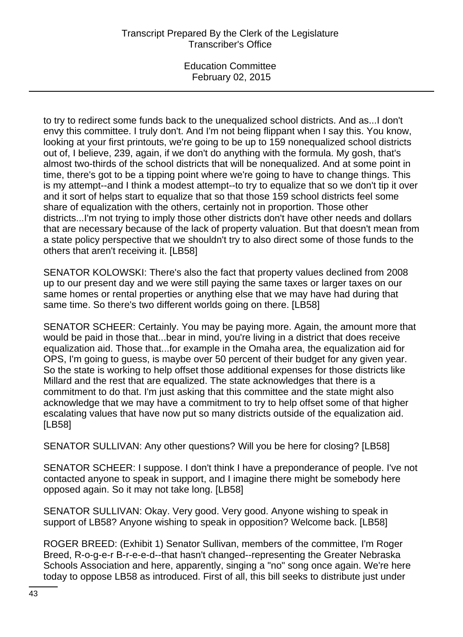Education Committee February 02, 2015

to try to redirect some funds back to the unequalized school districts. And as...I don't envy this committee. I truly don't. And I'm not being flippant when I say this. You know, looking at your first printouts, we're going to be up to 159 nonequalized school districts out of, I believe, 239, again, if we don't do anything with the formula. My gosh, that's almost two-thirds of the school districts that will be nonequalized. And at some point in time, there's got to be a tipping point where we're going to have to change things. This is my attempt--and I think a modest attempt--to try to equalize that so we don't tip it over and it sort of helps start to equalize that so that those 159 school districts feel some share of equalization with the others, certainly not in proportion. Those other districts...I'm not trying to imply those other districts don't have other needs and dollars that are necessary because of the lack of property valuation. But that doesn't mean from a state policy perspective that we shouldn't try to also direct some of those funds to the others that aren't receiving it. [LB58]

SENATOR KOLOWSKI: There's also the fact that property values declined from 2008 up to our present day and we were still paying the same taxes or larger taxes on our same homes or rental properties or anything else that we may have had during that same time. So there's two different worlds going on there. [LB58]

SENATOR SCHEER: Certainly. You may be paying more. Again, the amount more that would be paid in those that...bear in mind, you're living in a district that does receive equalization aid. Those that...for example in the Omaha area, the equalization aid for OPS, I'm going to guess, is maybe over 50 percent of their budget for any given year. So the state is working to help offset those additional expenses for those districts like Millard and the rest that are equalized. The state acknowledges that there is a commitment to do that. I'm just asking that this committee and the state might also acknowledge that we may have a commitment to try to help offset some of that higher escalating values that have now put so many districts outside of the equalization aid. [LB58]

SENATOR SULLIVAN: Any other questions? Will you be here for closing? [LB58]

SENATOR SCHEER: I suppose. I don't think I have a preponderance of people. I've not contacted anyone to speak in support, and I imagine there might be somebody here opposed again. So it may not take long. [LB58]

SENATOR SULLIVAN: Okay. Very good. Very good. Anyone wishing to speak in support of LB58? Anyone wishing to speak in opposition? Welcome back. [LB58]

ROGER BREED: (Exhibit 1) Senator Sullivan, members of the committee, I'm Roger Breed, R-o-g-e-r B-r-e-e-d--that hasn't changed--representing the Greater Nebraska Schools Association and here, apparently, singing a "no" song once again. We're here today to oppose LB58 as introduced. First of all, this bill seeks to distribute just under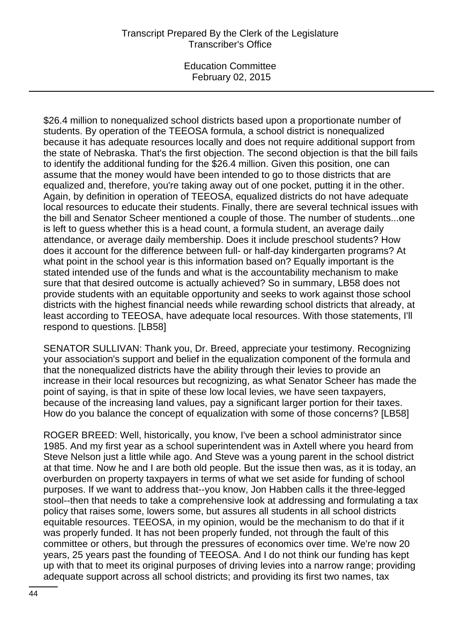Education Committee February 02, 2015

\$26.4 million to nonequalized school districts based upon a proportionate number of students. By operation of the TEEOSA formula, a school district is nonequalized because it has adequate resources locally and does not require additional support from the state of Nebraska. That's the first objection. The second objection is that the bill fails to identify the additional funding for the \$26.4 million. Given this position, one can assume that the money would have been intended to go to those districts that are equalized and, therefore, you're taking away out of one pocket, putting it in the other. Again, by definition in operation of TEEOSA, equalized districts do not have adequate local resources to educate their students. Finally, there are several technical issues with the bill and Senator Scheer mentioned a couple of those. The number of students...one is left to guess whether this is a head count, a formula student, an average daily attendance, or average daily membership. Does it include preschool students? How does it account for the difference between full- or half-day kindergarten programs? At what point in the school year is this information based on? Equally important is the stated intended use of the funds and what is the accountability mechanism to make sure that that desired outcome is actually achieved? So in summary, LB58 does not provide students with an equitable opportunity and seeks to work against those school districts with the highest financial needs while rewarding school districts that already, at least according to TEEOSA, have adequate local resources. With those statements, I'll respond to questions. [LB58]

SENATOR SULLIVAN: Thank you, Dr. Breed, appreciate your testimony. Recognizing your association's support and belief in the equalization component of the formula and that the nonequalized districts have the ability through their levies to provide an increase in their local resources but recognizing, as what Senator Scheer has made the point of saying, is that in spite of these low local levies, we have seen taxpayers, because of the increasing land values, pay a significant larger portion for their taxes. How do you balance the concept of equalization with some of those concerns? [LB58]

ROGER BREED: Well, historically, you know, I've been a school administrator since 1985. And my first year as a school superintendent was in Axtell where you heard from Steve Nelson just a little while ago. And Steve was a young parent in the school district at that time. Now he and I are both old people. But the issue then was, as it is today, an overburden on property taxpayers in terms of what we set aside for funding of school purposes. If we want to address that--you know, Jon Habben calls it the three-legged stool--then that needs to take a comprehensive look at addressing and formulating a tax policy that raises some, lowers some, but assures all students in all school districts equitable resources. TEEOSA, in my opinion, would be the mechanism to do that if it was properly funded. It has not been properly funded, not through the fault of this committee or others, but through the pressures of economics over time. We're now 20 years, 25 years past the founding of TEEOSA. And I do not think our funding has kept up with that to meet its original purposes of driving levies into a narrow range; providing adequate support across all school districts; and providing its first two names, tax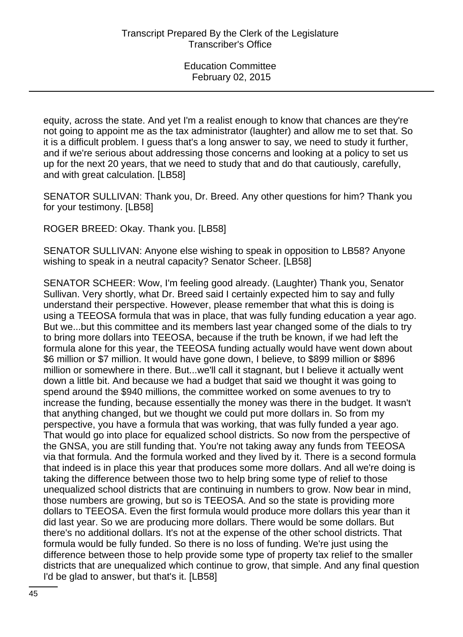equity, across the state. And yet I'm a realist enough to know that chances are they're not going to appoint me as the tax administrator (laughter) and allow me to set that. So it is a difficult problem. I guess that's a long answer to say, we need to study it further, and if we're serious about addressing those concerns and looking at a policy to set us up for the next 20 years, that we need to study that and do that cautiously, carefully, and with great calculation. [LB58]

SENATOR SULLIVAN: Thank you, Dr. Breed. Any other questions for him? Thank you for your testimony. [LB58]

ROGER BREED: Okay. Thank you. [LB58]

SENATOR SULLIVAN: Anyone else wishing to speak in opposition to LB58? Anyone wishing to speak in a neutral capacity? Senator Scheer. [LB58]

SENATOR SCHEER: Wow, I'm feeling good already. (Laughter) Thank you, Senator Sullivan. Very shortly, what Dr. Breed said I certainly expected him to say and fully understand their perspective. However, please remember that what this is doing is using a TEEOSA formula that was in place, that was fully funding education a year ago. But we...but this committee and its members last year changed some of the dials to try to bring more dollars into TEEOSA, because if the truth be known, if we had left the formula alone for this year, the TEEOSA funding actually would have went down about \$6 million or \$7 million. It would have gone down, I believe, to \$899 million or \$896 million or somewhere in there. But...we'll call it stagnant, but I believe it actually went down a little bit. And because we had a budget that said we thought it was going to spend around the \$940 millions, the committee worked on some avenues to try to increase the funding, because essentially the money was there in the budget. It wasn't that anything changed, but we thought we could put more dollars in. So from my perspective, you have a formula that was working, that was fully funded a year ago. That would go into place for equalized school districts. So now from the perspective of the GNSA, you are still funding that. You're not taking away any funds from TEEOSA via that formula. And the formula worked and they lived by it. There is a second formula that indeed is in place this year that produces some more dollars. And all we're doing is taking the difference between those two to help bring some type of relief to those unequalized school districts that are continuing in numbers to grow. Now bear in mind, those numbers are growing, but so is TEEOSA. And so the state is providing more dollars to TEEOSA. Even the first formula would produce more dollars this year than it did last year. So we are producing more dollars. There would be some dollars. But there's no additional dollars. It's not at the expense of the other school districts. That formula would be fully funded. So there is no loss of funding. We're just using the difference between those to help provide some type of property tax relief to the smaller districts that are unequalized which continue to grow, that simple. And any final question I'd be glad to answer, but that's it. [LB58]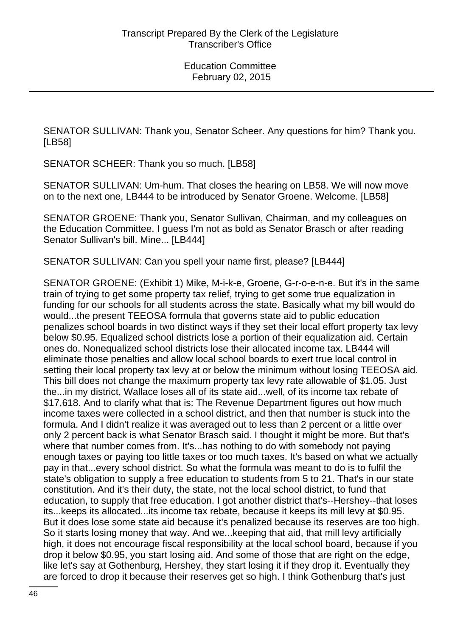SENATOR SULLIVAN: Thank you, Senator Scheer. Any questions for him? Thank you. [LB58]

SENATOR SCHEER: Thank you so much. [LB58]

SENATOR SULLIVAN: Um-hum. That closes the hearing on LB58. We will now move on to the next one, LB444 to be introduced by Senator Groene. Welcome. [LB58]

SENATOR GROENE: Thank you, Senator Sullivan, Chairman, and my colleagues on the Education Committee. I guess I'm not as bold as Senator Brasch or after reading Senator Sullivan's bill. Mine... [LB444]

SENATOR SULLIVAN: Can you spell your name first, please? [LB444]

SENATOR GROENE: (Exhibit 1) Mike, M-i-k-e, Groene, G-r-o-e-n-e. But it's in the same train of trying to get some property tax relief, trying to get some true equalization in funding for our schools for all students across the state. Basically what my bill would do would...the present TEEOSA formula that governs state aid to public education penalizes school boards in two distinct ways if they set their local effort property tax levy below \$0.95. Equalized school districts lose a portion of their equalization aid. Certain ones do. Nonequalized school districts lose their allocated income tax. LB444 will eliminate those penalties and allow local school boards to exert true local control in setting their local property tax levy at or below the minimum without losing TEEOSA aid. This bill does not change the maximum property tax levy rate allowable of \$1.05. Just the...in my district, Wallace loses all of its state aid...well, of its income tax rebate of \$17,618. And to clarify what that is: The Revenue Department figures out how much income taxes were collected in a school district, and then that number is stuck into the formula. And I didn't realize it was averaged out to less than 2 percent or a little over only 2 percent back is what Senator Brasch said. I thought it might be more. But that's where that number comes from. It's...has nothing to do with somebody not paying enough taxes or paying too little taxes or too much taxes. It's based on what we actually pay in that...every school district. So what the formula was meant to do is to fulfil the state's obligation to supply a free education to students from 5 to 21. That's in our state constitution. And it's their duty, the state, not the local school district, to fund that education, to supply that free education. I got another district that's--Hershey--that loses its...keeps its allocated...its income tax rebate, because it keeps its mill levy at \$0.95. But it does lose some state aid because it's penalized because its reserves are too high. So it starts losing money that way. And we...keeping that aid, that mill levy artificially high, it does not encourage fiscal responsibility at the local school board, because if you drop it below \$0.95, you start losing aid. And some of those that are right on the edge, like let's say at Gothenburg, Hershey, they start losing it if they drop it. Eventually they are forced to drop it because their reserves get so high. I think Gothenburg that's just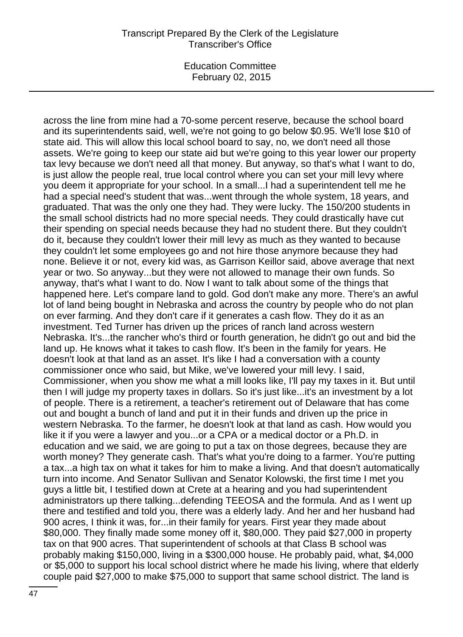Education Committee February 02, 2015

across the line from mine had a 70-some percent reserve, because the school board and its superintendents said, well, we're not going to go below \$0.95. We'll lose \$10 of state aid. This will allow this local school board to say, no, we don't need all those assets. We're going to keep our state aid but we're going to this year lower our property tax levy because we don't need all that money. But anyway, so that's what I want to do, is just allow the people real, true local control where you can set your mill levy where you deem it appropriate for your school. In a small...I had a superintendent tell me he had a special need's student that was...went through the whole system, 18 years, and graduated. That was the only one they had. They were lucky. The 150/200 students in the small school districts had no more special needs. They could drastically have cut their spending on special needs because they had no student there. But they couldn't do it, because they couldn't lower their mill levy as much as they wanted to because they couldn't let some employees go and not hire those anymore because they had none. Believe it or not, every kid was, as Garrison Keillor said, above average that next year or two. So anyway...but they were not allowed to manage their own funds. So anyway, that's what I want to do. Now I want to talk about some of the things that happened here. Let's compare land to gold. God don't make any more. There's an awful lot of land being bought in Nebraska and across the country by people who do not plan on ever farming. And they don't care if it generates a cash flow. They do it as an investment. Ted Turner has driven up the prices of ranch land across western Nebraska. It's...the rancher who's third or fourth generation, he didn't go out and bid the land up. He knows what it takes to cash flow. It's been in the family for years. He doesn't look at that land as an asset. It's like I had a conversation with a county commissioner once who said, but Mike, we've lowered your mill levy. I said, Commissioner, when you show me what a mill looks like, I'll pay my taxes in it. But until then I will judge my property taxes in dollars. So it's just like...it's an investment by a lot of people. There is a retirement, a teacher's retirement out of Delaware that has come out and bought a bunch of land and put it in their funds and driven up the price in western Nebraska. To the farmer, he doesn't look at that land as cash. How would you like it if you were a lawyer and you...or a CPA or a medical doctor or a Ph.D. in education and we said, we are going to put a tax on those degrees, because they are worth money? They generate cash. That's what you're doing to a farmer. You're putting a tax...a high tax on what it takes for him to make a living. And that doesn't automatically turn into income. And Senator Sullivan and Senator Kolowski, the first time I met you guys a little bit, I testified down at Crete at a hearing and you had superintendent administrators up there talking...defending TEEOSA and the formula. And as I went up there and testified and told you, there was a elderly lady. And her and her husband had 900 acres, I think it was, for...in their family for years. First year they made about \$80,000. They finally made some money off it, \$80,000. They paid \$27,000 in property tax on that 900 acres. That superintendent of schools at that Class B school was probably making \$150,000, living in a \$300,000 house. He probably paid, what, \$4,000 or \$5,000 to support his local school district where he made his living, where that elderly couple paid \$27,000 to make \$75,000 to support that same school district. The land is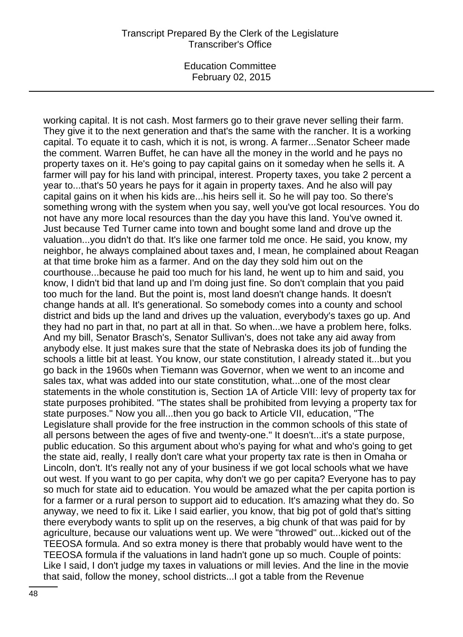working capital. It is not cash. Most farmers go to their grave never selling their farm. They give it to the next generation and that's the same with the rancher. It is a working capital. To equate it to cash, which it is not, is wrong. A farmer...Senator Scheer made the comment. Warren Buffet, he can have all the money in the world and he pays no property taxes on it. He's going to pay capital gains on it someday when he sells it. A farmer will pay for his land with principal, interest. Property taxes, you take 2 percent a year to...that's 50 years he pays for it again in property taxes. And he also will pay capital gains on it when his kids are...his heirs sell it. So he will pay too. So there's something wrong with the system when you say, well you've got local resources. You do not have any more local resources than the day you have this land. You've owned it. Just because Ted Turner came into town and bought some land and drove up the valuation...you didn't do that. It's like one farmer told me once. He said, you know, my neighbor, he always complained about taxes and, I mean, he complained about Reagan at that time broke him as a farmer. And on the day they sold him out on the courthouse...because he paid too much for his land, he went up to him and said, you know, I didn't bid that land up and I'm doing just fine. So don't complain that you paid too much for the land. But the point is, most land doesn't change hands. It doesn't change hands at all. It's generational. So somebody comes into a county and school district and bids up the land and drives up the valuation, everybody's taxes go up. And they had no part in that, no part at all in that. So when...we have a problem here, folks. And my bill, Senator Brasch's, Senator Sullivan's, does not take any aid away from anybody else. It just makes sure that the state of Nebraska does its job of funding the schools a little bit at least. You know, our state constitution, I already stated it...but you go back in the 1960s when Tiemann was Governor, when we went to an income and sales tax, what was added into our state constitution, what...one of the most clear statements in the whole constitution is, Section 1A of Article VIII: levy of property tax for state purposes prohibited. "The states shall be prohibited from levying a property tax for state purposes." Now you all...then you go back to Article VII, education, "The Legislature shall provide for the free instruction in the common schools of this state of all persons between the ages of five and twenty-one." It doesn't...it's a state purpose, public education. So this argument about who's paying for what and who's going to get the state aid, really, I really don't care what your property tax rate is then in Omaha or Lincoln, don't. It's really not any of your business if we got local schools what we have out west. If you want to go per capita, why don't we go per capita? Everyone has to pay so much for state aid to education. You would be amazed what the per capita portion is for a farmer or a rural person to support aid to education. It's amazing what they do. So anyway, we need to fix it. Like I said earlier, you know, that big pot of gold that's sitting there everybody wants to split up on the reserves, a big chunk of that was paid for by agriculture, because our valuations went up. We were "throwed" out...kicked out of the TEEOSA formula. And so extra money is there that probably would have went to the TEEOSA formula if the valuations in land hadn't gone up so much. Couple of points: Like I said, I don't judge my taxes in valuations or mill levies. And the line in the movie that said, follow the money, school districts...I got a table from the Revenue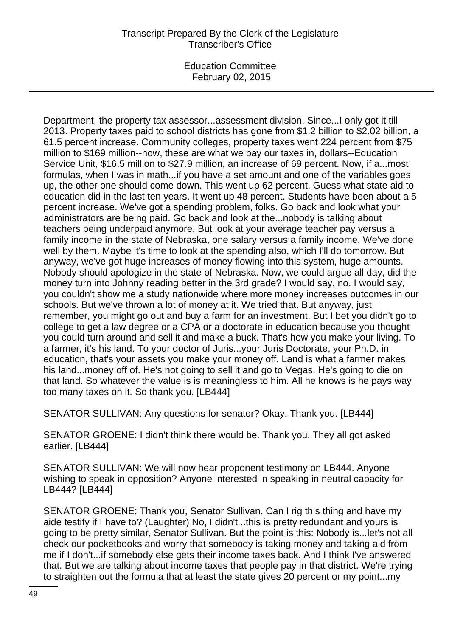Education Committee February 02, 2015

Department, the property tax assessor...assessment division. Since...I only got it till 2013. Property taxes paid to school districts has gone from \$1.2 billion to \$2.02 billion, a 61.5 percent increase. Community colleges, property taxes went 224 percent from \$75 million to \$169 million--now, these are what we pay our taxes in, dollars--Education Service Unit, \$16.5 million to \$27.9 million, an increase of 69 percent. Now, if a...most formulas, when I was in math...if you have a set amount and one of the variables goes up, the other one should come down. This went up 62 percent. Guess what state aid to education did in the last ten years. It went up 48 percent. Students have been about a 5 percent increase. We've got a spending problem, folks. Go back and look what your administrators are being paid. Go back and look at the...nobody is talking about teachers being underpaid anymore. But look at your average teacher pay versus a family income in the state of Nebraska, one salary versus a family income. We've done well by them. Maybe it's time to look at the spending also, which I'll do tomorrow. But anyway, we've got huge increases of money flowing into this system, huge amounts. Nobody should apologize in the state of Nebraska. Now, we could argue all day, did the money turn into Johnny reading better in the 3rd grade? I would say, no. I would say, you couldn't show me a study nationwide where more money increases outcomes in our schools. But we've thrown a lot of money at it. We tried that. But anyway, just remember, you might go out and buy a farm for an investment. But I bet you didn't go to college to get a law degree or a CPA or a doctorate in education because you thought you could turn around and sell it and make a buck. That's how you make your living. To a farmer, it's his land. To your doctor of Juris...your Juris Doctorate, your Ph.D. in education, that's your assets you make your money off. Land is what a farmer makes his land...money off of. He's not going to sell it and go to Vegas. He's going to die on that land. So whatever the value is is meaningless to him. All he knows is he pays way too many taxes on it. So thank you. [LB444]

SENATOR SULLIVAN: Any questions for senator? Okay. Thank you. [LB444]

SENATOR GROENE: I didn't think there would be. Thank you. They all got asked earlier. [LB444]

SENATOR SULLIVAN: We will now hear proponent testimony on LB444. Anyone wishing to speak in opposition? Anyone interested in speaking in neutral capacity for LB444? [LB444]

SENATOR GROENE: Thank you, Senator Sullivan. Can I rig this thing and have my aide testify if I have to? (Laughter) No, I didn't...this is pretty redundant and yours is going to be pretty similar, Senator Sullivan. But the point is this: Nobody is...let's not all check our pocketbooks and worry that somebody is taking money and taking aid from me if I don't...if somebody else gets their income taxes back. And I think I've answered that. But we are talking about income taxes that people pay in that district. We're trying to straighten out the formula that at least the state gives 20 percent or my point...my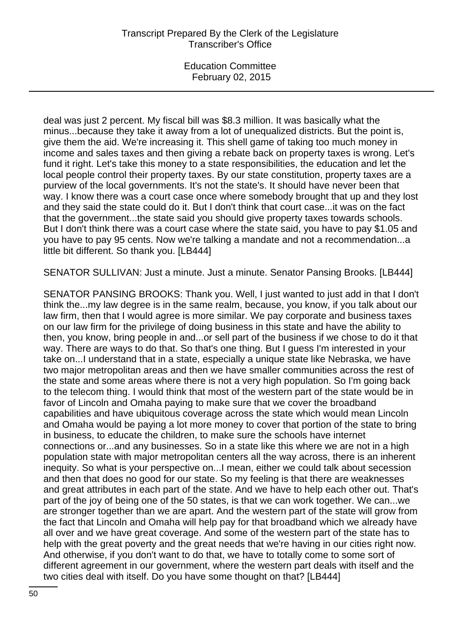deal was just 2 percent. My fiscal bill was \$8.3 million. It was basically what the minus...because they take it away from a lot of unequalized districts. But the point is, give them the aid. We're increasing it. This shell game of taking too much money in income and sales taxes and then giving a rebate back on property taxes is wrong. Let's fund it right. Let's take this money to a state responsibilities, the education and let the local people control their property taxes. By our state constitution, property taxes are a purview of the local governments. It's not the state's. It should have never been that way. I know there was a court case once where somebody brought that up and they lost and they said the state could do it. But I don't think that court case...it was on the fact that the government...the state said you should give property taxes towards schools. But I don't think there was a court case where the state said, you have to pay \$1.05 and you have to pay 95 cents. Now we're talking a mandate and not a recommendation...a little bit different. So thank you. [LB444]

SENATOR SULLIVAN: Just a minute. Just a minute. Senator Pansing Brooks. [LB444]

SENATOR PANSING BROOKS: Thank you. Well, I just wanted to just add in that I don't think the...my law degree is in the same realm, because, you know, if you talk about our law firm, then that I would agree is more similar. We pay corporate and business taxes on our law firm for the privilege of doing business in this state and have the ability to then, you know, bring people in and...or sell part of the business if we chose to do it that way. There are ways to do that. So that's one thing. But I guess I'm interested in your take on...I understand that in a state, especially a unique state like Nebraska, we have two major metropolitan areas and then we have smaller communities across the rest of the state and some areas where there is not a very high population. So I'm going back to the telecom thing. I would think that most of the western part of the state would be in favor of Lincoln and Omaha paying to make sure that we cover the broadband capabilities and have ubiquitous coverage across the state which would mean Lincoln and Omaha would be paying a lot more money to cover that portion of the state to bring in business, to educate the children, to make sure the schools have internet connections or...and any businesses. So in a state like this where we are not in a high population state with major metropolitan centers all the way across, there is an inherent inequity. So what is your perspective on...I mean, either we could talk about secession and then that does no good for our state. So my feeling is that there are weaknesses and great attributes in each part of the state. And we have to help each other out. That's part of the joy of being one of the 50 states, is that we can work together. We can...we are stronger together than we are apart. And the western part of the state will grow from the fact that Lincoln and Omaha will help pay for that broadband which we already have all over and we have great coverage. And some of the western part of the state has to help with the great poverty and the great needs that we're having in our cities right now. And otherwise, if you don't want to do that, we have to totally come to some sort of different agreement in our government, where the western part deals with itself and the two cities deal with itself. Do you have some thought on that? [LB444]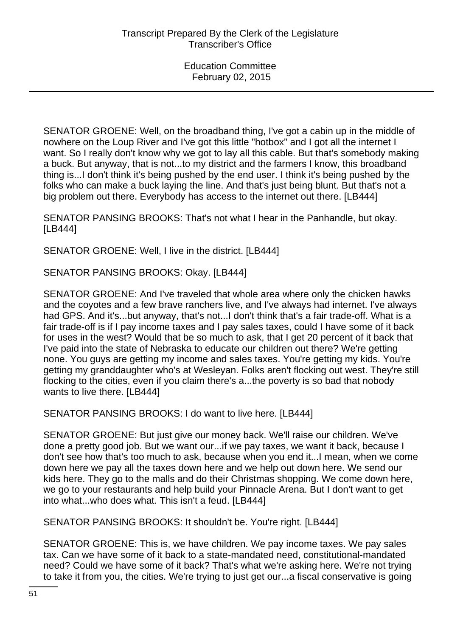SENATOR GROENE: Well, on the broadband thing, I've got a cabin up in the middle of nowhere on the Loup River and I've got this little "hotbox" and I got all the internet I want. So I really don't know why we got to lay all this cable. But that's somebody making a buck. But anyway, that is not...to my district and the farmers I know, this broadband thing is...I don't think it's being pushed by the end user. I think it's being pushed by the folks who can make a buck laying the line. And that's just being blunt. But that's not a big problem out there. Everybody has access to the internet out there. [LB444]

SENATOR PANSING BROOKS: That's not what I hear in the Panhandle, but okay. [LB444]

SENATOR GROENE: Well, I live in the district. [LB444]

SENATOR PANSING BROOKS: Okay. [LB444]

SENATOR GROENE: And I've traveled that whole area where only the chicken hawks and the coyotes and a few brave ranchers live, and I've always had internet. I've always had GPS. And it's...but anyway, that's not...I don't think that's a fair trade-off. What is a fair trade-off is if I pay income taxes and I pay sales taxes, could I have some of it back for uses in the west? Would that be so much to ask, that I get 20 percent of it back that I've paid into the state of Nebraska to educate our children out there? We're getting none. You guys are getting my income and sales taxes. You're getting my kids. You're getting my granddaughter who's at Wesleyan. Folks aren't flocking out west. They're still flocking to the cities, even if you claim there's a...the poverty is so bad that nobody wants to live there. [LB444]

SENATOR PANSING BROOKS: I do want to live here. [LB444]

SENATOR GROENE: But just give our money back. We'll raise our children. We've done a pretty good job. But we want our...if we pay taxes, we want it back, because I don't see how that's too much to ask, because when you end it...I mean, when we come down here we pay all the taxes down here and we help out down here. We send our kids here. They go to the malls and do their Christmas shopping. We come down here, we go to your restaurants and help build your Pinnacle Arena. But I don't want to get into what...who does what. This isn't a feud. [LB444]

SENATOR PANSING BROOKS: It shouldn't be. You're right. [LB444]

SENATOR GROENE: This is, we have children. We pay income taxes. We pay sales tax. Can we have some of it back to a state-mandated need, constitutional-mandated need? Could we have some of it back? That's what we're asking here. We're not trying to take it from you, the cities. We're trying to just get our...a fiscal conservative is going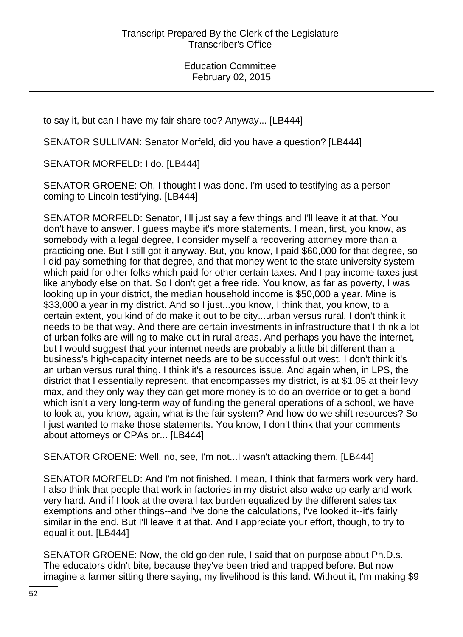to say it, but can I have my fair share too? Anyway... [LB444]

SENATOR SULLIVAN: Senator Morfeld, did you have a question? [LB444]

SENATOR MORFELD: I do. [LB444]

SENATOR GROENE: Oh, I thought I was done. I'm used to testifying as a person coming to Lincoln testifying. [LB444]

SENATOR MORFELD: Senator, I'll just say a few things and I'll leave it at that. You don't have to answer. I guess maybe it's more statements. I mean, first, you know, as somebody with a legal degree, I consider myself a recovering attorney more than a practicing one. But I still got it anyway. But, you know, I paid \$60,000 for that degree, so I did pay something for that degree, and that money went to the state university system which paid for other folks which paid for other certain taxes. And I pay income taxes just like anybody else on that. So I don't get a free ride. You know, as far as poverty, I was looking up in your district, the median household income is \$50,000 a year. Mine is \$33,000 a year in my district. And so I just...you know, I think that, you know, to a certain extent, you kind of do make it out to be city...urban versus rural. I don't think it needs to be that way. And there are certain investments in infrastructure that I think a lot of urban folks are willing to make out in rural areas. And perhaps you have the internet, but I would suggest that your internet needs are probably a little bit different than a business's high-capacity internet needs are to be successful out west. I don't think it's an urban versus rural thing. I think it's a resources issue. And again when, in LPS, the district that I essentially represent, that encompasses my district, is at \$1.05 at their levy max, and they only way they can get more money is to do an override or to get a bond which isn't a very long-term way of funding the general operations of a school, we have to look at, you know, again, what is the fair system? And how do we shift resources? So I just wanted to make those statements. You know, I don't think that your comments about attorneys or CPAs or... [LB444]

SENATOR GROENE: Well, no, see, I'm not...I wasn't attacking them. [LB444]

SENATOR MORFELD: And I'm not finished. I mean, I think that farmers work very hard. I also think that people that work in factories in my district also wake up early and work very hard. And if I look at the overall tax burden equalized by the different sales tax exemptions and other things--and I've done the calculations, I've looked it--it's fairly similar in the end. But I'll leave it at that. And I appreciate your effort, though, to try to equal it out. [LB444]

SENATOR GROENE: Now, the old golden rule, I said that on purpose about Ph.D.s. The educators didn't bite, because they've been tried and trapped before. But now imagine a farmer sitting there saying, my livelihood is this land. Without it, I'm making \$9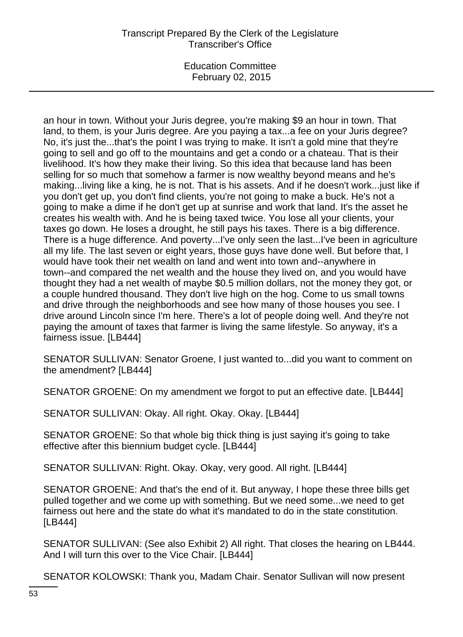Education Committee February 02, 2015

an hour in town. Without your Juris degree, you're making \$9 an hour in town. That land, to them, is your Juris degree. Are you paying a tax...a fee on your Juris degree? No, it's just the...that's the point I was trying to make. It isn't a gold mine that they're going to sell and go off to the mountains and get a condo or a chateau. That is their livelihood. It's how they make their living. So this idea that because land has been selling for so much that somehow a farmer is now wealthy beyond means and he's making...living like a king, he is not. That is his assets. And if he doesn't work...just like if you don't get up, you don't find clients, you're not going to make a buck. He's not a going to make a dime if he don't get up at sunrise and work that land. It's the asset he creates his wealth with. And he is being taxed twice. You lose all your clients, your taxes go down. He loses a drought, he still pays his taxes. There is a big difference. There is a huge difference. And poverty...I've only seen the last...I've been in agriculture all my life. The last seven or eight years, those guys have done well. But before that, I would have took their net wealth on land and went into town and--anywhere in town--and compared the net wealth and the house they lived on, and you would have thought they had a net wealth of maybe \$0.5 million dollars, not the money they got, or a couple hundred thousand. They don't live high on the hog. Come to us small towns and drive through the neighborhoods and see how many of those houses you see. I drive around Lincoln since I'm here. There's a lot of people doing well. And they're not paying the amount of taxes that farmer is living the same lifestyle. So anyway, it's a fairness issue. [LB444]

SENATOR SULLIVAN: Senator Groene, I just wanted to...did you want to comment on the amendment? [LB444]

SENATOR GROENE: On my amendment we forgot to put an effective date. [LB444]

SENATOR SULLIVAN: Okay. All right. Okay. Okay. [LB444]

SENATOR GROENE: So that whole big thick thing is just saying it's going to take effective after this biennium budget cycle. [LB444]

SENATOR SULLIVAN: Right. Okay. Okay, very good. All right. [LB444]

SENATOR GROENE: And that's the end of it. But anyway, I hope these three bills get pulled together and we come up with something. But we need some...we need to get fairness out here and the state do what it's mandated to do in the state constitution. [LB444]

SENATOR SULLIVAN: (See also Exhibit 2) All right. That closes the hearing on LB444. And I will turn this over to the Vice Chair. [LB444]

SENATOR KOLOWSKI: Thank you, Madam Chair. Senator Sullivan will now present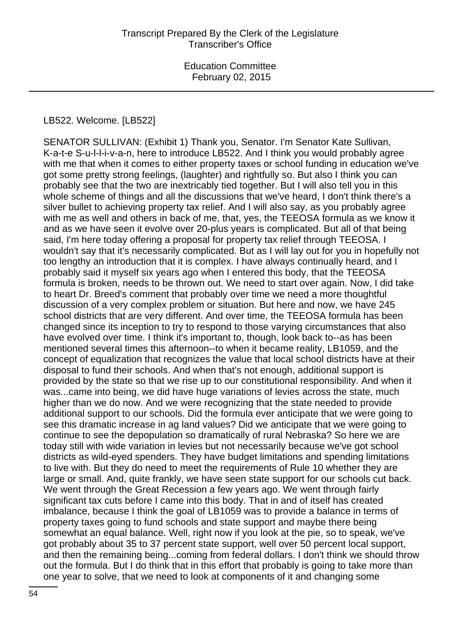#### LB522. Welcome. [LB522]

SENATOR SULLIVAN: (Exhibit 1) Thank you, Senator. I'm Senator Kate Sullivan, K-a-t-e S-u-l-l-i-v-a-n, here to introduce LB522. And I think you would probably agree with me that when it comes to either property taxes or school funding in education we've got some pretty strong feelings, (laughter) and rightfully so. But also I think you can probably see that the two are inextricably tied together. But I will also tell you in this whole scheme of things and all the discussions that we've heard, I don't think there's a silver bullet to achieving property tax relief. And I will also say, as you probably agree with me as well and others in back of me, that, yes, the TEEOSA formula as we know it and as we have seen it evolve over 20-plus years is complicated. But all of that being said, I'm here today offering a proposal for property tax relief through TEEOSA. I wouldn't say that it's necessarily complicated. But as I will lay out for you in hopefully not too lengthy an introduction that it is complex. I have always continually heard, and I probably said it myself six years ago when I entered this body, that the TEEOSA formula is broken, needs to be thrown out. We need to start over again. Now, I did take to heart Dr. Breed's comment that probably over time we need a more thoughtful discussion of a very complex problem or situation. But here and now, we have 245 school districts that are very different. And over time, the TEEOSA formula has been changed since its inception to try to respond to those varying circumstances that also have evolved over time. I think it's important to, though, look back to--as has been mentioned several times this afternoon--to when it became reality, LB1059, and the concept of equalization that recognizes the value that local school districts have at their disposal to fund their schools. And when that's not enough, additional support is provided by the state so that we rise up to our constitutional responsibility. And when it was...came into being, we did have huge variations of levies across the state, much higher than we do now. And we were recognizing that the state needed to provide additional support to our schools. Did the formula ever anticipate that we were going to see this dramatic increase in ag land values? Did we anticipate that we were going to continue to see the depopulation so dramatically of rural Nebraska? So here we are today still with wide variation in levies but not necessarily because we've got school districts as wild-eyed spenders. They have budget limitations and spending limitations to live with. But they do need to meet the requirements of Rule 10 whether they are large or small. And, quite frankly, we have seen state support for our schools cut back. We went through the Great Recession a few years ago. We went through fairly significant tax cuts before I came into this body. That in and of itself has created imbalance, because I think the goal of LB1059 was to provide a balance in terms of property taxes going to fund schools and state support and maybe there being somewhat an equal balance. Well, right now if you look at the pie, so to speak, we've got probably about 35 to 37 percent state support, well over 50 percent local support, and then the remaining being...coming from federal dollars. I don't think we should throw out the formula. But I do think that in this effort that probably is going to take more than one year to solve, that we need to look at components of it and changing some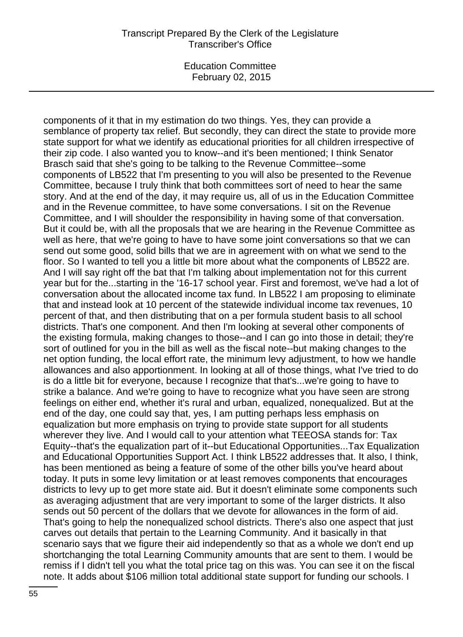Education Committee February 02, 2015

components of it that in my estimation do two things. Yes, they can provide a semblance of property tax relief. But secondly, they can direct the state to provide more state support for what we identify as educational priorities for all children irrespective of their zip code. I also wanted you to know--and it's been mentioned; I think Senator Brasch said that she's going to be talking to the Revenue Committee--some components of LB522 that I'm presenting to you will also be presented to the Revenue Committee, because I truly think that both committees sort of need to hear the same story. And at the end of the day, it may require us, all of us in the Education Committee and in the Revenue committee, to have some conversations. I sit on the Revenue Committee, and I will shoulder the responsibility in having some of that conversation. But it could be, with all the proposals that we are hearing in the Revenue Committee as well as here, that we're going to have to have some joint conversations so that we can send out some good, solid bills that we are in agreement with on what we send to the floor. So I wanted to tell you a little bit more about what the components of LB522 are. And I will say right off the bat that I'm talking about implementation not for this current year but for the...starting in the '16-17 school year. First and foremost, we've had a lot of conversation about the allocated income tax fund. In LB522 I am proposing to eliminate that and instead look at 10 percent of the statewide individual income tax revenues, 10 percent of that, and then distributing that on a per formula student basis to all school districts. That's one component. And then I'm looking at several other components of the existing formula, making changes to those--and I can go into those in detail; they're sort of outlined for you in the bill as well as the fiscal note--but making changes to the net option funding, the local effort rate, the minimum levy adjustment, to how we handle allowances and also apportionment. In looking at all of those things, what I've tried to do is do a little bit for everyone, because I recognize that that's...we're going to have to strike a balance. And we're going to have to recognize what you have seen are strong feelings on either end, whether it's rural and urban, equalized, nonequalized. But at the end of the day, one could say that, yes, I am putting perhaps less emphasis on equalization but more emphasis on trying to provide state support for all students wherever they live. And I would call to your attention what TEEOSA stands for: Tax Equity--that's the equalization part of it--but Educational Opportunities...Tax Equalization and Educational Opportunities Support Act. I think LB522 addresses that. It also, I think, has been mentioned as being a feature of some of the other bills you've heard about today. It puts in some levy limitation or at least removes components that encourages districts to levy up to get more state aid. But it doesn't eliminate some components such as averaging adjustment that are very important to some of the larger districts. It also sends out 50 percent of the dollars that we devote for allowances in the form of aid. That's going to help the nonequalized school districts. There's also one aspect that just carves out details that pertain to the Learning Community. And it basically in that scenario says that we figure their aid independently so that as a whole we don't end up shortchanging the total Learning Community amounts that are sent to them. I would be remiss if I didn't tell you what the total price tag on this was. You can see it on the fiscal note. It adds about \$106 million total additional state support for funding our schools. I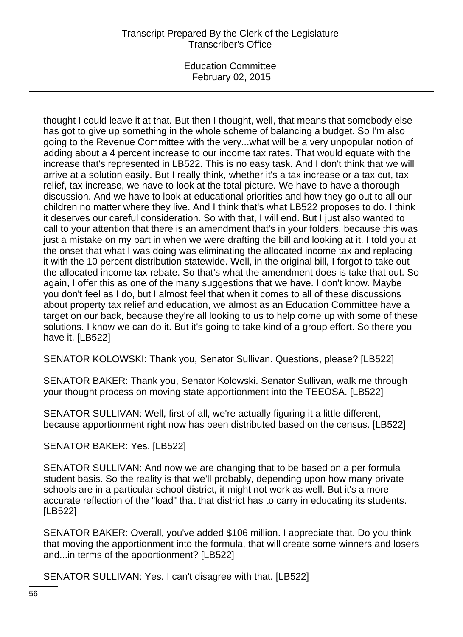Education Committee February 02, 2015

thought I could leave it at that. But then I thought, well, that means that somebody else has got to give up something in the whole scheme of balancing a budget. So I'm also going to the Revenue Committee with the very...what will be a very unpopular notion of adding about a 4 percent increase to our income tax rates. That would equate with the increase that's represented in LB522. This is no easy task. And I don't think that we will arrive at a solution easily. But I really think, whether it's a tax increase or a tax cut, tax relief, tax increase, we have to look at the total picture. We have to have a thorough discussion. And we have to look at educational priorities and how they go out to all our children no matter where they live. And I think that's what LB522 proposes to do. I think it deserves our careful consideration. So with that, I will end. But I just also wanted to call to your attention that there is an amendment that's in your folders, because this was just a mistake on my part in when we were drafting the bill and looking at it. I told you at the onset that what I was doing was eliminating the allocated income tax and replacing it with the 10 percent distribution statewide. Well, in the original bill, I forgot to take out the allocated income tax rebate. So that's what the amendment does is take that out. So again, I offer this as one of the many suggestions that we have. I don't know. Maybe you don't feel as I do, but I almost feel that when it comes to all of these discussions about property tax relief and education, we almost as an Education Committee have a target on our back, because they're all looking to us to help come up with some of these solutions. I know we can do it. But it's going to take kind of a group effort. So there you have it. [LB522]

SENATOR KOLOWSKI: Thank you, Senator Sullivan. Questions, please? [LB522]

SENATOR BAKER: Thank you, Senator Kolowski. Senator Sullivan, walk me through your thought process on moving state apportionment into the TEEOSA. [LB522]

SENATOR SULLIVAN: Well, first of all, we're actually figuring it a little different, because apportionment right now has been distributed based on the census. [LB522]

#### SENATOR BAKER: Yes. [LB522]

SENATOR SULLIVAN: And now we are changing that to be based on a per formula student basis. So the reality is that we'll probably, depending upon how many private schools are in a particular school district, it might not work as well. But it's a more accurate reflection of the "load" that that district has to carry in educating its students. [LB522]

SENATOR BAKER: Overall, you've added \$106 million. I appreciate that. Do you think that moving the apportionment into the formula, that will create some winners and losers and...in terms of the apportionment? [LB522]

SENATOR SULLIVAN: Yes. I can't disagree with that. [LB522]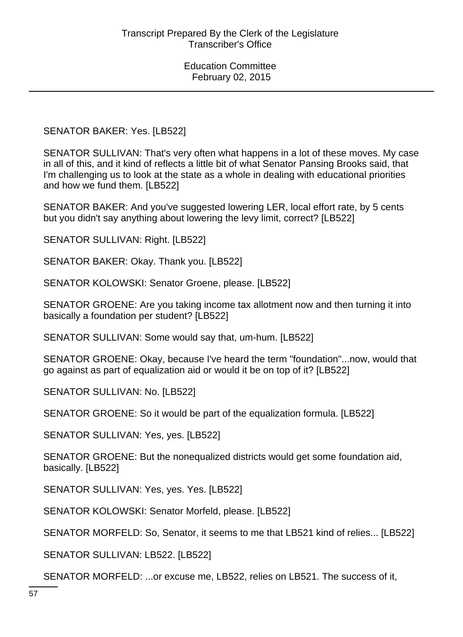SENATOR BAKER: Yes. [LB522]

SENATOR SULLIVAN: That's very often what happens in a lot of these moves. My case in all of this, and it kind of reflects a little bit of what Senator Pansing Brooks said, that I'm challenging us to look at the state as a whole in dealing with educational priorities and how we fund them. [LB522]

SENATOR BAKER: And you've suggested lowering LER, local effort rate, by 5 cents but you didn't say anything about lowering the levy limit, correct? [LB522]

SENATOR SULLIVAN: Right. [LB522]

SENATOR BAKER: Okay. Thank you. [LB522]

SENATOR KOLOWSKI: Senator Groene, please. [LB522]

SENATOR GROENE: Are you taking income tax allotment now and then turning it into basically a foundation per student? [LB522]

SENATOR SULLIVAN: Some would say that, um-hum. [LB522]

SENATOR GROENE: Okay, because I've heard the term "foundation"...now, would that go against as part of equalization aid or would it be on top of it? [LB522]

SENATOR SULLIVAN: No. [LB522]

SENATOR GROENE: So it would be part of the equalization formula. [LB522]

SENATOR SULLIVAN: Yes, yes. [LB522]

SENATOR GROENE: But the nonequalized districts would get some foundation aid, basically. [LB522]

SENATOR SULLIVAN: Yes, yes. Yes. [LB522]

SENATOR KOLOWSKI: Senator Morfeld, please. [LB522]

SENATOR MORFELD: So, Senator, it seems to me that LB521 kind of relies... [LB522]

SENATOR SULLIVAN: LB522. [LB522]

SENATOR MORFELD: ...or excuse me, LB522, relies on LB521. The success of it,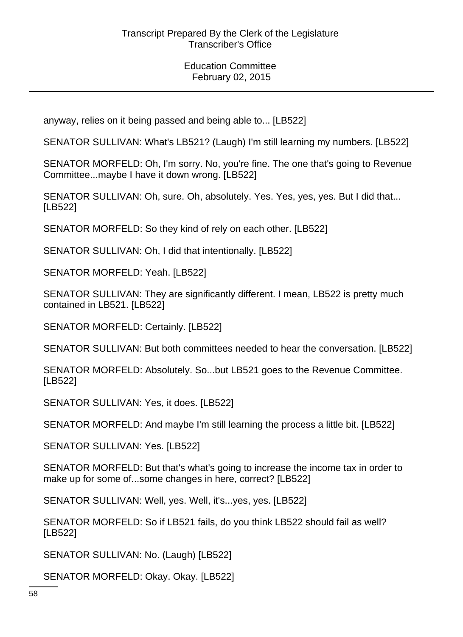anyway, relies on it being passed and being able to... [LB522]

SENATOR SULLIVAN: What's LB521? (Laugh) I'm still learning my numbers. [LB522]

SENATOR MORFELD: Oh, I'm sorry. No, you're fine. The one that's going to Revenue Committee...maybe I have it down wrong. [LB522]

SENATOR SULLIVAN: Oh, sure. Oh, absolutely. Yes. Yes, yes, yes. But I did that... [LB522]

SENATOR MORFELD: So they kind of rely on each other. [LB522]

SENATOR SULLIVAN: Oh, I did that intentionally. [LB522]

SENATOR MORFELD: Yeah. [LB522]

SENATOR SULLIVAN: They are significantly different. I mean, LB522 is pretty much contained in LB521. [LB522]

SENATOR MORFELD: Certainly. [LB522]

SENATOR SULLIVAN: But both committees needed to hear the conversation. [LB522]

SENATOR MORFELD: Absolutely. So...but LB521 goes to the Revenue Committee. [LB522]

SENATOR SULLIVAN: Yes, it does. [LB522]

SENATOR MORFELD: And maybe I'm still learning the process a little bit. [LB522]

SENATOR SULLIVAN: Yes. [LB522]

SENATOR MORFELD: But that's what's going to increase the income tax in order to make up for some of...some changes in here, correct? [LB522]

SENATOR SULLIVAN: Well, yes. Well, it's...yes, yes. [LB522]

SENATOR MORFELD: So if LB521 fails, do you think LB522 should fail as well? [LB522]

SENATOR SULLIVAN: No. (Laugh) [LB522]

SENATOR MORFELD: Okay. Okay. [LB522]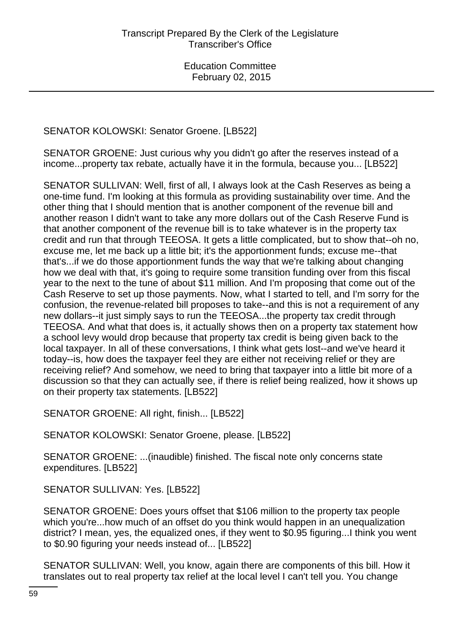SENATOR KOLOWSKI: Senator Groene. [LB522]

SENATOR GROENE: Just curious why you didn't go after the reserves instead of a income...property tax rebate, actually have it in the formula, because you... [LB522]

SENATOR SULLIVAN: Well, first of all, I always look at the Cash Reserves as being a one-time fund. I'm looking at this formula as providing sustainability over time. And the other thing that I should mention that is another component of the revenue bill and another reason I didn't want to take any more dollars out of the Cash Reserve Fund is that another component of the revenue bill is to take whatever is in the property tax credit and run that through TEEOSA. It gets a little complicated, but to show that--oh no, excuse me, let me back up a little bit; it's the apportionment funds; excuse me--that that's...if we do those apportionment funds the way that we're talking about changing how we deal with that, it's going to require some transition funding over from this fiscal year to the next to the tune of about \$11 million. And I'm proposing that come out of the Cash Reserve to set up those payments. Now, what I started to tell, and I'm sorry for the confusion, the revenue-related bill proposes to take--and this is not a requirement of any new dollars--it just simply says to run the TEEOSA...the property tax credit through TEEOSA. And what that does is, it actually shows then on a property tax statement how a school levy would drop because that property tax credit is being given back to the local taxpayer. In all of these conversations, I think what gets lost--and we've heard it today--is, how does the taxpayer feel they are either not receiving relief or they are receiving relief? And somehow, we need to bring that taxpayer into a little bit more of a discussion so that they can actually see, if there is relief being realized, how it shows up on their property tax statements. [LB522]

SENATOR GROENE: All right, finish... [LB522]

SENATOR KOLOWSKI: Senator Groene, please. [LB522]

SENATOR GROENE: ...(inaudible) finished. The fiscal note only concerns state expenditures. [LB522]

SENATOR SULLIVAN: Yes. [LB522]

SENATOR GROENE: Does yours offset that \$106 million to the property tax people which you're...how much of an offset do you think would happen in an unequalization district? I mean, yes, the equalized ones, if they went to \$0.95 figuring...I think you went to \$0.90 figuring your needs instead of... [LB522]

SENATOR SULLIVAN: Well, you know, again there are components of this bill. How it translates out to real property tax relief at the local level I can't tell you. You change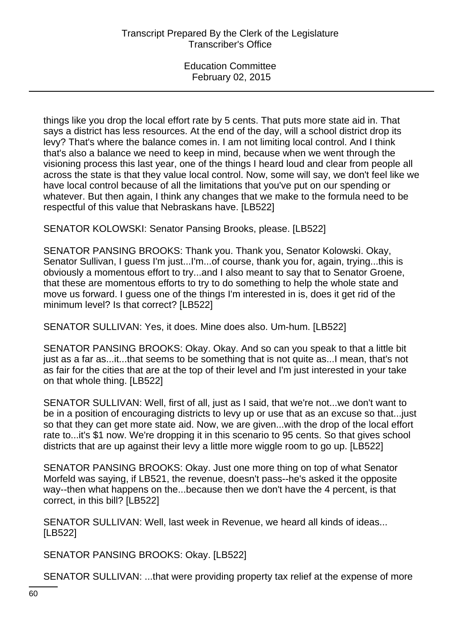things like you drop the local effort rate by 5 cents. That puts more state aid in. That says a district has less resources. At the end of the day, will a school district drop its levy? That's where the balance comes in. I am not limiting local control. And I think that's also a balance we need to keep in mind, because when we went through the visioning process this last year, one of the things I heard loud and clear from people all across the state is that they value local control. Now, some will say, we don't feel like we have local control because of all the limitations that you've put on our spending or whatever. But then again, I think any changes that we make to the formula need to be respectful of this value that Nebraskans have. [LB522]

SENATOR KOLOWSKI: Senator Pansing Brooks, please. [LB522]

SENATOR PANSING BROOKS: Thank you. Thank you, Senator Kolowski. Okay, Senator Sullivan, I guess I'm just...I'm...of course, thank you for, again, trying...this is obviously a momentous effort to try...and I also meant to say that to Senator Groene, that these are momentous efforts to try to do something to help the whole state and move us forward. I guess one of the things I'm interested in is, does it get rid of the minimum level? Is that correct? [LB522]

SENATOR SULLIVAN: Yes, it does. Mine does also. Um-hum. [LB522]

SENATOR PANSING BROOKS: Okay. Okay. And so can you speak to that a little bit just as a far as...it...that seems to be something that is not quite as...I mean, that's not as fair for the cities that are at the top of their level and I'm just interested in your take on that whole thing. [LB522]

SENATOR SULLIVAN: Well, first of all, just as I said, that we're not...we don't want to be in a position of encouraging districts to levy up or use that as an excuse so that...just so that they can get more state aid. Now, we are given...with the drop of the local effort rate to...it's \$1 now. We're dropping it in this scenario to 95 cents. So that gives school districts that are up against their levy a little more wiggle room to go up. [LB522]

SENATOR PANSING BROOKS: Okay. Just one more thing on top of what Senator Morfeld was saying, if LB521, the revenue, doesn't pass--he's asked it the opposite way--then what happens on the...because then we don't have the 4 percent, is that correct, in this bill? [LB522]

SENATOR SULLIVAN: Well, last week in Revenue, we heard all kinds of ideas... [LB522]

SENATOR PANSING BROOKS: Okay. [LB522]

SENATOR SULLIVAN: ...that were providing property tax relief at the expense of more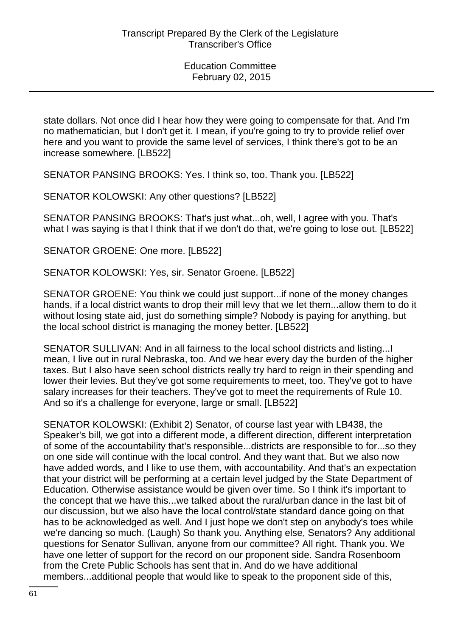state dollars. Not once did I hear how they were going to compensate for that. And I'm no mathematician, but I don't get it. I mean, if you're going to try to provide relief over here and you want to provide the same level of services, I think there's got to be an increase somewhere. [LB522]

SENATOR PANSING BROOKS: Yes. I think so, too. Thank you. [LB522]

SENATOR KOLOWSKI: Any other questions? [LB522]

SENATOR PANSING BROOKS: That's just what...oh, well, I agree with you. That's what I was saying is that I think that if we don't do that, we're going to lose out. [LB522]

SENATOR GROENE: One more. [LB522]

SENATOR KOLOWSKI: Yes, sir. Senator Groene. [LB522]

SENATOR GROENE: You think we could just support...if none of the money changes hands, if a local district wants to drop their mill levy that we let them...allow them to do it without losing state aid, just do something simple? Nobody is paying for anything, but the local school district is managing the money better. [LB522]

SENATOR SULLIVAN: And in all fairness to the local school districts and listing...I mean, I live out in rural Nebraska, too. And we hear every day the burden of the higher taxes. But I also have seen school districts really try hard to reign in their spending and lower their levies. But they've got some requirements to meet, too. They've got to have salary increases for their teachers. They've got to meet the requirements of Rule 10. And so it's a challenge for everyone, large or small. [LB522]

SENATOR KOLOWSKI: (Exhibit 2) Senator, of course last year with LB438, the Speaker's bill, we got into a different mode, a different direction, different interpretation of some of the accountability that's responsible...districts are responsible to for...so they on one side will continue with the local control. And they want that. But we also now have added words, and I like to use them, with accountability. And that's an expectation that your district will be performing at a certain level judged by the State Department of Education. Otherwise assistance would be given over time. So I think it's important to the concept that we have this...we talked about the rural/urban dance in the last bit of our discussion, but we also have the local control/state standard dance going on that has to be acknowledged as well. And I just hope we don't step on anybody's toes while we're dancing so much. (Laugh) So thank you. Anything else, Senators? Any additional questions for Senator Sullivan, anyone from our committee? All right. Thank you. We have one letter of support for the record on our proponent side. Sandra Rosenboom from the Crete Public Schools has sent that in. And do we have additional members...additional people that would like to speak to the proponent side of this,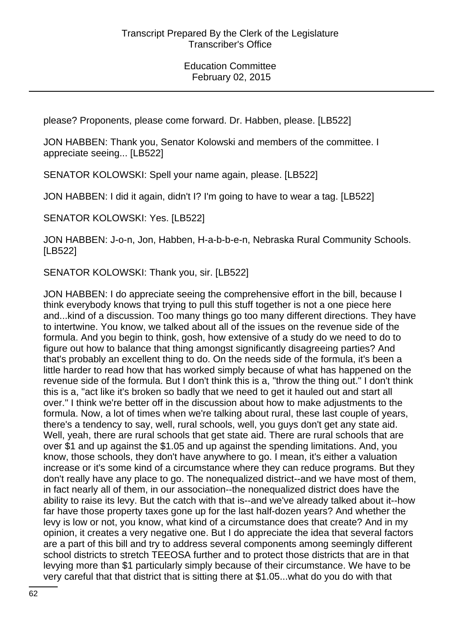please? Proponents, please come forward. Dr. Habben, please. [LB522]

JON HABBEN: Thank you, Senator Kolowski and members of the committee. I appreciate seeing... [LB522]

SENATOR KOLOWSKI: Spell your name again, please. [LB522]

JON HABBEN: I did it again, didn't I? I'm going to have to wear a tag. [LB522]

SENATOR KOLOWSKI: Yes. [LB522]

JON HABBEN: J-o-n, Jon, Habben, H-a-b-b-e-n, Nebraska Rural Community Schools. [LB522]

SENATOR KOLOWSKI: Thank you, sir. [LB522]

JON HABBEN: I do appreciate seeing the comprehensive effort in the bill, because I think everybody knows that trying to pull this stuff together is not a one piece here and...kind of a discussion. Too many things go too many different directions. They have to intertwine. You know, we talked about all of the issues on the revenue side of the formula. And you begin to think, gosh, how extensive of a study do we need to do to figure out how to balance that thing amongst significantly disagreeing parties? And that's probably an excellent thing to do. On the needs side of the formula, it's been a little harder to read how that has worked simply because of what has happened on the revenue side of the formula. But I don't think this is a, "throw the thing out." I don't think this is a, "act like it's broken so badly that we need to get it hauled out and start all over." I think we're better off in the discussion about how to make adjustments to the formula. Now, a lot of times when we're talking about rural, these last couple of years, there's a tendency to say, well, rural schools, well, you guys don't get any state aid. Well, yeah, there are rural schools that get state aid. There are rural schools that are over \$1 and up against the \$1.05 and up against the spending limitations. And, you know, those schools, they don't have anywhere to go. I mean, it's either a valuation increase or it's some kind of a circumstance where they can reduce programs. But they don't really have any place to go. The nonequalized district--and we have most of them, in fact nearly all of them, in our association--the nonequalized district does have the ability to raise its levy. But the catch with that is--and we've already talked about it--how far have those property taxes gone up for the last half-dozen years? And whether the levy is low or not, you know, what kind of a circumstance does that create? And in my opinion, it creates a very negative one. But I do appreciate the idea that several factors are a part of this bill and try to address several components among seemingly different school districts to stretch TEEOSA further and to protect those districts that are in that levying more than \$1 particularly simply because of their circumstance. We have to be very careful that that district that is sitting there at \$1.05...what do you do with that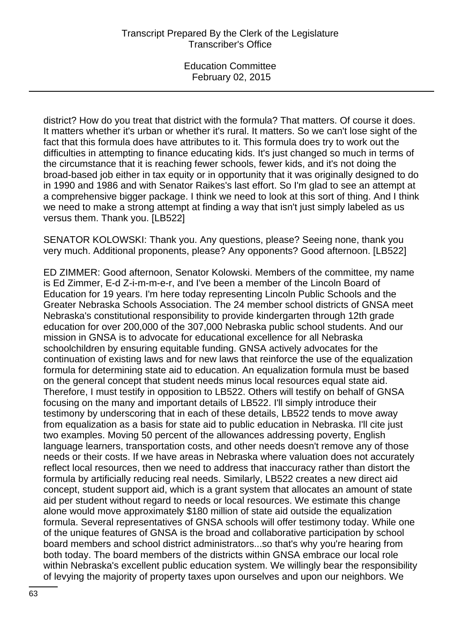district? How do you treat that district with the formula? That matters. Of course it does. It matters whether it's urban or whether it's rural. It matters. So we can't lose sight of the fact that this formula does have attributes to it. This formula does try to work out the difficulties in attempting to finance educating kids. It's just changed so much in terms of the circumstance that it is reaching fewer schools, fewer kids, and it's not doing the broad-based job either in tax equity or in opportunity that it was originally designed to do in 1990 and 1986 and with Senator Raikes's last effort. So I'm glad to see an attempt at a comprehensive bigger package. I think we need to look at this sort of thing. And I think we need to make a strong attempt at finding a way that isn't just simply labeled as us versus them. Thank you. [LB522]

SENATOR KOLOWSKI: Thank you. Any questions, please? Seeing none, thank you very much. Additional proponents, please? Any opponents? Good afternoon. [LB522]

ED ZIMMER: Good afternoon, Senator Kolowski. Members of the committee, my name is Ed Zimmer, E-d Z-i-m-m-e-r, and I've been a member of the Lincoln Board of Education for 19 years. I'm here today representing Lincoln Public Schools and the Greater Nebraska Schools Association. The 24 member school districts of GNSA meet Nebraska's constitutional responsibility to provide kindergarten through 12th grade education for over 200,000 of the 307,000 Nebraska public school students. And our mission in GNSA is to advocate for educational excellence for all Nebraska schoolchildren by ensuring equitable funding. GNSA actively advocates for the continuation of existing laws and for new laws that reinforce the use of the equalization formula for determining state aid to education. An equalization formula must be based on the general concept that student needs minus local resources equal state aid. Therefore, I must testify in opposition to LB522. Others will testify on behalf of GNSA focusing on the many and important details of LB522. I'll simply introduce their testimony by underscoring that in each of these details, LB522 tends to move away from equalization as a basis for state aid to public education in Nebraska. I'll cite just two examples. Moving 50 percent of the allowances addressing poverty, English language learners, transportation costs, and other needs doesn't remove any of those needs or their costs. If we have areas in Nebraska where valuation does not accurately reflect local resources, then we need to address that inaccuracy rather than distort the formula by artificially reducing real needs. Similarly, LB522 creates a new direct aid concept, student support aid, which is a grant system that allocates an amount of state aid per student without regard to needs or local resources. We estimate this change alone would move approximately \$180 million of state aid outside the equalization formula. Several representatives of GNSA schools will offer testimony today. While one of the unique features of GNSA is the broad and collaborative participation by school board members and school district administrators...so that's why you're hearing from both today. The board members of the districts within GNSA embrace our local role within Nebraska's excellent public education system. We willingly bear the responsibility of levying the majority of property taxes upon ourselves and upon our neighbors. We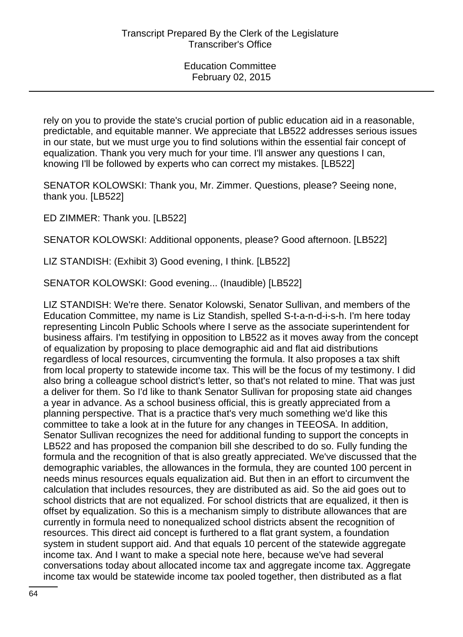rely on you to provide the state's crucial portion of public education aid in a reasonable, predictable, and equitable manner. We appreciate that LB522 addresses serious issues in our state, but we must urge you to find solutions within the essential fair concept of equalization. Thank you very much for your time. I'll answer any questions I can, knowing I'll be followed by experts who can correct my mistakes. [LB522]

SENATOR KOLOWSKI: Thank you, Mr. Zimmer. Questions, please? Seeing none, thank you. [LB522]

ED ZIMMER: Thank you. [LB522]

SENATOR KOLOWSKI: Additional opponents, please? Good afternoon. [LB522]

LIZ STANDISH: (Exhibit 3) Good evening, I think. [LB522]

SENATOR KOLOWSKI: Good evening... (Inaudible) [LB522]

LIZ STANDISH: We're there. Senator Kolowski, Senator Sullivan, and members of the Education Committee, my name is Liz Standish, spelled S-t-a-n-d-i-s-h. I'm here today representing Lincoln Public Schools where I serve as the associate superintendent for business affairs. I'm testifying in opposition to LB522 as it moves away from the concept of equalization by proposing to place demographic aid and flat aid distributions regardless of local resources, circumventing the formula. It also proposes a tax shift from local property to statewide income tax. This will be the focus of my testimony. I did also bring a colleague school district's letter, so that's not related to mine. That was just a deliver for them. So I'd like to thank Senator Sullivan for proposing state aid changes a year in advance. As a school business official, this is greatly appreciated from a planning perspective. That is a practice that's very much something we'd like this committee to take a look at in the future for any changes in TEEOSA. In addition, Senator Sullivan recognizes the need for additional funding to support the concepts in LB522 and has proposed the companion bill she described to do so. Fully funding the formula and the recognition of that is also greatly appreciated. We've discussed that the demographic variables, the allowances in the formula, they are counted 100 percent in needs minus resources equals equalization aid. But then in an effort to circumvent the calculation that includes resources, they are distributed as aid. So the aid goes out to school districts that are not equalized. For school districts that are equalized, it then is offset by equalization. So this is a mechanism simply to distribute allowances that are currently in formula need to nonequalized school districts absent the recognition of resources. This direct aid concept is furthered to a flat grant system, a foundation system in student support aid. And that equals 10 percent of the statewide aggregate income tax. And I want to make a special note here, because we've had several conversations today about allocated income tax and aggregate income tax. Aggregate income tax would be statewide income tax pooled together, then distributed as a flat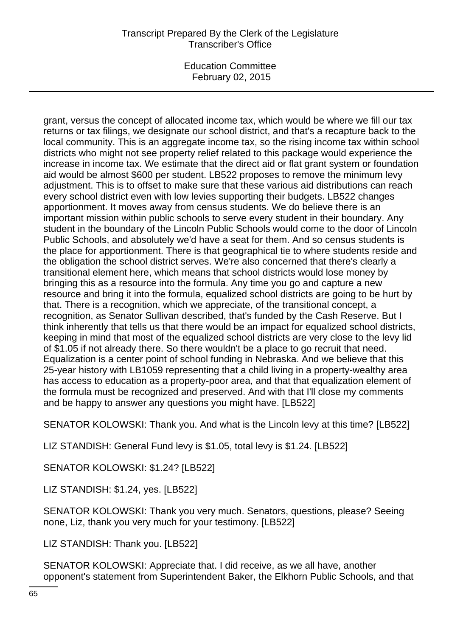Education Committee February 02, 2015

grant, versus the concept of allocated income tax, which would be where we fill our tax returns or tax filings, we designate our school district, and that's a recapture back to the local community. This is an aggregate income tax, so the rising income tax within school districts who might not see property relief related to this package would experience the increase in income tax. We estimate that the direct aid or flat grant system or foundation aid would be almost \$600 per student. LB522 proposes to remove the minimum levy adjustment. This is to offset to make sure that these various aid distributions can reach every school district even with low levies supporting their budgets. LB522 changes apportionment. It moves away from census students. We do believe there is an important mission within public schools to serve every student in their boundary. Any student in the boundary of the Lincoln Public Schools would come to the door of Lincoln Public Schools, and absolutely we'd have a seat for them. And so census students is the place for apportionment. There is that geographical tie to where students reside and the obligation the school district serves. We're also concerned that there's clearly a transitional element here, which means that school districts would lose money by bringing this as a resource into the formula. Any time you go and capture a new resource and bring it into the formula, equalized school districts are going to be hurt by that. There is a recognition, which we appreciate, of the transitional concept, a recognition, as Senator Sullivan described, that's funded by the Cash Reserve. But I think inherently that tells us that there would be an impact for equalized school districts, keeping in mind that most of the equalized school districts are very close to the levy lid of \$1.05 if not already there. So there wouldn't be a place to go recruit that need. Equalization is a center point of school funding in Nebraska. And we believe that this 25-year history with LB1059 representing that a child living in a property-wealthy area has access to education as a property-poor area, and that that equalization element of the formula must be recognized and preserved. And with that I'll close my comments and be happy to answer any questions you might have. [LB522]

SENATOR KOLOWSKI: Thank you. And what is the Lincoln levy at this time? [LB522]

LIZ STANDISH: General Fund levy is \$1.05, total levy is \$1.24. [LB522]

SENATOR KOLOWSKI: \$1.24? [LB522]

LIZ STANDISH: \$1.24, yes. [LB522]

SENATOR KOLOWSKI: Thank you very much. Senators, questions, please? Seeing none, Liz, thank you very much for your testimony. [LB522]

LIZ STANDISH: Thank you. [LB522]

SENATOR KOLOWSKI: Appreciate that. I did receive, as we all have, another opponent's statement from Superintendent Baker, the Elkhorn Public Schools, and that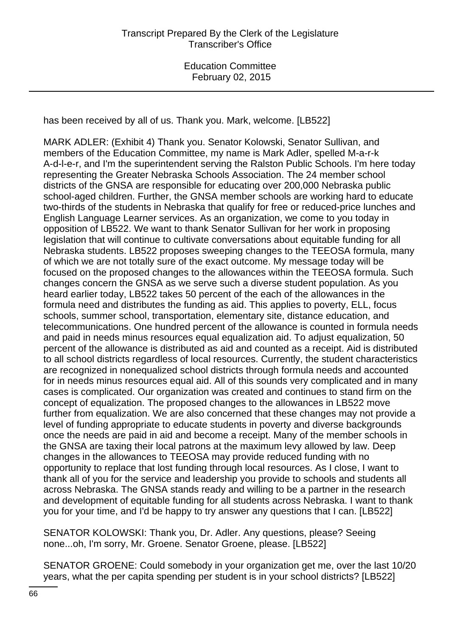has been received by all of us. Thank you. Mark, welcome. [LB522]

MARK ADLER: (Exhibit 4) Thank you. Senator Kolowski, Senator Sullivan, and members of the Education Committee, my name is Mark Adler, spelled M-a-r-k A-d-l-e-r, and I'm the superintendent serving the Ralston Public Schools. I'm here today representing the Greater Nebraska Schools Association. The 24 member school districts of the GNSA are responsible for educating over 200,000 Nebraska public school-aged children. Further, the GNSA member schools are working hard to educate two-thirds of the students in Nebraska that qualify for free or reduced-price lunches and English Language Learner services. As an organization, we come to you today in opposition of LB522. We want to thank Senator Sullivan for her work in proposing legislation that will continue to cultivate conversations about equitable funding for all Nebraska students. LB522 proposes sweeping changes to the TEEOSA formula, many of which we are not totally sure of the exact outcome. My message today will be focused on the proposed changes to the allowances within the TEEOSA formula. Such changes concern the GNSA as we serve such a diverse student population. As you heard earlier today, LB522 takes 50 percent of the each of the allowances in the formula need and distributes the funding as aid. This applies to poverty, ELL, focus schools, summer school, transportation, elementary site, distance education, and telecommunications. One hundred percent of the allowance is counted in formula needs and paid in needs minus resources equal equalization aid. To adjust equalization, 50 percent of the allowance is distributed as aid and counted as a receipt. Aid is distributed to all school districts regardless of local resources. Currently, the student characteristics are recognized in nonequalized school districts through formula needs and accounted for in needs minus resources equal aid. All of this sounds very complicated and in many cases is complicated. Our organization was created and continues to stand firm on the concept of equalization. The proposed changes to the allowances in LB522 move further from equalization. We are also concerned that these changes may not provide a level of funding appropriate to educate students in poverty and diverse backgrounds once the needs are paid in aid and become a receipt. Many of the member schools in the GNSA are taxing their local patrons at the maximum levy allowed by law. Deep changes in the allowances to TEEOSA may provide reduced funding with no opportunity to replace that lost funding through local resources. As I close, I want to thank all of you for the service and leadership you provide to schools and students all across Nebraska. The GNSA stands ready and willing to be a partner in the research and development of equitable funding for all students across Nebraska. I want to thank you for your time, and I'd be happy to try answer any questions that I can. [LB522]

SENATOR KOLOWSKI: Thank you, Dr. Adler. Any questions, please? Seeing none...oh, I'm sorry, Mr. Groene. Senator Groene, please. [LB522]

SENATOR GROENE: Could somebody in your organization get me, over the last 10/20 years, what the per capita spending per student is in your school districts? [LB522]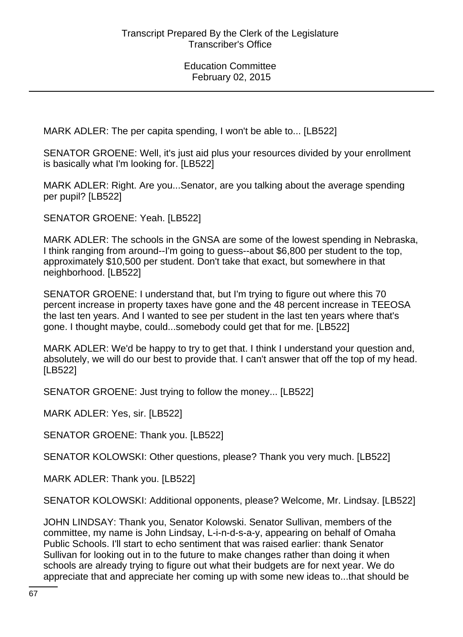MARK ADLER: The per capita spending, I won't be able to... [LB522]

SENATOR GROENE: Well, it's just aid plus your resources divided by your enrollment is basically what I'm looking for. [LB522]

MARK ADLER: Right. Are you...Senator, are you talking about the average spending per pupil? [LB522]

SENATOR GROENE: Yeah. [LB522]

MARK ADLER: The schools in the GNSA are some of the lowest spending in Nebraska, I think ranging from around--I'm going to guess--about \$6,800 per student to the top, approximately \$10,500 per student. Don't take that exact, but somewhere in that neighborhood. [LB522]

SENATOR GROENE: I understand that, but I'm trying to figure out where this 70 percent increase in property taxes have gone and the 48 percent increase in TEEOSA the last ten years. And I wanted to see per student in the last ten years where that's gone. I thought maybe, could...somebody could get that for me. [LB522]

MARK ADLER: We'd be happy to try to get that. I think I understand your question and, absolutely, we will do our best to provide that. I can't answer that off the top of my head. [LB522]

SENATOR GROENE: Just trying to follow the money... [LB522]

MARK ADLER: Yes, sir. [LB522]

SENATOR GROENE: Thank you. [LB522]

SENATOR KOLOWSKI: Other questions, please? Thank you very much. [LB522]

MARK ADLER: Thank you. [LB522]

SENATOR KOLOWSKI: Additional opponents, please? Welcome, Mr. Lindsay. [LB522]

JOHN LINDSAY: Thank you, Senator Kolowski. Senator Sullivan, members of the committee, my name is John Lindsay, L-i-n-d-s-a-y, appearing on behalf of Omaha Public Schools. I'll start to echo sentiment that was raised earlier: thank Senator Sullivan for looking out in to the future to make changes rather than doing it when schools are already trying to figure out what their budgets are for next year. We do appreciate that and appreciate her coming up with some new ideas to...that should be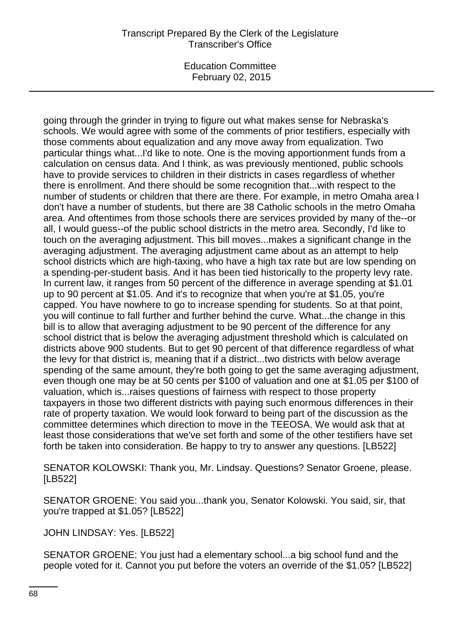going through the grinder in trying to figure out what makes sense for Nebraska's schools. We would agree with some of the comments of prior testifiers, especially with those comments about equalization and any move away from equalization. Two particular things what...I'd like to note. One is the moving apportionment funds from a calculation on census data. And I think, as was previously mentioned, public schools have to provide services to children in their districts in cases regardless of whether there is enrollment. And there should be some recognition that...with respect to the number of students or children that there are there. For example, in metro Omaha area I don't have a number of students, but there are 38 Catholic schools in the metro Omaha area. And oftentimes from those schools there are services provided by many of the--or all, I would guess--of the public school districts in the metro area. Secondly, I'd like to touch on the averaging adjustment. This bill moves...makes a significant change in the averaging adjustment. The averaging adjustment came about as an attempt to help school districts which are high-taxing, who have a high tax rate but are low spending on a spending-per-student basis. And it has been tied historically to the property levy rate. In current law, it ranges from 50 percent of the difference in average spending at \$1.01 up to 90 percent at \$1.05. And it's to recognize that when you're at \$1.05, you're capped. You have nowhere to go to increase spending for students. So at that point, you will continue to fall further and further behind the curve. What...the change in this bill is to allow that averaging adjustment to be 90 percent of the difference for any school district that is below the averaging adjustment threshold which is calculated on districts above 900 students. But to get 90 percent of that difference regardless of what the levy for that district is, meaning that if a district...two districts with below average spending of the same amount, they're both going to get the same averaging adjustment, even though one may be at 50 cents per \$100 of valuation and one at \$1.05 per \$100 of valuation, which is...raises questions of fairness with respect to those property taxpayers in those two different districts with paying such enormous differences in their rate of property taxation. We would look forward to being part of the discussion as the committee determines which direction to move in the TEEOSA. We would ask that at least those considerations that we've set forth and some of the other testifiers have set forth be taken into consideration. Be happy to try to answer any questions. [LB522]

SENATOR KOLOWSKI: Thank you, Mr. Lindsay. Questions? Senator Groene, please. [LB522]

SENATOR GROENE: You said you...thank you, Senator Kolowski. You said, sir, that you're trapped at \$1.05? [LB522]

JOHN LINDSAY: Yes. [LB522]

SENATOR GROENE: You just had a elementary school...a big school fund and the people voted for it. Cannot you put before the voters an override of the \$1.05? [LB522]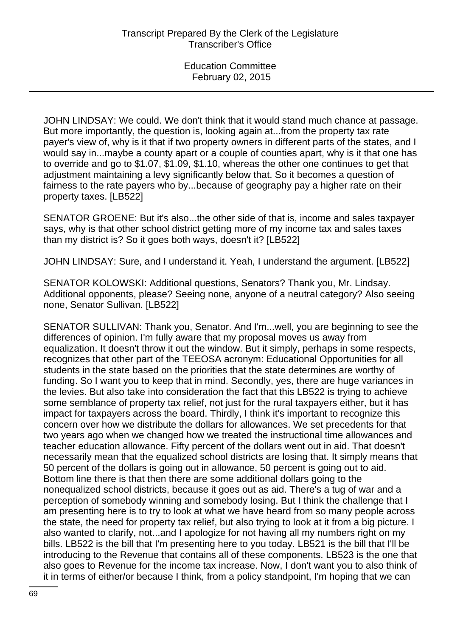JOHN LINDSAY: We could. We don't think that it would stand much chance at passage. But more importantly, the question is, looking again at...from the property tax rate payer's view of, why is it that if two property owners in different parts of the states, and I would say in...maybe a county apart or a couple of counties apart, why is it that one has to override and go to \$1.07, \$1.09, \$1.10, whereas the other one continues to get that adjustment maintaining a levy significantly below that. So it becomes a question of fairness to the rate payers who by...because of geography pay a higher rate on their property taxes. [LB522]

SENATOR GROENE: But it's also...the other side of that is, income and sales taxpayer says, why is that other school district getting more of my income tax and sales taxes than my district is? So it goes both ways, doesn't it? [LB522]

JOHN LINDSAY: Sure, and I understand it. Yeah, I understand the argument. [LB522]

SENATOR KOLOWSKI: Additional questions, Senators? Thank you, Mr. Lindsay. Additional opponents, please? Seeing none, anyone of a neutral category? Also seeing none, Senator Sullivan. [LB522]

SENATOR SULLIVAN: Thank you, Senator. And I'm...well, you are beginning to see the differences of opinion. I'm fully aware that my proposal moves us away from equalization. It doesn't throw it out the window. But it simply, perhaps in some respects, recognizes that other part of the TEEOSA acronym: Educational Opportunities for all students in the state based on the priorities that the state determines are worthy of funding. So I want you to keep that in mind. Secondly, yes, there are huge variances in the levies. But also take into consideration the fact that this LB522 is trying to achieve some semblance of property tax relief, not just for the rural taxpayers either, but it has impact for taxpayers across the board. Thirdly, I think it's important to recognize this concern over how we distribute the dollars for allowances. We set precedents for that two years ago when we changed how we treated the instructional time allowances and teacher education allowance. Fifty percent of the dollars went out in aid. That doesn't necessarily mean that the equalized school districts are losing that. It simply means that 50 percent of the dollars is going out in allowance, 50 percent is going out to aid. Bottom line there is that then there are some additional dollars going to the nonequalized school districts, because it goes out as aid. There's a tug of war and a perception of somebody winning and somebody losing. But I think the challenge that I am presenting here is to try to look at what we have heard from so many people across the state, the need for property tax relief, but also trying to look at it from a big picture. I also wanted to clarify, not...and I apologize for not having all my numbers right on my bills. LB522 is the bill that I'm presenting here to you today. LB521 is the bill that I'll be introducing to the Revenue that contains all of these components. LB523 is the one that also goes to Revenue for the income tax increase. Now, I don't want you to also think of it in terms of either/or because I think, from a policy standpoint, I'm hoping that we can